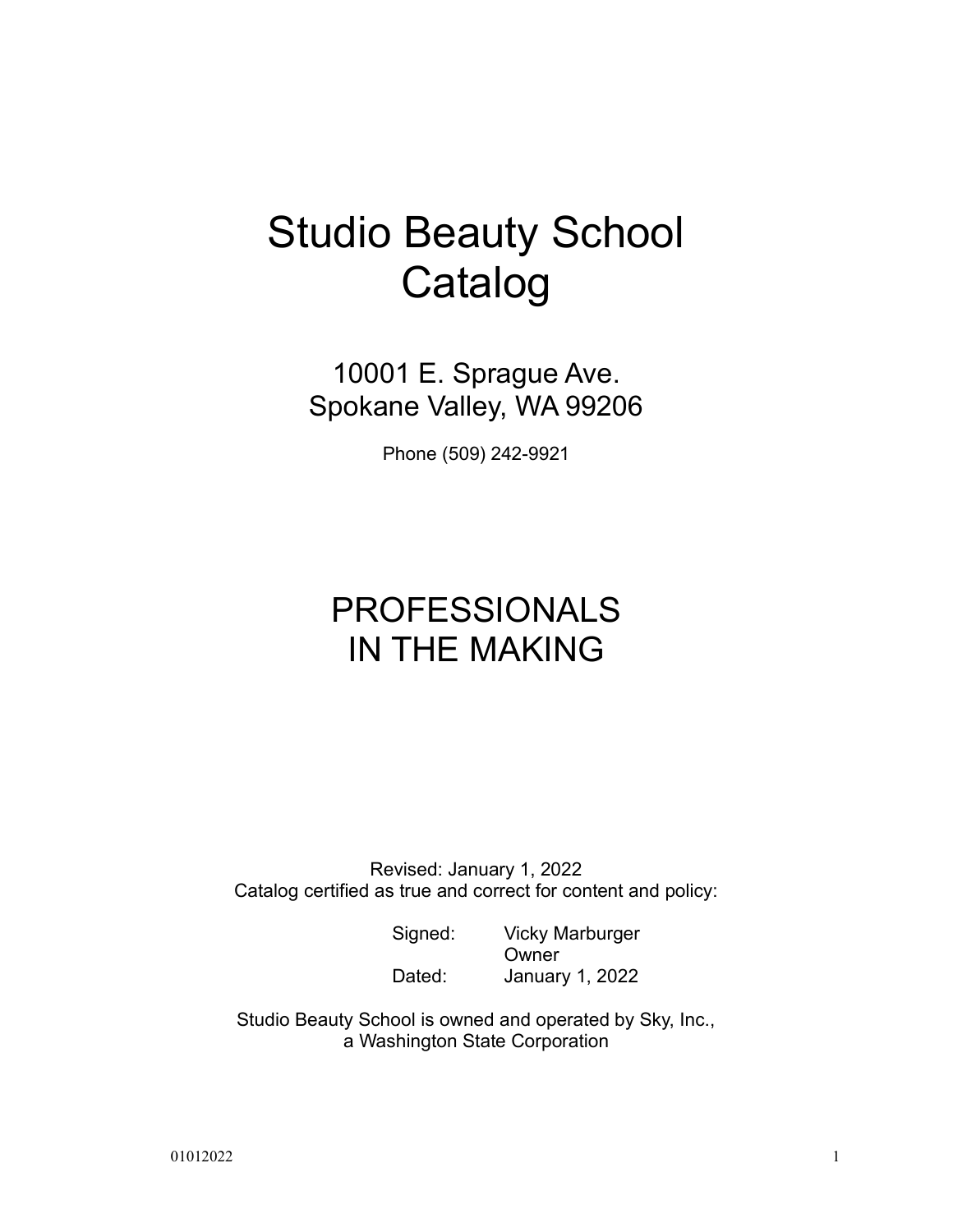# Studio Beauty School Catalog

10001 E. Sprague Ave. Spokane Valley, WA 99206

Phone (509) 242-9921

# PROFESSIONALS IN THE MAKING

Revised: January 1, 2022 Catalog certified as true and correct for content and policy:

> Signed: Vicky Marburger **Owner** Dated: January 1, 2022

Studio Beauty School is owned and operated by Sky, Inc., a Washington State Corporation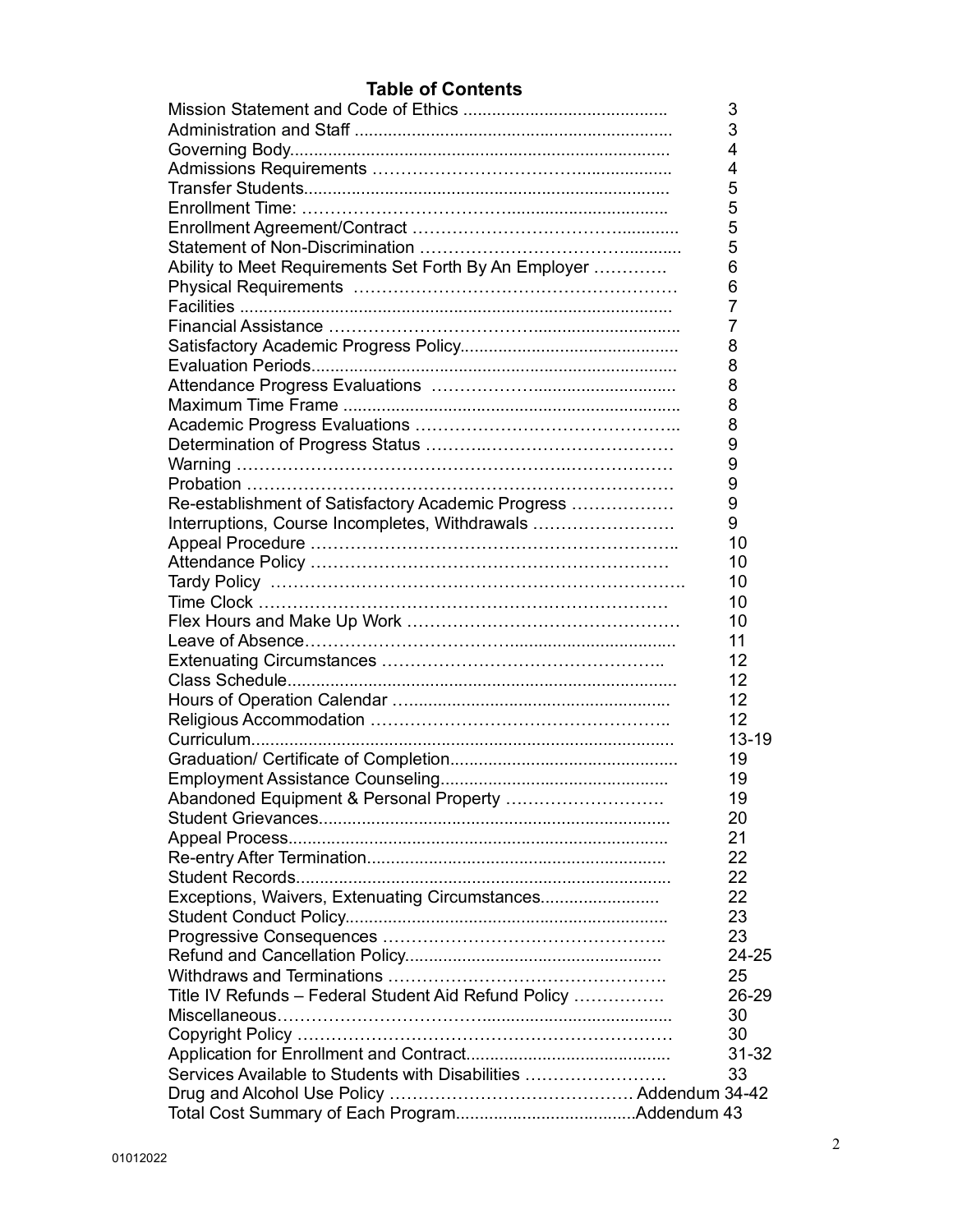# **Table of Contents**

|                                                       | 3         |
|-------------------------------------------------------|-----------|
|                                                       | 3         |
|                                                       | 4         |
|                                                       | 4         |
|                                                       | 5         |
|                                                       | 5         |
|                                                       | 5         |
|                                                       | 5         |
| Ability to Meet Requirements Set Forth By An Employer | 6         |
|                                                       | 6         |
|                                                       | 7         |
|                                                       | 7         |
|                                                       | 8         |
|                                                       | 8         |
|                                                       | 8         |
|                                                       | 8         |
|                                                       | 8         |
|                                                       | 9         |
|                                                       | 9         |
|                                                       | 9         |
| Re-establishment of Satisfactory Academic Progress    | 9         |
| Interruptions, Course Incompletes, Withdrawals        | 9         |
|                                                       | 10        |
|                                                       | 10        |
|                                                       | 10        |
|                                                       | 10        |
|                                                       | 10        |
|                                                       | 11        |
|                                                       | 12        |
|                                                       | 12        |
|                                                       | 12        |
|                                                       | 12        |
|                                                       | 13-19     |
|                                                       | 19        |
|                                                       | 19        |
| Abandoned Equipment & Personal Property               | 19        |
|                                                       | 20        |
|                                                       | 21        |
|                                                       | 22        |
|                                                       | 22        |
| Exceptions, Waivers, Extenuating Circumstances        | 22        |
|                                                       | 23        |
|                                                       | 23        |
|                                                       | 24-25     |
|                                                       | 25        |
| Title IV Refunds - Federal Student Aid Refund Policy  | 26-29     |
|                                                       | 30        |
|                                                       | 30        |
|                                                       | $31 - 32$ |
| Services Available to Students with Disabilities      | 33        |
|                                                       |           |
|                                                       |           |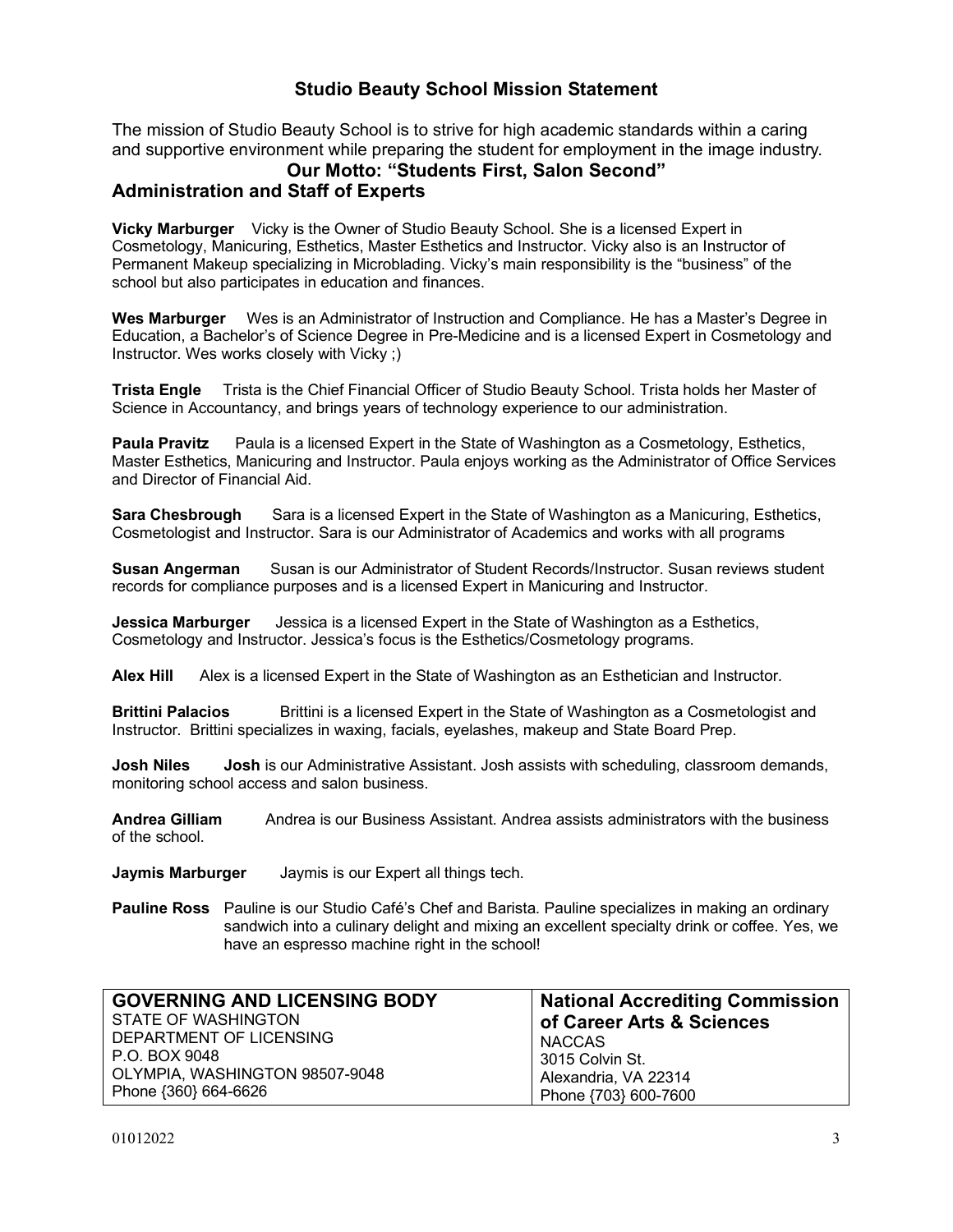# **Studio Beauty School Mission Statement**

The mission of Studio Beauty School is to strive for high academic standards within a caring and supportive environment while preparing the student for employment in the image industry.

# **Our Motto: "Students First, Salon Second"**

# **Administration and Staff of Experts**

**Vicky Marburger** Vicky is the Owner of Studio Beauty School. She is a licensed Expert in Cosmetology, Manicuring, Esthetics, Master Esthetics and Instructor. Vicky also is an Instructor of Permanent Makeup specializing in Microblading. Vicky's main responsibility is the "business" of the school but also participates in education and finances.

**Wes Marburger** Wes is an Administrator of Instruction and Compliance. He has a Master's Degree in Education, a Bachelor's of Science Degree in Pre-Medicine and is a licensed Expert in Cosmetology and Instructor. Wes works closely with Vicky ;)

**Trista Engle** Trista is the Chief Financial Officer of Studio Beauty School. Trista holds her Master of Science in Accountancy, and brings years of technology experience to our administration.

**Paula Pravitz** Paula is a licensed Expert in the State of Washington as a Cosmetology, Esthetics, Master Esthetics, Manicuring and Instructor. Paula enjoys working as the Administrator of Office Services and Director of Financial Aid.

**Sara Chesbrough** Sara is a licensed Expert in the State of Washington as a Manicuring, Esthetics, Cosmetologist and Instructor. Sara is our Administrator of Academics and works with all programs

**Susan Angerman** Susan is our Administrator of Student Records/Instructor. Susan reviews student records for compliance purposes and is a licensed Expert in Manicuring and Instructor.

**Jessica Marburger** Jessica is a licensed Expert in the State of Washington as a Esthetics, Cosmetology and Instructor. Jessica's focus is the Esthetics/Cosmetology programs.

**Alex Hill** Alex is a licensed Expert in the State of Washington as an Esthetician and Instructor.

**Brittini Palacios** Brittini is a licensed Expert in the State of Washington as a Cosmetologist and Instructor. Brittini specializes in waxing, facials, eyelashes, makeup and State Board Prep.

**Josh Niles Josh** is our Administrative Assistant. Josh assists with scheduling, classroom demands, monitoring school access and salon business.

**Andrea Gilliam** Andrea is our Business Assistant. Andrea assists administrators with the business of the school.

**Jaymis Marburger** Jaymis is our Expert all things tech.

**Pauline Ross** Pauline is our Studio Café's Chef and Barista. Pauline specializes in making an ordinary sandwich into a culinary delight and mixing an excellent specialty drink or coffee. Yes, we have an espresso machine right in the school!

| <b>GOVERNING AND LICENSING BODY</b> | <b>National Accrediting Commission</b> |
|-------------------------------------|----------------------------------------|
| STATE OF WASHINGTON                 | of Career Arts & Sciences              |
| DEPARTMENT OF LICENSING             | NACCAS                                 |
| P.O. BOX 9048                       | 3015 Colvin St.                        |
| OLYMPIA, WASHINGTON 98507-9048      | Alexandria, VA 22314                   |
| Phone {360} 664-6626                | Phone {703} 600-7600                   |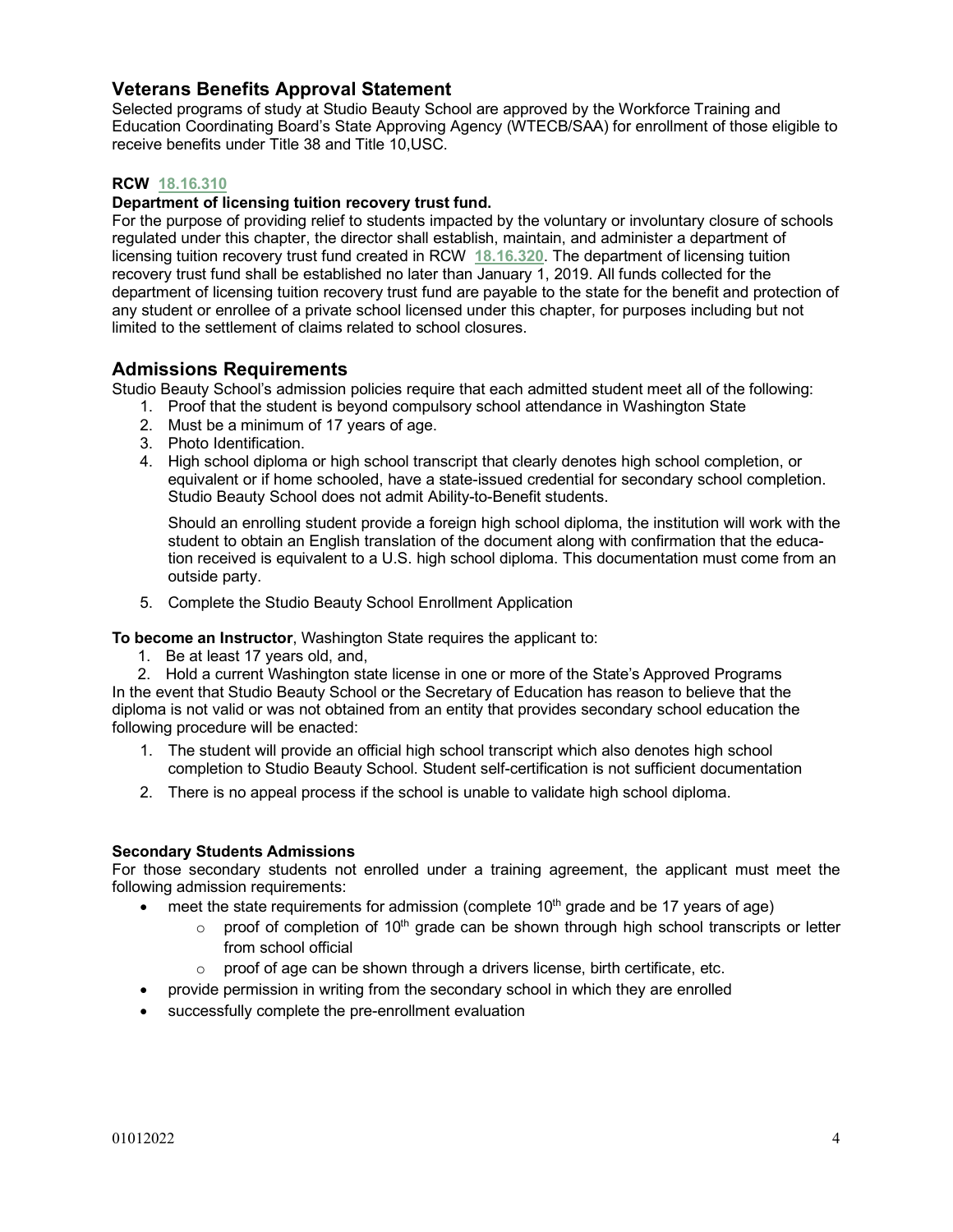# **Veterans Benefits Approval Statement**

Selected programs of study at Studio Beauty School are approved by the Workforce Training and Education Coordinating Board's State Approving Agency (WTECB/SAA) for enrollment of those eligible to receive benefits under Title 38 and Title 10,USC.

## **RCW 18.16.310**

# **Department of licensing tuition recovery trust fund.**

For the purpose of providing relief to students impacted by the voluntary or involuntary closure of schools regulated under this chapter, the director shall establish, maintain, and administer a department of licensing tuition recovery trust fund created in RCW **18.16.320**. The department of licensing tuition recovery trust fund shall be established no later than January 1, 2019. All funds collected for the department of licensing tuition recovery trust fund are payable to the state for the benefit and protection of any student or enrollee of a private school licensed under this chapter, for purposes including but not limited to the settlement of claims related to school closures.

# **Admissions Requirements**

Studio Beauty School's admission policies require that each admitted student meet all of the following:

- 1. Proof that the student is beyond compulsory school attendance in Washington State
- 2. Must be a minimum of 17 years of age.
- 3. Photo Identification.
- 4. High school diploma or high school transcript that clearly denotes high school completion, or equivalent or if home schooled, have a state-issued credential for secondary school completion. Studio Beauty School does not admit Ability-to-Benefit students.

Should an enrolling student provide a foreign high school diploma, the institution will work with the student to obtain an English translation of the document along with confirmation that the education received is equivalent to a U.S. high school diploma. This documentation must come from an outside party.

5. Complete the Studio Beauty School Enrollment Application

**To become an Instructor**, Washington State requires the applicant to:

1. Be at least 17 years old, and,

2. Hold a current Washington state license in one or more of the State's Approved Programs In the event that Studio Beauty School or the Secretary of Education has reason to believe that the diploma is not valid or was not obtained from an entity that provides secondary school education the following procedure will be enacted:

- 1. The student will provide an official high school transcript which also denotes high school completion to Studio Beauty School. Student self-certification is not sufficient documentation
- 2. There is no appeal process if the school is unable to validate high school diploma.

## **Secondary Students Admissions**

For those secondary students not enrolled under a training agreement, the applicant must meet the following admission requirements:

- meet the state requirements for admission (complete  $10<sup>th</sup>$  grade and be 17 years of age)
	- $\circ$  proof of completion of 10<sup>th</sup> grade can be shown through high school transcripts or letter from school official
	- o proof of age can be shown through a drivers license, birth certificate, etc.
- provide permission in writing from the secondary school in which they are enrolled
- successfully complete the pre-enrollment evaluation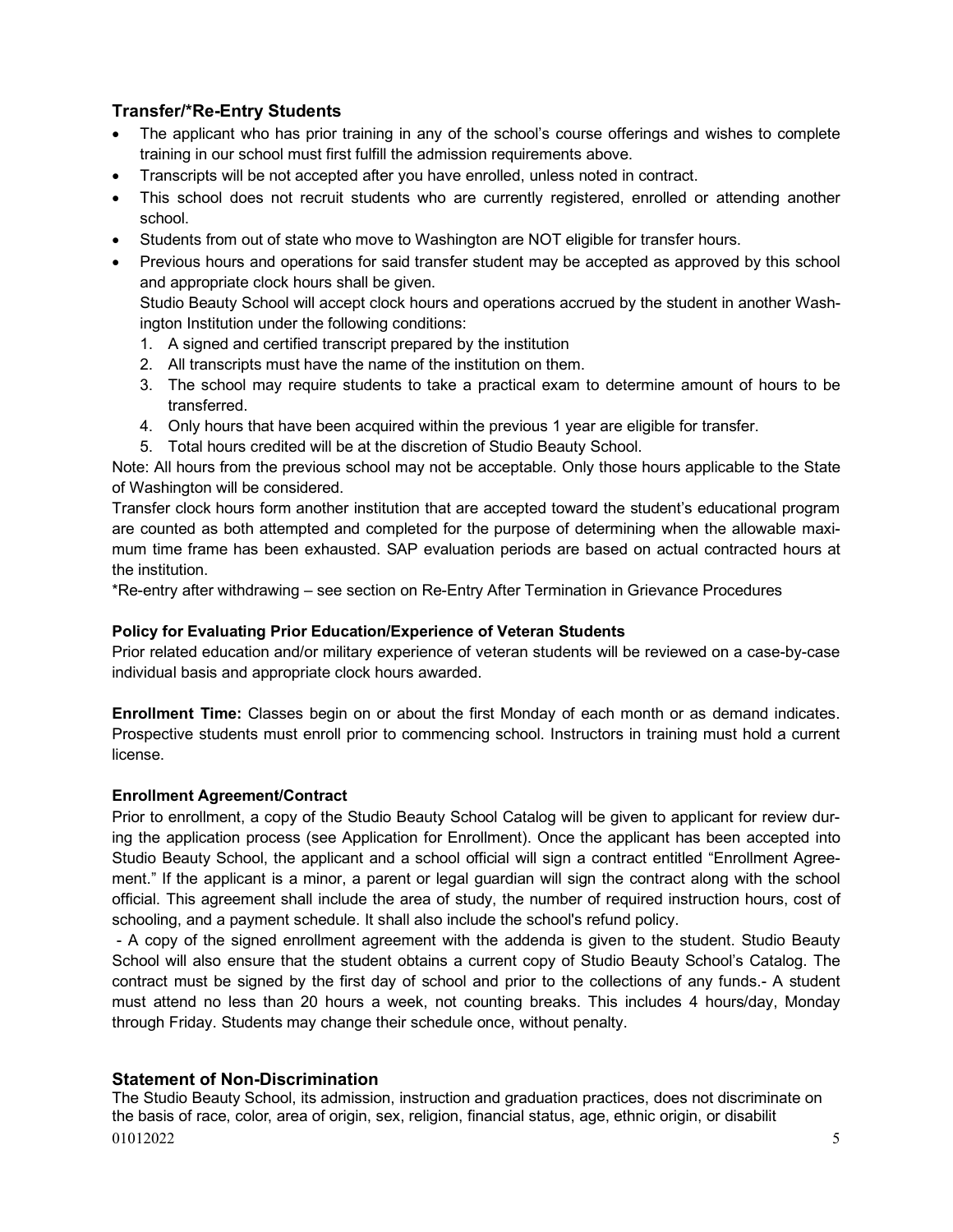# **Transfer/\*Re-Entry Students**

- The applicant who has prior training in any of the school's course offerings and wishes to complete training in our school must first fulfill the admission requirements above.
- Transcripts will be not accepted after you have enrolled, unless noted in contract.
- This school does not recruit students who are currently registered, enrolled or attending another school.
- Students from out of state who move to Washington are NOT eligible for transfer hours.
- Previous hours and operations for said transfer student may be accepted as approved by this school and appropriate clock hours shall be given.

Studio Beauty School will accept clock hours and operations accrued by the student in another Washington Institution under the following conditions:

- 1. A signed and certified transcript prepared by the institution
- 2. All transcripts must have the name of the institution on them.
- 3. The school may require students to take a practical exam to determine amount of hours to be transferred.
- 4. Only hours that have been acquired within the previous 1 year are eligible for transfer.
- 5. Total hours credited will be at the discretion of Studio Beauty School.

Note: All hours from the previous school may not be acceptable. Only those hours applicable to the State of Washington will be considered.

Transfer clock hours form another institution that are accepted toward the student's educational program are counted as both attempted and completed for the purpose of determining when the allowable maximum time frame has been exhausted. SAP evaluation periods are based on actual contracted hours at the institution.

\*Re-entry after withdrawing – see section on Re-Entry After Termination in Grievance Procedures

## **Policy for Evaluating Prior Education/Experience of Veteran Students**

Prior related education and/or military experience of veteran students will be reviewed on a case-by-case individual basis and appropriate clock hours awarded.

**Enrollment Time:** Classes begin on or about the first Monday of each month or as demand indicates. Prospective students must enroll prior to commencing school. Instructors in training must hold a current license.

## **Enrollment Agreement/Contract**

Prior to enrollment, a copy of the Studio Beauty School Catalog will be given to applicant for review during the application process (see Application for Enrollment). Once the applicant has been accepted into Studio Beauty School, the applicant and a school official will sign a contract entitled "Enrollment Agreement." If the applicant is a minor, a parent or legal guardian will sign the contract along with the school official. This agreement shall include the area of study, the number of required instruction hours, cost of schooling, and a payment schedule. It shall also include the school's refund policy.

- A copy of the signed enrollment agreement with the addenda is given to the student. Studio Beauty School will also ensure that the student obtains a current copy of Studio Beauty School's Catalog. The contract must be signed by the first day of school and prior to the collections of any funds.- A student must attend no less than 20 hours a week, not counting breaks. This includes 4 hours/day, Monday through Friday. Students may change their schedule once, without penalty.

# **Statement of Non-Discrimination**

01012022 5 The Studio Beauty School, its admission, instruction and graduation practices, does not discriminate on the basis of race, color, area of origin, sex, religion, financial status, age, ethnic origin, or disabilit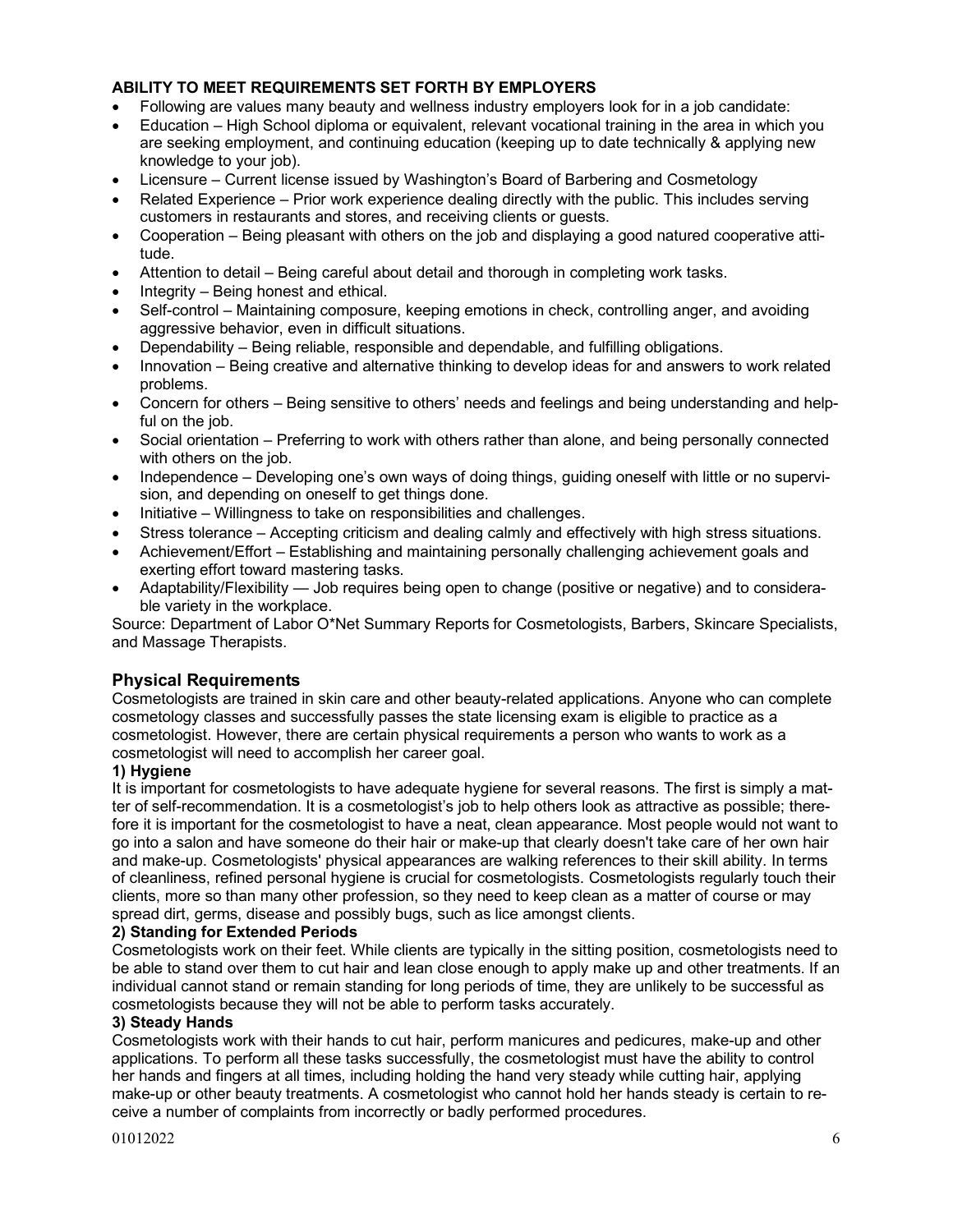# **ABILITY TO MEET REQUIREMENTS SET FORTH BY EMPLOYERS**

- Following are values many beauty and wellness industry employers look for in a job candidate:
- Education High School diploma or equivalent, relevant vocational training in the area in which you are seeking employment, and continuing education (keeping up to date technically & applying new knowledge to your job).
- Licensure Current license issued by Washington's Board of Barbering and Cosmetology
- Related Experience Prior work experience dealing directly with the public. This includes serving customers in restaurants and stores, and receiving clients or guests.
- Cooperation Being pleasant with others on the job and displaying a good natured cooperative attitude.
- Attention to detail Being careful about detail and thorough in completing work tasks.
- Integrity Being honest and ethical.
- Self-control Maintaining composure, keeping emotions in check, controlling anger, and avoiding aggressive behavior, even in difficult situations.
- Dependability Being reliable, responsible and dependable, and fulfilling obligations.
- Innovation Being creative and alternative thinking to develop ideas for and answers to work related problems.
- Concern for others Being sensitive to others' needs and feelings and being understanding and helpful on the job.
- Social orientation Preferring to work with others rather than alone, and being personally connected with others on the job.
- Independence Developing one's own ways of doing things, guiding oneself with little or no supervision, and depending on oneself to get things done.
- Initiative Willingness to take on responsibilities and challenges.
- Stress tolerance Accepting criticism and dealing calmly and effectively with high stress situations.
- Achievement/Effort Establishing and maintaining personally challenging achievement goals and exerting effort toward mastering tasks.
- Adaptability/Flexibility Job requires being open to change (positive or negative) and to considerable variety in the workplace.

Source: Department of Labor O\*Net Summary Reports for Cosmetologists, Barbers, Skincare Specialists, and Massage Therapists.

# **Physical Requirements**

Cosmetologists are trained in skin care and other beauty-related applications. Anyone who can complete cosmetology classes and successfully passes the state licensing exam is eligible to practice as a cosmetologist. However, there are certain physical requirements a person who wants to work as a cosmetologist will need to accomplish her career goal.

## **1) Hygiene**

It is important for cosmetologists to have adequate hygiene for several reasons. The first is simply a matter of self-recommendation. It is a cosmetologist's job to help others look as attractive as possible; therefore it is important for the cosmetologist to have a neat, clean appearance. Most people would not want to go into a salon and have someone do their hair or make-up that clearly doesn't take care of her own hair and make-up. Cosmetologists' physical appearances are walking references to their skill ability. In terms of cleanliness, refined personal hygiene is crucial for cosmetologists. Cosmetologists regularly touch their clients, more so than many other profession, so they need to keep clean as a matter of course or may spread dirt, germs, disease and possibly bugs, such as lice amongst clients.

## **2) Standing for Extended Periods**

Cosmetologists work on their feet. While clients are typically in the sitting position, cosmetologists need to be able to stand over them to cut hair and lean close enough to apply make up and other treatments. If an individual cannot stand or remain standing for long periods of time, they are unlikely to be successful as cosmetologists because they will not be able to perform tasks accurately.

## **3) Steady Hands**

Cosmetologists work with their hands to cut hair, perform manicures and pedicures, make-up and other applications. To perform all these tasks successfully, the cosmetologist must have the ability to control her hands and fingers at all times, including holding the hand very steady while cutting hair, applying make-up or other beauty treatments. A cosmetologist who cannot hold her hands steady is certain to receive a number of complaints from incorrectly or badly performed procedures.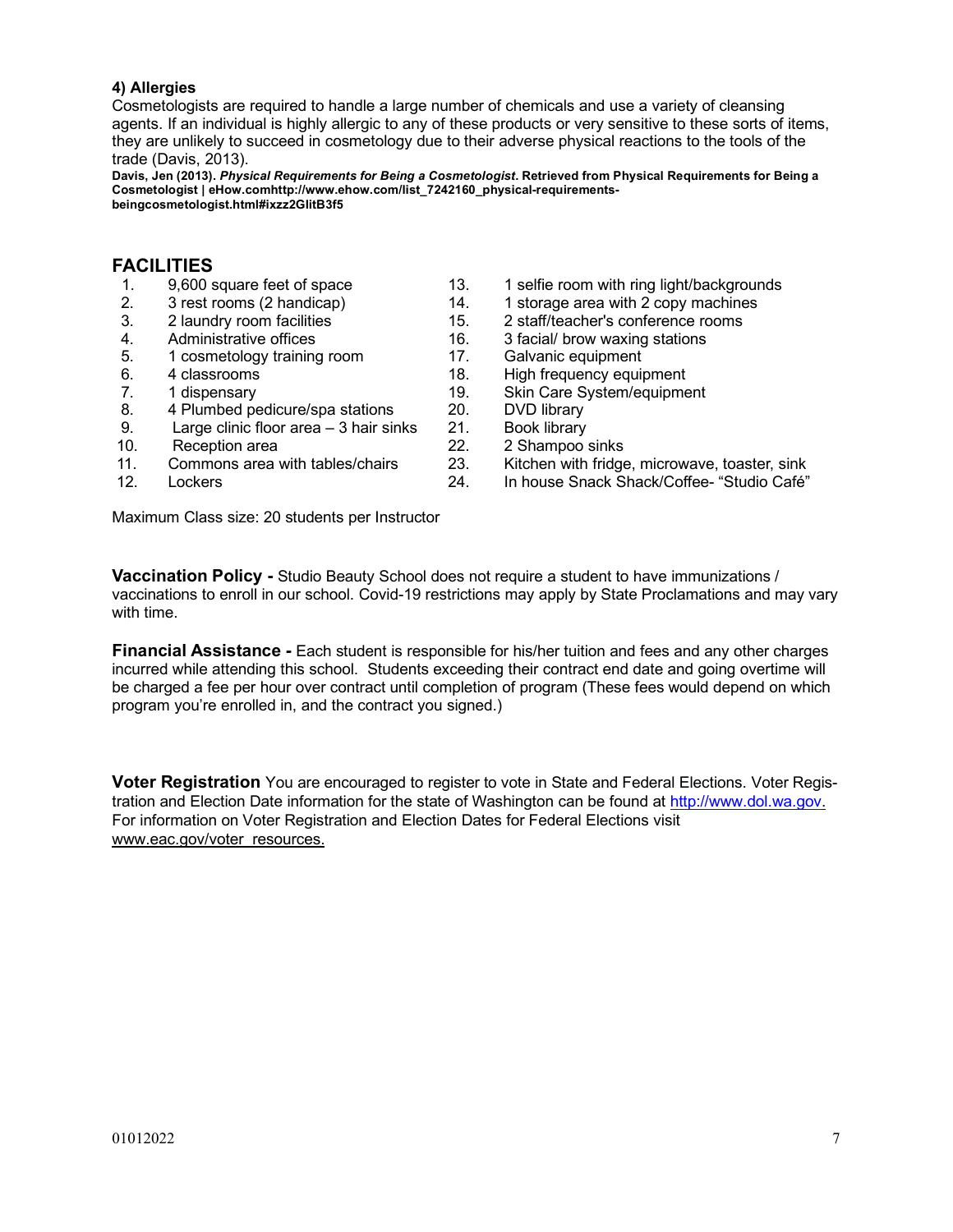# **4) Allergies**

Cosmetologists are required to handle a large number of chemicals and use a variety of cleansing agents. If an individual is highly allergic to any of these products or very sensitive to these sorts of items, they are unlikely to succeed in cosmetology due to their adverse physical reactions to the tools of the trade (Davis, 2013).

**Davis, Jen (2013).** *Physical Requirements for Being a Cosmetologist***. Retrieved from Physical Requirements for Being a Cosmetologist | eHow.comhttp://www.ehow.com/list\_7242160\_physical-requirementsbeingcosmetologist.html#ixzz2GIitB3f5**

# **FACILITIES**

- 
- 
- 
- 
- 5. 1 cosmetology training room 17. Galvanic equipment
- 
- 
- 8. 4 Plumbed pedicure/spa stations 20. DVD library
- 9. Large clinic floor area 3 hair sinks 21. Book library
- 
- 
- 
- 1. 9,600 square feet of space 13. 1 selfie room with ring light/backgrounds<br>2. 3 rest rooms (2 handicap) 14. 1 storage area with 2 copy machines
	- 2. 3 rest rooms (2 handicap) 14. 1 storage area with 2 copy machines
- 3. 2 laundry room facilities 15. 2 staff/teacher's conference rooms
- 4. Administrative offices 16. 3 facial/ brow waxing stations
	-
- 6. 4 classrooms 18. High frequency equipment
- 7. 1 dispensary 19. Skin Care System/equipment
	-
	-
	- Reception area 22. 2 Shampoo sinks
- 11. Commons area with tables/chairs 23. Kitchen with fridge, microwave, toaster, sink
- 12. Lockers 24. In house Snack Shack/Coffee- "Studio Café"

Maximum Class size: 20 students per Instructor

**Vaccination Policy -** Studio Beauty School does not require a student to have immunizations / vaccinations to enroll in our school. Covid-19 restrictions may apply by State Proclamations and may vary with time.

**Financial Assistance -** Each student is responsible for his/her tuition and fees and any other charges incurred while attending this school. Students exceeding their contract end date and going overtime will be charged a fee per hour over contract until completion of program (These fees would depend on which program you're enrolled in, and the contract you signed.)

**Voter Registration** You are encouraged to register to vote in State and Federal Elections. Voter Registration and Election Date information for the state of Washington can be found at http://www.dol.wa.gov. For information on Voter Registration and Election Dates for Federal Elections visit www.eac.gov/voter\_resources.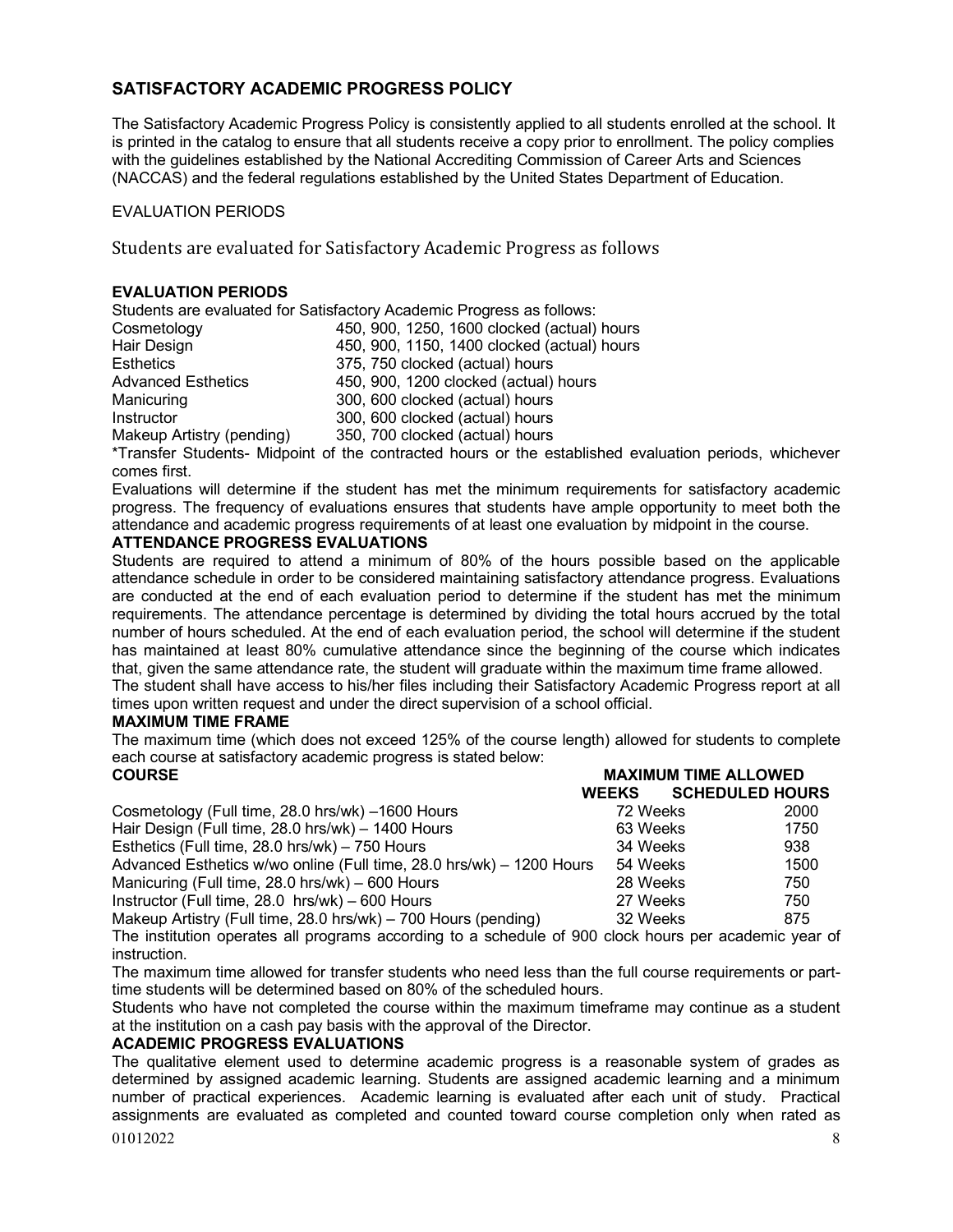# **SATISFACTORY ACADEMIC PROGRESS POLICY**

The Satisfactory Academic Progress Policy is consistently applied to all students enrolled at the school. It is printed in the catalog to ensure that all students receive a copy prior to enrollment. The policy complies with the guidelines established by the National Accrediting Commission of Career Arts and Sciences (NACCAS) and the federal regulations established by the United States Department of Education.

# EVALUATION PERIODS

Students are evaluated for Satisfactory Academic Progress as follows

# **EVALUATION PERIODS**

Students are evaluated for Satisfactory Academic Progress as follows: Cosmetology 450, 900, 1250, 1600 clocked (actual) hours Hair Design 1990, 450, 900, 1150, 1400 clocked (actual) hours<br>Esthatiss 1975, 750 clocked (actual) hours Esthetics 375, 750 clocked (actual) hours

| ESTIBLICS                 | 375, 750 ClOCKED (actual) Hours       |
|---------------------------|---------------------------------------|
| <b>Advanced Esthetics</b> | 450, 900, 1200 clocked (actual) hours |
| Manicuring                | 300, 600 clocked (actual) hours       |
| Instructor                | 300, 600 clocked (actual) hours       |
| Makeup Artistry (pending) | 350, 700 clocked (actual) hours       |

\*Transfer Students- Midpoint of the contracted hours or the established evaluation periods, whichever comes first.

Evaluations will determine if the student has met the minimum requirements for satisfactory academic progress. The frequency of evaluations ensures that students have ample opportunity to meet both the attendance and academic progress requirements of at least one evaluation by midpoint in the course.

## **ATTENDANCE PROGRESS EVALUATIONS**

Students are required to attend a minimum of 80% of the hours possible based on the applicable attendance schedule in order to be considered maintaining satisfactory attendance progress. Evaluations are conducted at the end of each evaluation period to determine if the student has met the minimum requirements. The attendance percentage is determined by dividing the total hours accrued by the total number of hours scheduled. At the end of each evaluation period, the school will determine if the student has maintained at least 80% cumulative attendance since the beginning of the course which indicates that, given the same attendance rate, the student will graduate within the maximum time frame allowed.

The student shall have access to his/her files including their Satisfactory Academic Progress report at all times upon written request and under the direct supervision of a school official.

## **MAXIMUM TIME FRAME**

The maximum time (which does not exceed 125% of the course length) allowed for students to complete each course at satisfactory academic progress is stated below:

| <b>MAXIMUM TIME ALLOWED</b><br><b>COURSE</b>                         |              |                        |
|----------------------------------------------------------------------|--------------|------------------------|
|                                                                      | <b>WEEKS</b> | <b>SCHEDULED HOURS</b> |
| Cosmetology (Full time, 28.0 hrs/wk) -1600 Hours                     | 72 Weeks     | 2000                   |
| Hair Design (Full time, 28.0 hrs/wk) - 1400 Hours                    | 63 Weeks     | 1750                   |
| Esthetics (Full time, 28.0 hrs/wk) - 750 Hours                       | 34 Weeks     | 938                    |
| Advanced Esthetics w/wo online (Full time, 28.0 hrs/wk) - 1200 Hours | 54 Weeks     | 1500                   |
| Manicuring (Full time, 28.0 hrs/wk) – 600 Hours                      | 28 Weeks     | 750                    |
| Instructor (Full time, 28.0 hrs/wk) - 600 Hours                      | 27 Weeks     | 750                    |
| Makeup Artistry (Full time, 28.0 hrs/wk) – 700 Hours (pending)       | 32 Weeks     | 875                    |

The institution operates all programs according to a schedule of 900 clock hours per academic year of instruction.

The maximum time allowed for transfer students who need less than the full course requirements or parttime students will be determined based on 80% of the scheduled hours.

Students who have not completed the course within the maximum timeframe may continue as a student at the institution on a cash pay basis with the approval of the Director.

## **ACADEMIC PROGRESS EVALUATIONS**

 $01012022$  8 The qualitative element used to determine academic progress is a reasonable system of grades as determined by assigned academic learning. Students are assigned academic learning and a minimum number of practical experiences. Academic learning is evaluated after each unit of study. Practical assignments are evaluated as completed and counted toward course completion only when rated as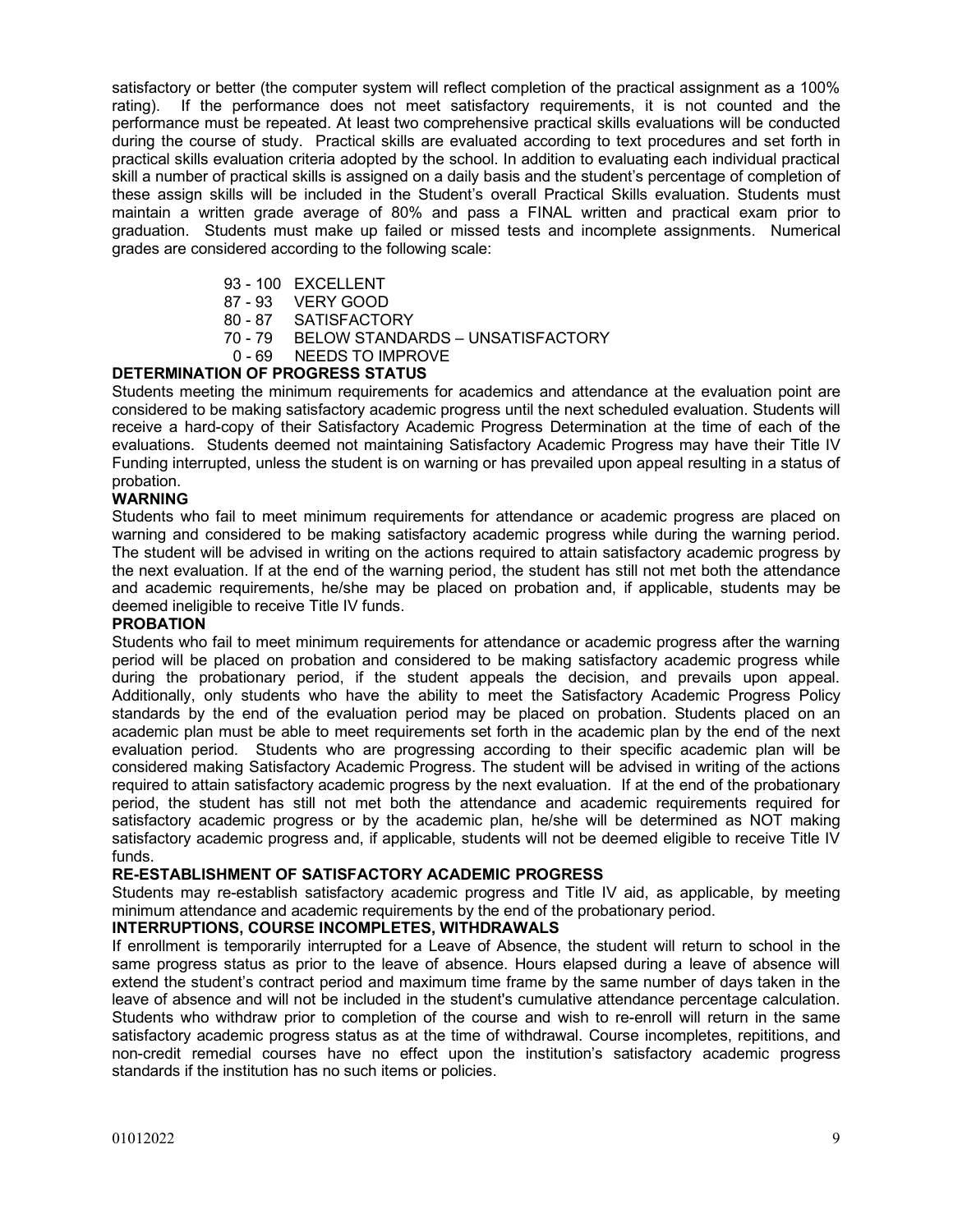satisfactory or better (the computer system will reflect completion of the practical assignment as a 100% rating). If the performance does not meet satisfactory requirements, it is not counted and the performance must be repeated. At least two comprehensive practical skills evaluations will be conducted during the course of study. Practical skills are evaluated according to text procedures and set forth in practical skills evaluation criteria adopted by the school. In addition to evaluating each individual practical skill a number of practical skills is assigned on a daily basis and the student's percentage of completion of these assign skills will be included in the Student's overall Practical Skills evaluation. Students must maintain a written grade average of 80% and pass a FINAL written and practical exam prior to graduation. Students must make up failed or missed tests and incomplete assignments. Numerical grades are considered according to the following scale:

- 93 100 EXCELLENT
- 87 93 VERY GOOD
- 80 87 SATISFACTORY
- 70 79 BELOW STANDARDS UNSATISFACTORY
- 0 69 NEEDS TO IMPROVE

# **DETERMINATION OF PROGRESS STATUS**

Students meeting the minimum requirements for academics and attendance at the evaluation point are considered to be making satisfactory academic progress until the next scheduled evaluation. Students will receive a hard-copy of their Satisfactory Academic Progress Determination at the time of each of the evaluations. Students deemed not maintaining Satisfactory Academic Progress may have their Title IV Funding interrupted, unless the student is on warning or has prevailed upon appeal resulting in a status of probation.

# **WARNING**

Students who fail to meet minimum requirements for attendance or academic progress are placed on warning and considered to be making satisfactory academic progress while during the warning period. The student will be advised in writing on the actions required to attain satisfactory academic progress by the next evaluation. If at the end of the warning period, the student has still not met both the attendance and academic requirements, he/she may be placed on probation and, if applicable, students may be deemed ineligible to receive Title IV funds.

## **PROBATION**

Students who fail to meet minimum requirements for attendance or academic progress after the warning period will be placed on probation and considered to be making satisfactory academic progress while during the probationary period, if the student appeals the decision, and prevails upon appeal. Additionally, only students who have the ability to meet the Satisfactory Academic Progress Policy standards by the end of the evaluation period may be placed on probation. Students placed on an academic plan must be able to meet requirements set forth in the academic plan by the end of the next evaluation period. Students who are progressing according to their specific academic plan will be considered making Satisfactory Academic Progress. The student will be advised in writing of the actions required to attain satisfactory academic progress by the next evaluation. If at the end of the probationary period, the student has still not met both the attendance and academic requirements required for satisfactory academic progress or by the academic plan, he/she will be determined as NOT making satisfactory academic progress and, if applicable, students will not be deemed eligible to receive Title IV funds.

# **RE-ESTABLISHMENT OF SATISFACTORY ACADEMIC PROGRESS**

Students may re-establish satisfactory academic progress and Title IV aid, as applicable, by meeting minimum attendance and academic requirements by the end of the probationary period.

## **INTERRUPTIONS, COURSE INCOMPLETES, WITHDRAWALS**

If enrollment is temporarily interrupted for a Leave of Absence, the student will return to school in the same progress status as prior to the leave of absence. Hours elapsed during a leave of absence will extend the student's contract period and maximum time frame by the same number of days taken in the leave of absence and will not be included in the student's cumulative attendance percentage calculation. Students who withdraw prior to completion of the course and wish to re-enroll will return in the same satisfactory academic progress status as at the time of withdrawal. Course incompletes, repititions, and non-credit remedial courses have no effect upon the institution's satisfactory academic progress standards if the institution has no such items or policies.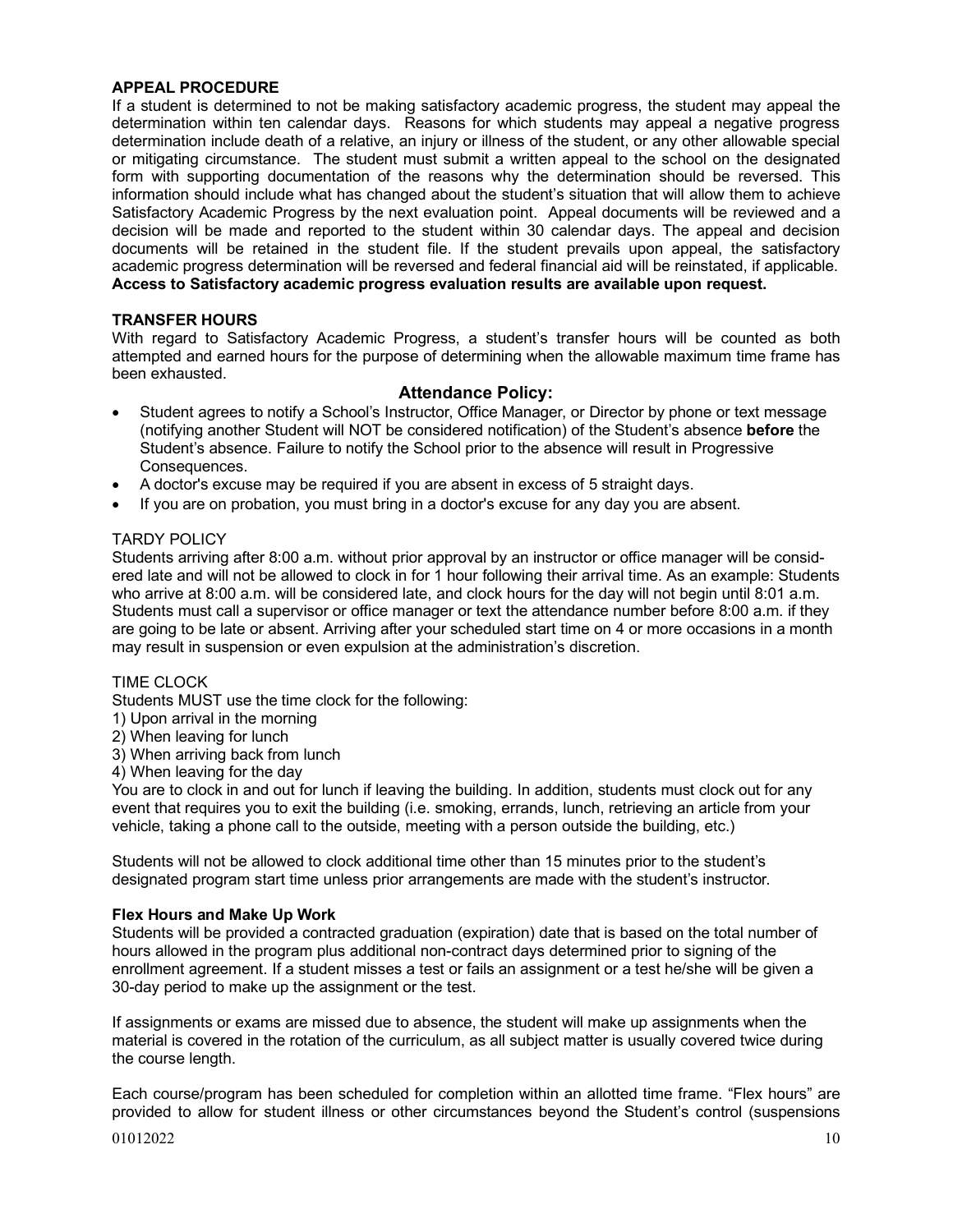# **APPEAL PROCEDURE**

If a student is determined to not be making satisfactory academic progress, the student may appeal the determination within ten calendar days. Reasons for which students may appeal a negative progress determination include death of a relative, an injury or illness of the student, or any other allowable special or mitigating circumstance. The student must submit a written appeal to the school on the designated form with supporting documentation of the reasons why the determination should be reversed. This information should include what has changed about the student's situation that will allow them to achieve Satisfactory Academic Progress by the next evaluation point. Appeal documents will be reviewed and a decision will be made and reported to the student within 30 calendar days. The appeal and decision documents will be retained in the student file. If the student prevails upon appeal, the satisfactory academic progress determination will be reversed and federal financial aid will be reinstated, if applicable. **Access to Satisfactory academic progress evaluation results are available upon request.**

# **TRANSFER HOURS**

With regard to Satisfactory Academic Progress, a student's transfer hours will be counted as both attempted and earned hours for the purpose of determining when the allowable maximum time frame has been exhausted.

# **Attendance Policy:**

- Student agrees to notify a School's Instructor, Office Manager, or Director by phone or text message (notifying another Student will NOT be considered notification) of the Student's absence **before** the Student's absence. Failure to notify the School prior to the absence will result in Progressive Consequences.
- A doctor's excuse may be required if you are absent in excess of 5 straight days.
- If you are on probation, you must bring in a doctor's excuse for any day you are absent.

# TARDY POLICY

Students arriving after 8:00 a.m. without prior approval by an instructor or office manager will be considered late and will not be allowed to clock in for 1 hour following their arrival time. As an example: Students who arrive at 8:00 a.m. will be considered late, and clock hours for the day will not begin until 8:01 a.m. Students must call a supervisor or office manager or text the attendance number before 8:00 a.m. if they are going to be late or absent. Arriving after your scheduled start time on 4 or more occasions in a month may result in suspension or even expulsion at the administration's discretion.

## TIME CLOCK

Students MUST use the time clock for the following:

- 1) Upon arrival in the morning
- 2) When leaving for lunch
- 3) When arriving back from lunch

4) When leaving for the day

You are to clock in and out for lunch if leaving the building. In addition, students must clock out for any event that requires you to exit the building (i.e. smoking, errands, lunch, retrieving an article from your vehicle, taking a phone call to the outside, meeting with a person outside the building, etc.)

Students will not be allowed to clock additional time other than 15 minutes prior to the student's designated program start time unless prior arrangements are made with the student's instructor.

## **Flex Hours and Make Up Work**

Students will be provided a contracted graduation (expiration) date that is based on the total number of hours allowed in the program plus additional non-contract days determined prior to signing of the enrollment agreement. If a student misses a test or fails an assignment or a test he/she will be given a 30-day period to make up the assignment or the test.

If assignments or exams are missed due to absence, the student will make up assignments when the material is covered in the rotation of the curriculum, as all subject matter is usually covered twice during the course length.

Each course/program has been scheduled for completion within an allotted time frame. "Flex hours" are provided to allow for student illness or other circumstances beyond the Student's control (suspensions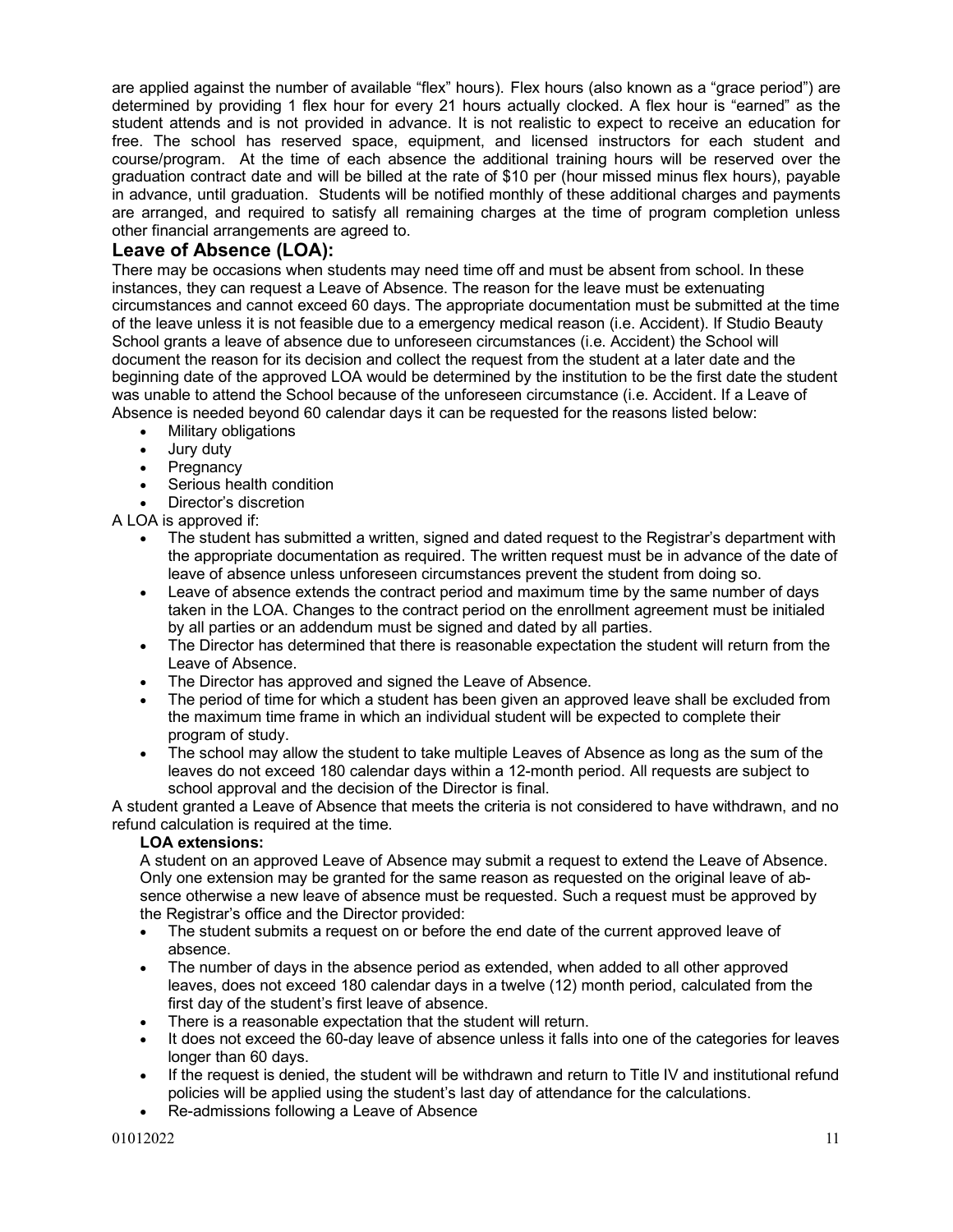are applied against the number of available "flex" hours). Flex hours (also known as a "grace period") are determined by providing 1 flex hour for every 21 hours actually clocked. A flex hour is "earned" as the student attends and is not provided in advance. It is not realistic to expect to receive an education for free. The school has reserved space, equipment, and licensed instructors for each student and course/program. At the time of each absence the additional training hours will be reserved over the graduation contract date and will be billed at the rate of \$10 per (hour missed minus flex hours), payable in advance, until graduation. Students will be notified monthly of these additional charges and payments are arranged, and required to satisfy all remaining charges at the time of program completion unless other financial arrangements are agreed to.

# **Leave of Absence (LOA):**

There may be occasions when students may need time off and must be absent from school. In these instances, they can request a Leave of Absence. The reason for the leave must be extenuating circumstances and cannot exceed 60 days. The appropriate documentation must be submitted at the time of the leave unless it is not feasible due to a emergency medical reason (i.e. Accident). If Studio Beauty School grants a leave of absence due to unforeseen circumstances (i.e. Accident) the School will document the reason for its decision and collect the request from the student at a later date and the beginning date of the approved LOA would be determined by the institution to be the first date the student was unable to attend the School because of the unforeseen circumstance (i.e. Accident. If a Leave of Absence is needed beyond 60 calendar days it can be requested for the reasons listed below:

- Military obligations
- Jury duty
- **Pregnancy**
- Serious health condition
- Director's discretion

A LOA is approved if:

- The student has submitted a written, signed and dated request to the Registrar's department with the appropriate documentation as required. The written request must be in advance of the date of leave of absence unless unforeseen circumstances prevent the student from doing so.
- Leave of absence extends the contract period and maximum time by the same number of days taken in the LOA. Changes to the contract period on the enrollment agreement must be initialed by all parties or an addendum must be signed and dated by all parties.
- The Director has determined that there is reasonable expectation the student will return from the Leave of Absence.
- The Director has approved and signed the Leave of Absence.
- The period of time for which a student has been given an approved leave shall be excluded from the maximum time frame in which an individual student will be expected to complete their program of study.
- The school may allow the student to take multiple Leaves of Absence as long as the sum of the leaves do not exceed 180 calendar days within a 12-month period. All requests are subject to school approval and the decision of the Director is final.

A student granted a Leave of Absence that meets the criteria is not considered to have withdrawn, and no refund calculation is required at the time.

# **LOA extensions:**

A student on an approved Leave of Absence may submit a request to extend the Leave of Absence. Only one extension may be granted for the same reason as requested on the original leave of absence otherwise a new leave of absence must be requested. Such a request must be approved by the Registrar's office and the Director provided:

- The student submits a request on or before the end date of the current approved leave of absence.
- The number of days in the absence period as extended, when added to all other approved leaves, does not exceed 180 calendar days in a twelve (12) month period, calculated from the first day of the student's first leave of absence.
- There is a reasonable expectation that the student will return.
- It does not exceed the 60-day leave of absence unless it falls into one of the categories for leaves longer than 60 days.
- If the request is denied, the student will be withdrawn and return to Title IV and institutional refund policies will be applied using the student's last day of attendance for the calculations.
- Re-admissions following a Leave of Absence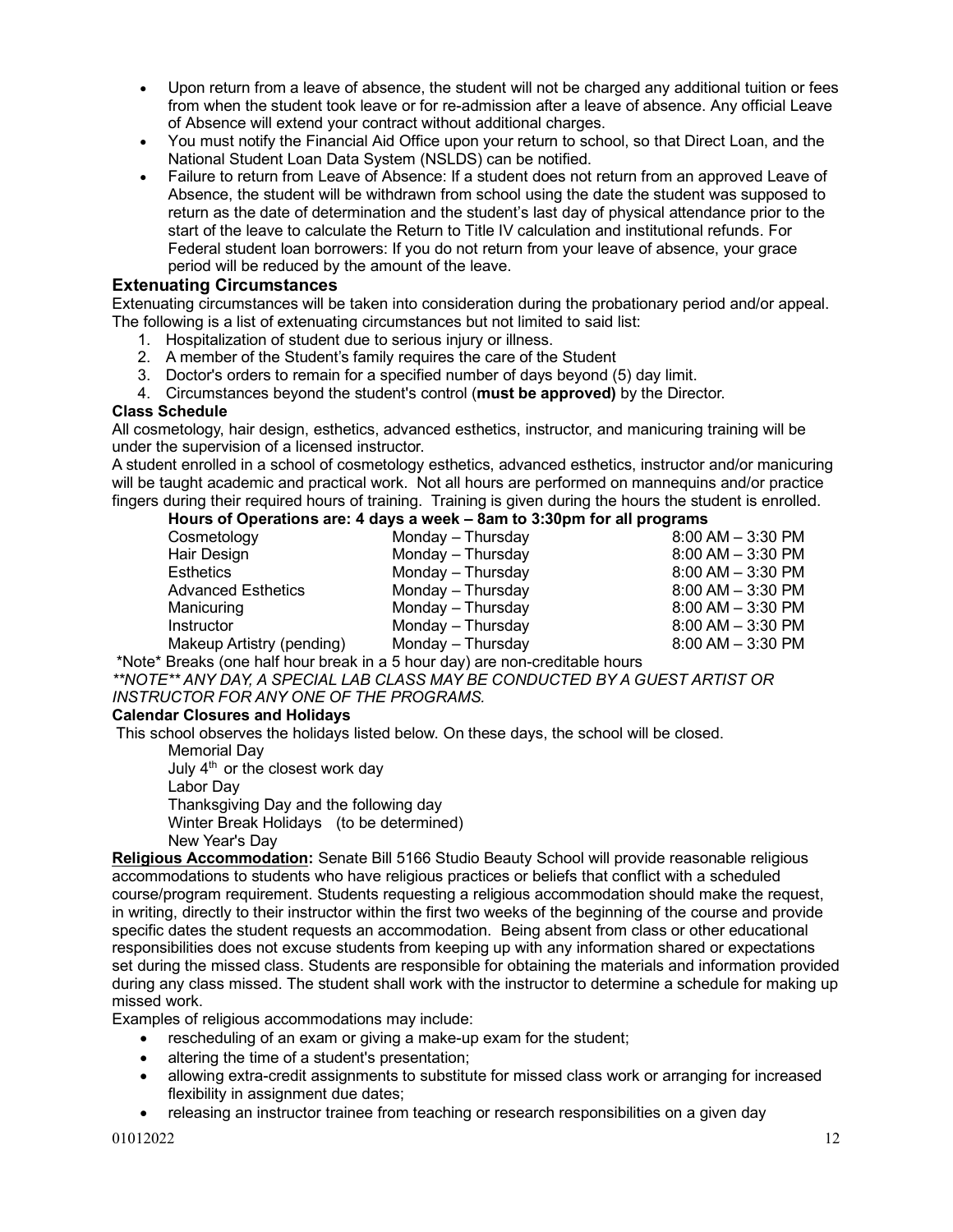- Upon return from a leave of absence, the student will not be charged any additional tuition or fees from when the student took leave or for re-admission after a leave of absence. Any official Leave of Absence will extend your contract without additional charges.
- You must notify the Financial Aid Office upon your return to school, so that Direct Loan, and the National Student Loan Data System (NSLDS) can be notified.
- Failure to return from Leave of Absence: If a student does not return from an approved Leave of Absence, the student will be withdrawn from school using the date the student was supposed to return as the date of determination and the student's last day of physical attendance prior to the start of the leave to calculate the Return to Title IV calculation and institutional refunds. For Federal student loan borrowers: If you do not return from your leave of absence, your grace period will be reduced by the amount of the leave.

# **Extenuating Circumstances**

Extenuating circumstances will be taken into consideration during the probationary period and/or appeal. The following is a list of extenuating circumstances but not limited to said list:

- 1. Hospitalization of student due to serious injury or illness.
- 2. A member of the Student's family requires the care of the Student
- 3. Doctor's orders to remain for a specified number of days beyond (5) day limit.
- 4. Circumstances beyond the student's control (**must be approved)** by the Director.

# **Class Schedule**

All cosmetology, hair design, esthetics, advanced esthetics, instructor, and manicuring training will be under the supervision of a licensed instructor.

A student enrolled in a school of cosmetology esthetics, advanced esthetics, instructor and/or manicuring will be taught academic and practical work. Not all hours are performed on mannequins and/or practice fingers during their required hours of training. Training is given during the hours the student is enrolled.

# **Hours of Operations are: 4 days a week – 8am to 3:30pm for all programs**

| Cosmetology               | Monday - Thursday | $8:00$ AM $-3:30$ PM |
|---------------------------|-------------------|----------------------|
| Hair Design               | Monday - Thursday | $8:00$ AM $-3:30$ PM |
| Esthetics                 | Monday - Thursday | $8:00$ AM $-3:30$ PM |
| <b>Advanced Esthetics</b> | Monday - Thursday | $8:00$ AM $-3:30$ PM |
| Manicuring                | Monday - Thursday | $8:00$ AM $-3:30$ PM |
| Instructor                | Monday - Thursday | $8:00$ AM $-3:30$ PM |
| Makeup Artistry (pending) | Monday - Thursday | $8:00$ AM $-3:30$ PM |
|                           |                   |                      |

\*Note\* Breaks (one half hour break in a 5 hour day) are non-creditable hours

*\*\*NOTE\*\* ANY DAY, A SPECIAL LAB CLASS MAY BE CONDUCTED BY A GUEST ARTIST OR INSTRUCTOR FOR ANY ONE OF THE PROGRAMS.*

# **Calendar Closures and Holidays**

This school observes the holidays listed below. On these days, the school will be closed.

 Memorial Day July  $4<sup>th</sup>$  or the closest work day Labor Day Thanksgiving Day and the following day Winter Break Holidays (to be determined) New Year's Day

**Religious Accommodation:** Senate Bill 5166 Studio Beauty School will provide reasonable religious accommodations to students who have religious practices or beliefs that conflict with a scheduled course/program requirement. Students requesting a religious accommodation should make the request, in writing, directly to their instructor within the first two weeks of the beginning of the course and provide specific dates the student requests an accommodation. Being absent from class or other educational responsibilities does not excuse students from keeping up with any information shared or expectations set during the missed class. Students are responsible for obtaining the materials and information provided during any class missed. The student shall work with the instructor to determine a schedule for making up missed work.

Examples of religious accommodations may include:

- rescheduling of an exam or giving a make-up exam for the student;
- altering the time of a student's presentation;
- allowing extra-credit assignments to substitute for missed class work or arranging for increased flexibility in assignment due dates;
- releasing an instructor trainee from teaching or research responsibilities on a given day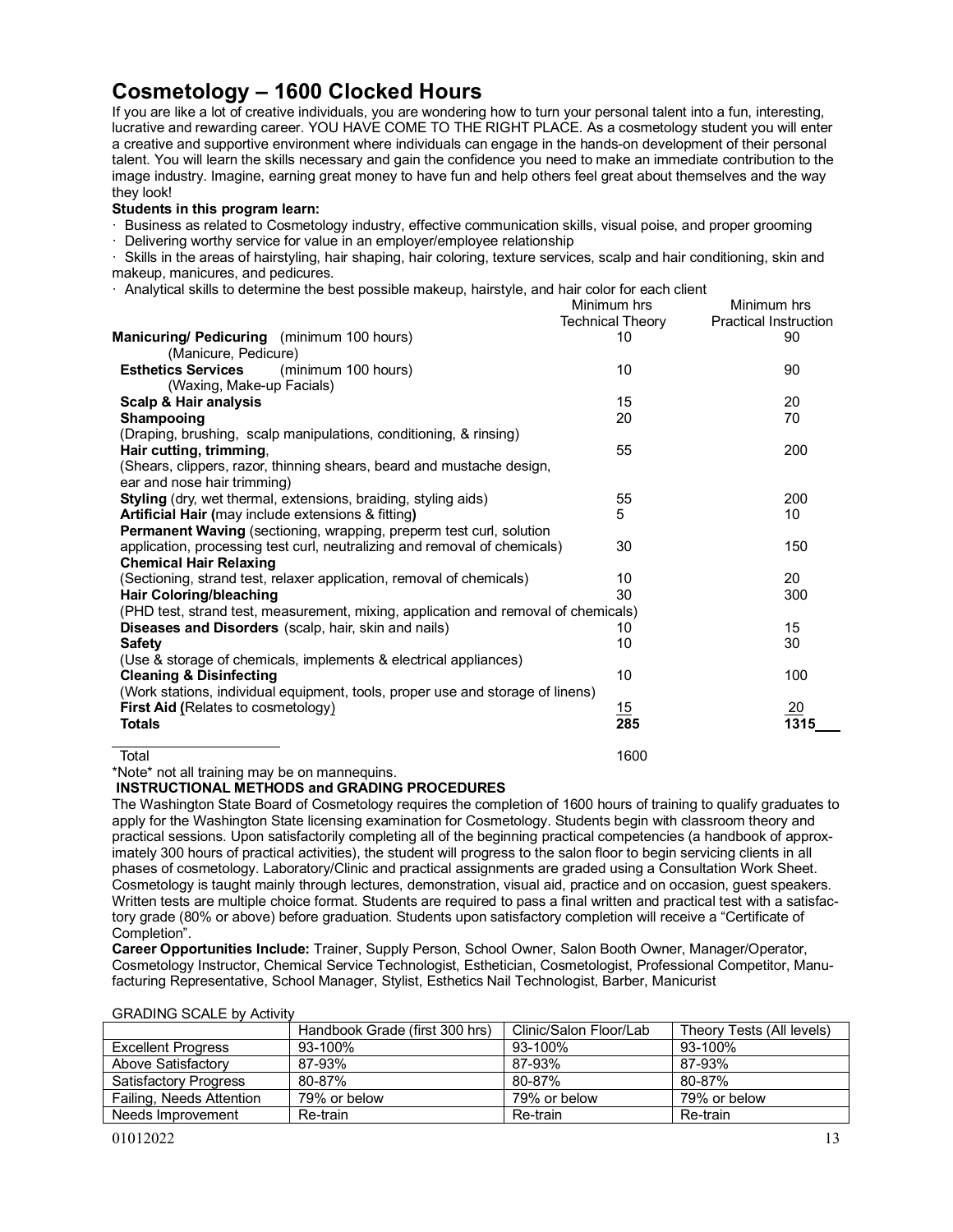# **Cosmetology – 1600 Clocked Hours**

If you are like a lot of creative individuals, you are wondering how to turn your personal talent into a fun, interesting, lucrative and rewarding career. YOU HAVE COME TO THE RIGHT PLACE. As a cosmetology student you will enter a creative and supportive environment where individuals can engage in the hands-on development of their personal talent. You will learn the skills necessary and gain the confidence you need to make an immediate contribution to the image industry. Imagine, earning great money to have fun and help others feel great about themselves and the way they look!

#### **Students in this program learn:**

· Business as related to Cosmetology industry, effective communication skills, visual poise, and proper grooming

· Delivering worthy service for value in an employer/employee relationship

· Skills in the areas of hairstyling, hair shaping, hair coloring, texture services, scalp and hair conditioning, skin and makeup, manicures, and pedicures.

· Analytical skills to determine the best possible makeup, hairstyle, and hair color for each client

|                                                                                    | Minimum hrs<br><b>Technical Theory</b> | Minimum hrs<br><b>Practical Instruction</b> |
|------------------------------------------------------------------------------------|----------------------------------------|---------------------------------------------|
| Manicuring/ Pedicuring (minimum 100 hours)                                         | 10                                     | 90                                          |
| (Manicure, Pedicure)                                                               |                                        |                                             |
| <b>Esthetics Services</b><br>(minimum 100 hours)                                   | 10                                     | 90                                          |
| (Waxing, Make-up Facials)                                                          |                                        |                                             |
| Scalp & Hair analysis                                                              | 15                                     | 20                                          |
| Shampooing                                                                         | 20                                     | 70                                          |
| (Draping, brushing, scalp manipulations, conditioning, & rinsing)                  |                                        |                                             |
| Hair cutting, trimming,                                                            | 55                                     | 200                                         |
| (Shears, clippers, razor, thinning shears, beard and mustache design,              |                                        |                                             |
| ear and nose hair trimming)                                                        |                                        |                                             |
| Styling (dry, wet thermal, extensions, braiding, styling aids)                     | 55                                     | 200                                         |
| Artificial Hair (may include extensions & fitting)                                 | 5                                      | 10                                          |
| Permanent Waving (sectioning, wrapping, preperm test curl, solution                |                                        |                                             |
| application, processing test curl, neutralizing and removal of chemicals)          | 30                                     | 150                                         |
| <b>Chemical Hair Relaxing</b>                                                      |                                        |                                             |
| (Sectioning, strand test, relaxer application, removal of chemicals)               | 10                                     | 20                                          |
| <b>Hair Coloring/bleaching</b>                                                     | 30                                     | 300                                         |
| (PHD test, strand test, measurement, mixing, application and removal of chemicals) |                                        |                                             |
| <b>Diseases and Disorders</b> (scalp, hair, skin and nails)                        | 10                                     | 15                                          |
| <b>Safety</b>                                                                      | 10                                     | 30                                          |
| (Use & storage of chemicals, implements & electrical appliances)                   |                                        |                                             |
| <b>Cleaning &amp; Disinfecting</b>                                                 | 10                                     | 100                                         |
| (Work stations, individual equipment, tools, proper use and storage of linens)     |                                        |                                             |
|                                                                                    |                                        |                                             |
| <b>First Aid (Relates to cosmetology)</b>                                          | 15<br>285                              | <u> 20</u>                                  |
| <b>Totals</b>                                                                      |                                        | 1315                                        |
| Total                                                                              | 1600                                   |                                             |

\*Note\* not all training may be on mannequins.

**INSTRUCTIONAL METHODS and GRADING PROCEDURES**

The Washington State Board of Cosmetology requires the completion of 1600 hours of training to qualify graduates to apply for the Washington State licensing examination for Cosmetology. Students begin with classroom theory and practical sessions. Upon satisfactorily completing all of the beginning practical competencies (a handbook of approximately 300 hours of practical activities), the student will progress to the salon floor to begin servicing clients in all phases of cosmetology. Laboratory/Clinic and practical assignments are graded using a Consultation Work Sheet. Cosmetology is taught mainly through lectures, demonstration, visual aid, practice and on occasion, guest speakers. Written tests are multiple choice format. Students are required to pass a final written and practical test with a satisfactory grade (80% or above) before graduation. Students upon satisfactory completion will receive a "Certificate of Completion".

**Career Opportunities Include:** Trainer, Supply Person, School Owner, Salon Booth Owner, Manager/Operator, Cosmetology Instructor, Chemical Service Technologist, Esthetician, Cosmetologist, Professional Competitor, Manufacturing Representative, School Manager, Stylist, Esthetics Nail Technologist, Barber, Manicurist

| <b>OITADIIYO OCALL DY ACTIVITY</b> |                                |                        |                           |
|------------------------------------|--------------------------------|------------------------|---------------------------|
|                                    | Handbook Grade (first 300 hrs) | Clinic/Salon Floor/Lab | Theory Tests (All levels) |
| <b>Excellent Progress</b>          | 93-100%                        | 93-100%                | 93-100%                   |
| Above Satisfactory                 | 87-93%                         | 87-93%                 | 87-93%                    |
| <b>Satisfactory Progress</b>       | 80-87%                         | 80-87%                 | 80-87%                    |
| Failing, Needs Attention           | 79% or below                   | 79% or below           | 79% or below              |
| Needs Improvement                  | Re-train                       | Re-train               | Re-train                  |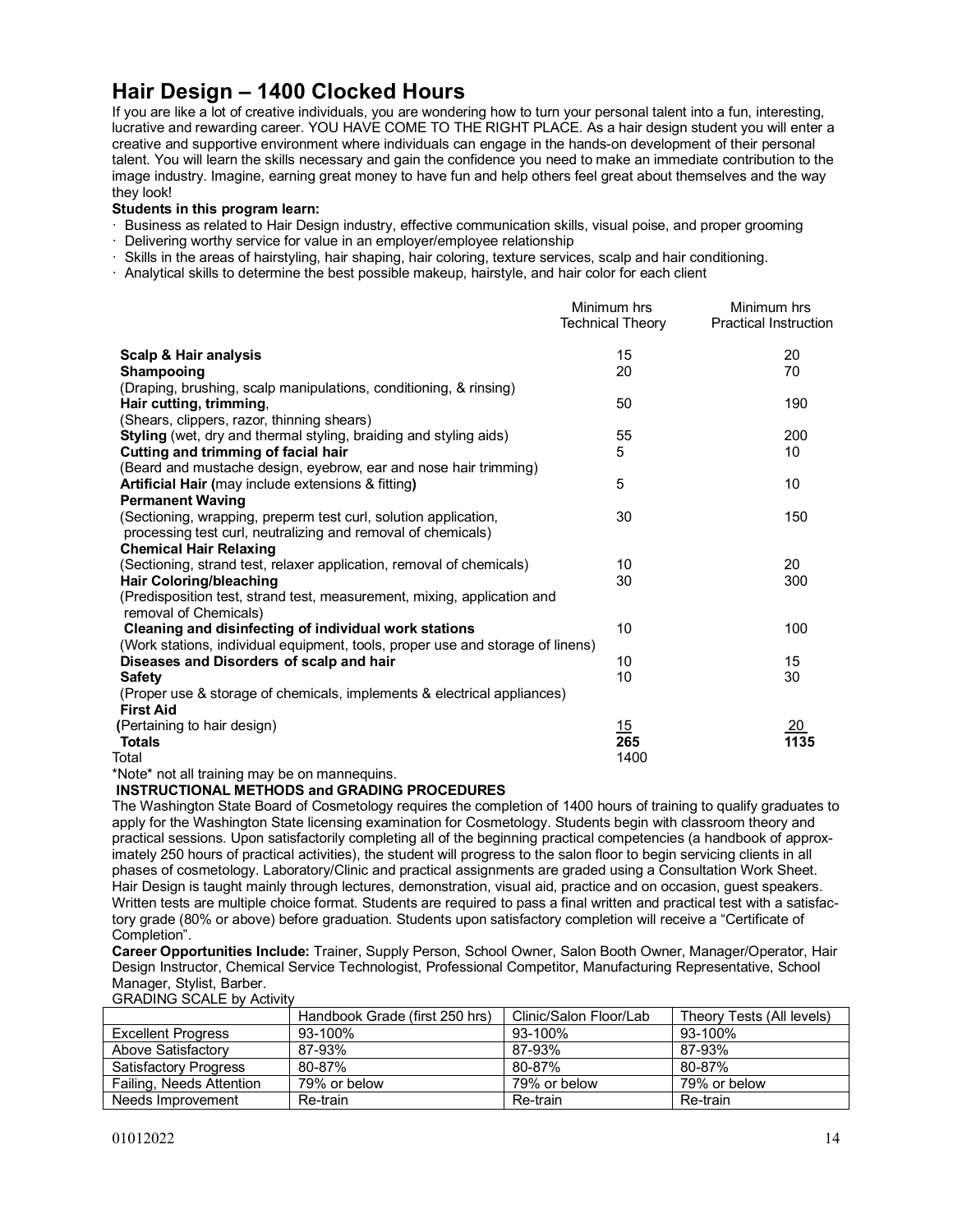# **Hair Design – 1400 Clocked Hours**

If you are like a lot of creative individuals, you are wondering how to turn your personal talent into a fun, interesting, lucrative and rewarding career. YOU HAVE COME TO THE RIGHT PLACE. As a hair design student you will enter a creative and supportive environment where individuals can engage in the hands-on development of their personal talent. You will learn the skills necessary and gain the confidence you need to make an immediate contribution to the image industry. Imagine, earning great money to have fun and help others feel great about themselves and the way they look!

#### **Students in this program learn:**

- · Business as related to Hair Design industry, effective communication skills, visual poise, and proper grooming
- · Delivering worthy service for value in an employer/employee relationship
- · Skills in the areas of hairstyling, hair shaping, hair coloring, texture services, scalp and hair conditioning.
- · Analytical skills to determine the best possible makeup, hairstyle, and hair color for each client

|                                                                                | Minimum hrs             | Minimum hrs                  |
|--------------------------------------------------------------------------------|-------------------------|------------------------------|
|                                                                                | <b>Technical Theory</b> | <b>Practical Instruction</b> |
| <b>Scalp &amp; Hair analysis</b>                                               | 15                      | 20                           |
| Shampooing                                                                     | 20                      | 70                           |
| (Draping, brushing, scalp manipulations, conditioning, & rinsing)              |                         |                              |
| Hair cutting, trimming,                                                        | 50                      | 190                          |
| (Shears, clippers, razor, thinning shears)                                     |                         |                              |
| Styling (wet, dry and thermal styling, braiding and styling aids)              | 55                      | 200                          |
| Cutting and trimming of facial hair                                            | 5                       | 10                           |
| (Beard and mustache design, eyebrow, ear and nose hair trimming)               |                         |                              |
| Artificial Hair (may include extensions & fitting)                             | 5                       | 10                           |
| <b>Permanent Waving</b>                                                        |                         |                              |
| (Sectioning, wrapping, preperm test curl, solution application,                | 30                      | 150                          |
| processing test curl, neutralizing and removal of chemicals)                   |                         |                              |
| <b>Chemical Hair Relaxing</b>                                                  |                         |                              |
| (Sectioning, strand test, relaxer application, removal of chemicals)           | 10                      | 20                           |
| <b>Hair Coloring/bleaching</b>                                                 | 30                      | 300                          |
| (Predisposition test, strand test, measurement, mixing, application and        |                         |                              |
| removal of Chemicals)                                                          |                         |                              |
| Cleaning and disinfecting of individual work stations                          | 10                      | 100                          |
| (Work stations, individual equipment, tools, proper use and storage of linens) |                         |                              |
| Diseases and Disorders of scalp and hair                                       | 10                      | 15                           |
| <b>Safety</b>                                                                  | 10                      | 30                           |
| (Proper use & storage of chemicals, implements & electrical appliances)        |                         |                              |
| <b>First Aid</b>                                                               |                         |                              |
| (Pertaining to hair design)                                                    | 15                      | <u>20</u>                    |
| <b>Totals</b>                                                                  | 265                     | 1135                         |
| Total                                                                          | 1400                    |                              |

\*Note\* not all training may be on mannequins.

#### **INSTRUCTIONAL METHODS and GRADING PROCEDURES**

The Washington State Board of Cosmetology requires the completion of 1400 hours of training to qualify graduates to apply for the Washington State licensing examination for Cosmetology. Students begin with classroom theory and practical sessions. Upon satisfactorily completing all of the beginning practical competencies (a handbook of approximately 250 hours of practical activities), the student will progress to the salon floor to begin servicing clients in all phases of cosmetology. Laboratory/Clinic and practical assignments are graded using a Consultation Work Sheet. Hair Design is taught mainly through lectures, demonstration, visual aid, practice and on occasion, guest speakers. Written tests are multiple choice format. Students are required to pass a final written and practical test with a satisfactory grade (80% or above) before graduation. Students upon satisfactory completion will receive a "Certificate of Completion".

**Career Opportunities Include:** Trainer, Supply Person, School Owner, Salon Booth Owner, Manager/Operator, Hair Design Instructor, Chemical Service Technologist, Professional Competitor, Manufacturing Representative, School Manager, Stylist, Barber.

|                              | Handbook Grade (first 250 hrs) | Clinic/Salon Floor/Lab | Theory Tests (All levels) |
|------------------------------|--------------------------------|------------------------|---------------------------|
| <b>Excellent Progress</b>    | 93-100%                        | 93-100%                | 93-100%                   |
| Above Satisfactory           | 87-93%                         | 87-93%                 | 87-93%                    |
| <b>Satisfactory Progress</b> | 80-87%                         | 80-87%                 | 80-87%                    |
| Failing, Needs Attention     | 79% or below                   | 79% or below           | 79% or below              |
| Needs Improvement            | Re-train                       | Re-train               | Re-train                  |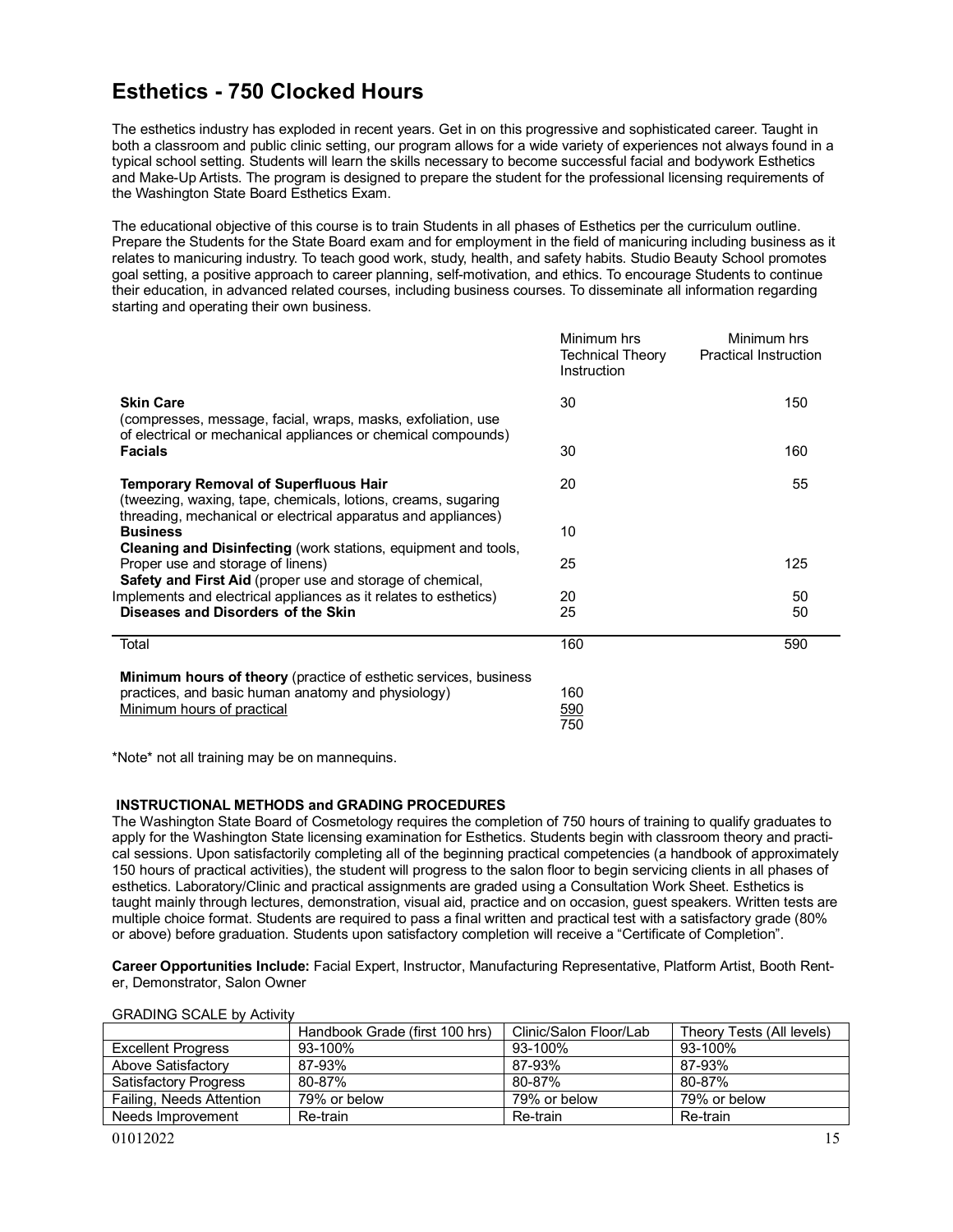# **Esthetics - 750 Clocked Hours**

The esthetics industry has exploded in recent years. Get in on this progressive and sophisticated career. Taught in both a classroom and public clinic setting, our program allows for a wide variety of experiences not always found in a typical school setting. Students will learn the skills necessary to become successful facial and bodywork Esthetics and Make-Up Artists. The program is designed to prepare the student for the professional licensing requirements of the Washington State Board Esthetics Exam.

The educational objective of this course is to train Students in all phases of Esthetics per the curriculum outline. Prepare the Students for the State Board exam and for employment in the field of manicuring including business as it relates to manicuring industry. To teach good work, study, health, and safety habits. Studio Beauty School promotes goal setting, a positive approach to career planning, self-motivation, and ethics. To encourage Students to continue their education, in advanced related courses, including business courses. To disseminate all information regarding starting and operating their own business.

|                                                                                                                                                                                | Minimum hrs<br><b>Technical Theory</b><br>Instruction | Minimum hrs<br><b>Practical Instruction</b> |
|--------------------------------------------------------------------------------------------------------------------------------------------------------------------------------|-------------------------------------------------------|---------------------------------------------|
| <b>Skin Care</b><br>(compresses, message, facial, wraps, masks, exfoliation, use<br>of electrical or mechanical appliances or chemical compounds)                              | 30                                                    | 150                                         |
| <b>Facials</b>                                                                                                                                                                 | 30                                                    | 160                                         |
| <b>Temporary Removal of Superfluous Hair</b><br>(tweezing, waxing, tape, chemicals, lotions, creams, sugaring<br>threading, mechanical or electrical apparatus and appliances) | 20                                                    | 55                                          |
| <b>Business</b><br><b>Cleaning and Disinfecting</b> (work stations, equipment and tools,                                                                                       | 10                                                    |                                             |
| Proper use and storage of linens)<br>Safety and First Aid (proper use and storage of chemical,                                                                                 | 25                                                    | 125                                         |
| Implements and electrical appliances as it relates to esthetics)                                                                                                               | 20                                                    | 50                                          |
| Diseases and Disorders of the Skin                                                                                                                                             | 25                                                    | 50                                          |
| Total                                                                                                                                                                          | 160                                                   | 590                                         |
| <b>Minimum hours of theory</b> (practice of esthetic services, business                                                                                                        |                                                       |                                             |
| practices, and basic human anatomy and physiology)                                                                                                                             | 160                                                   |                                             |
| Minimum hours of practical                                                                                                                                                     | 590<br>750                                            |                                             |

\*Note\* not all training may be on mannequins.

#### **INSTRUCTIONAL METHODS and GRADING PROCEDURES**

The Washington State Board of Cosmetology requires the completion of 750 hours of training to qualify graduates to apply for the Washington State licensing examination for Esthetics. Students begin with classroom theory and practical sessions. Upon satisfactorily completing all of the beginning practical competencies (a handbook of approximately 150 hours of practical activities), the student will progress to the salon floor to begin servicing clients in all phases of esthetics. Laboratory/Clinic and practical assignments are graded using a Consultation Work Sheet. Esthetics is taught mainly through lectures, demonstration, visual aid, practice and on occasion, guest speakers. Written tests are multiple choice format. Students are required to pass a final written and practical test with a satisfactory grade (80% or above) before graduation. Students upon satisfactory completion will receive a "Certificate of Completion".

**Career Opportunities Include:** Facial Expert, Instructor, Manufacturing Representative, Platform Artist, Booth Renter, Demonstrator, Salon Owner

| <b>OIVADING OCALL DV ACTIVITY</b> |                                |                        |                           |
|-----------------------------------|--------------------------------|------------------------|---------------------------|
|                                   | Handbook Grade (first 100 hrs) | Clinic/Salon Floor/Lab | Theory Tests (All levels) |
| <b>Excellent Progress</b>         | $93 - 100\%$                   | $93 - 100\%$           | 93-100%                   |
| Above Satisfactory                | 87-93%                         | 87-93%                 | 87-93%                    |
| <b>Satisfactory Progress</b>      | 80-87%                         | 80-87%                 | 80-87%                    |
| Failing, Needs Attention          | 79% or below                   | 79% or below           | 79% or below              |
| Needs Improvement                 | Re-train                       | Re-train               | Re-train                  |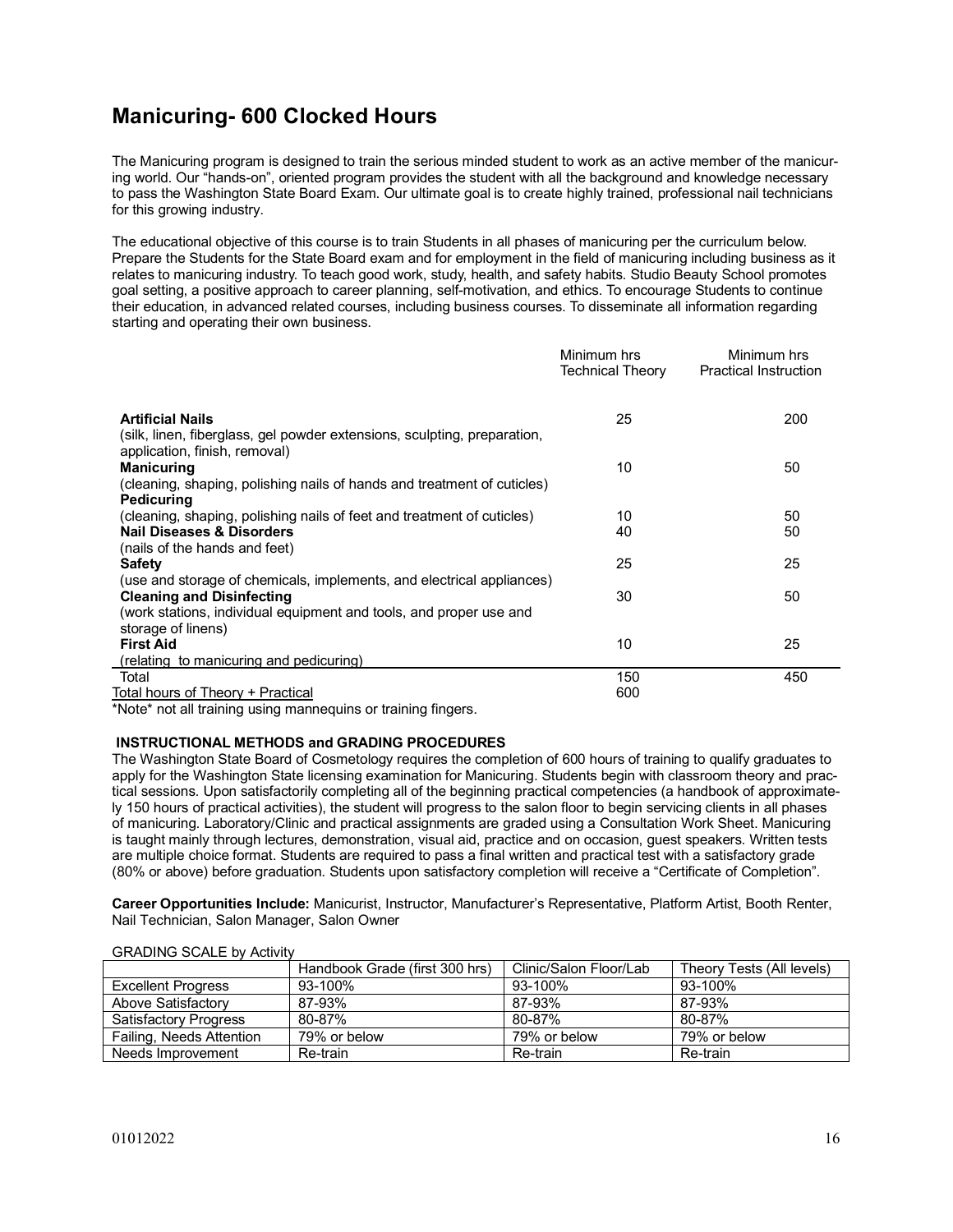# **Manicuring- 600 Clocked Hours**

The Manicuring program is designed to train the serious minded student to work as an active member of the manicuring world. Our "hands-on", oriented program provides the student with all the background and knowledge necessary to pass the Washington State Board Exam. Our ultimate goal is to create highly trained, professional nail technicians for this growing industry.

The educational objective of this course is to train Students in all phases of manicuring per the curriculum below. Prepare the Students for the State Board exam and for employment in the field of manicuring including business as it relates to manicuring industry. To teach good work, study, health, and safety habits. Studio Beauty School promotes goal setting, a positive approach to career planning, self-motivation, and ethics. To encourage Students to continue their education, in advanced related courses, including business courses. To disseminate all information regarding starting and operating their own business.

|                                                                                                                | Minimum hrs<br>Technical Theory | Minimum hrs<br><b>Practical Instruction</b> |
|----------------------------------------------------------------------------------------------------------------|---------------------------------|---------------------------------------------|
| <b>Artificial Nails</b><br>(silk, linen, fiberglass, gel powder extensions, sculpting, preparation,            | 25                              | 200                                         |
| application, finish, removal)<br><b>Manicuring</b>                                                             | 10                              | 50                                          |
| (cleaning, shaping, polishing nails of hands and treatment of cuticles)<br>Pedicuring                          |                                 |                                             |
| (cleaning, shaping, polishing nails of feet and treatment of cuticles)                                         | 10                              | 50                                          |
| <b>Nail Diseases &amp; Disorders</b>                                                                           | 40                              | 50                                          |
| (nails of the hands and feet)                                                                                  |                                 |                                             |
| <b>Safety</b>                                                                                                  | 25                              | 25                                          |
| (use and storage of chemicals, implements, and electrical appliances)<br><b>Cleaning and Disinfecting</b>      | 30                              | 50                                          |
| (work stations, individual equipment and tools, and proper use and<br>storage of linens)                       |                                 |                                             |
| <b>First Aid</b>                                                                                               | 10                              | 25                                          |
| (relating to manicuring and pedicuring)                                                                        |                                 |                                             |
| Total                                                                                                          | 150                             | 450                                         |
| Total hours of Theory + Practical                                                                              | 600                             |                                             |
| *N   = 1 = * == = 1 = 11   1 == 1 = 1 == == == ==<br>a de la constitución de la contextual de la China de la c |                                 |                                             |

\*Note\* not all training using mannequins or training fingers.

#### **INSTRUCTIONAL METHODS and GRADING PROCEDURES**

The Washington State Board of Cosmetology requires the completion of 600 hours of training to qualify graduates to apply for the Washington State licensing examination for Manicuring. Students begin with classroom theory and practical sessions. Upon satisfactorily completing all of the beginning practical competencies (a handbook of approximately 150 hours of practical activities), the student will progress to the salon floor to begin servicing clients in all phases of manicuring. Laboratory/Clinic and practical assignments are graded using a Consultation Work Sheet. Manicuring is taught mainly through lectures, demonstration, visual aid, practice and on occasion, guest speakers. Written tests are multiple choice format. Students are required to pass a final written and practical test with a satisfactory grade (80% or above) before graduation. Students upon satisfactory completion will receive a "Certificate of Completion".

**Career Opportunities Include:** Manicurist, Instructor, Manufacturer's Representative, Platform Artist, Booth Renter, Nail Technician, Salon Manager, Salon Owner

|                              | Handbook Grade (first 300 hrs) | Clinic/Salon Floor/Lab | Theory Tests (All levels) |
|------------------------------|--------------------------------|------------------------|---------------------------|
| <b>Excellent Progress</b>    | 93-100%                        | $93 - 100\%$           | 93-100%                   |
| Above Satisfactory           | 87-93%                         | 87-93%                 | 87-93%                    |
| <b>Satisfactory Progress</b> | 80-87%                         | 80-87%                 | 80-87%                    |
| Failing, Needs Attention     | 79% or below                   | 79% or below           | 79% or below              |
| Needs Improvement            | Re-train                       | Re-train               | Re-train                  |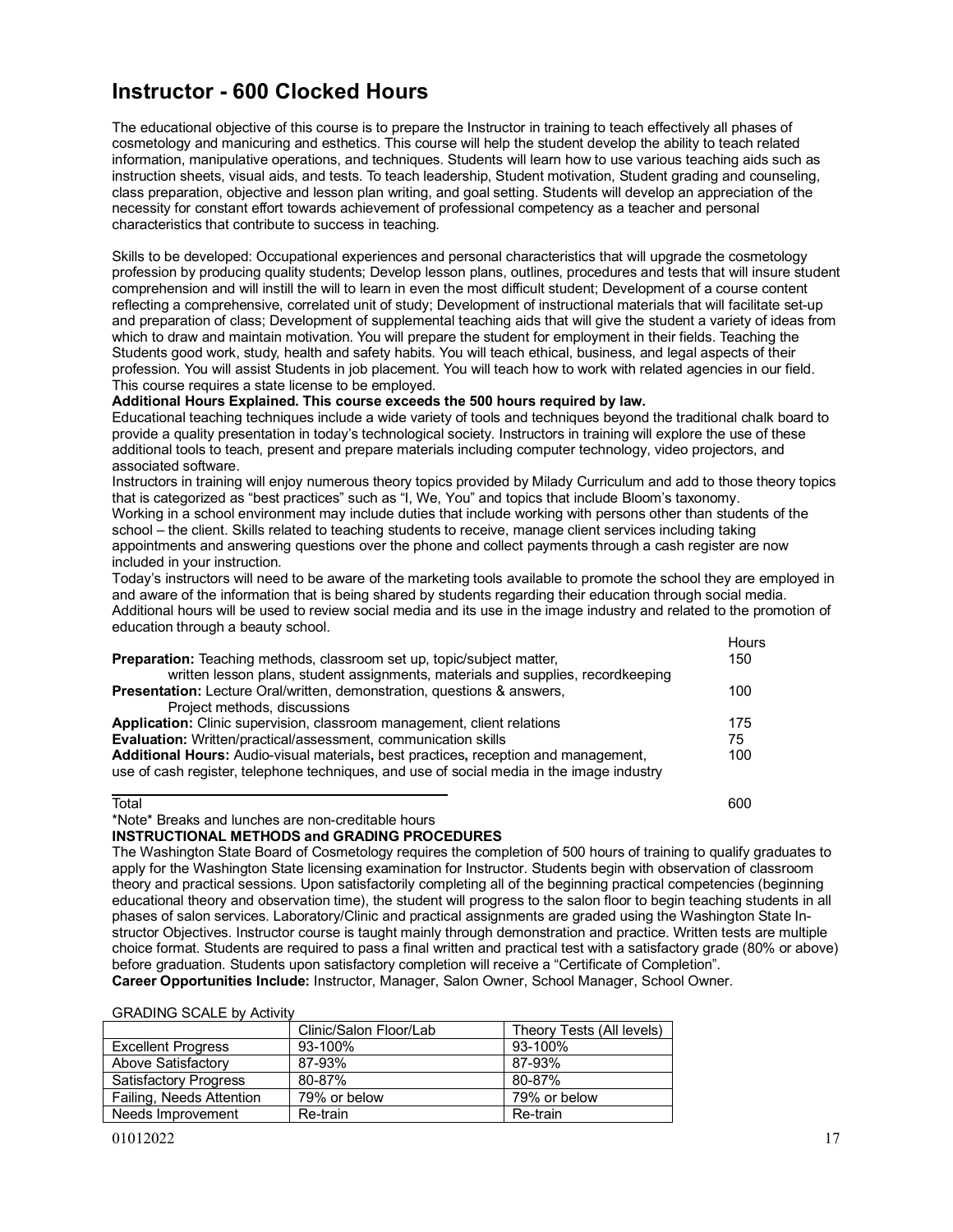# **Instructor - 600 Clocked Hours**

The educational objective of this course is to prepare the Instructor in training to teach effectively all phases of cosmetology and manicuring and esthetics. This course will help the student develop the ability to teach related information, manipulative operations, and techniques. Students will learn how to use various teaching aids such as instruction sheets, visual aids, and tests. To teach leadership, Student motivation, Student grading and counseling, class preparation, objective and lesson plan writing, and goal setting. Students will develop an appreciation of the necessity for constant effort towards achievement of professional competency as a teacher and personal characteristics that contribute to success in teaching.

Skills to be developed: Occupational experiences and personal characteristics that will upgrade the cosmetology profession by producing quality students; Develop lesson plans, outlines, procedures and tests that will insure student comprehension and will instill the will to learn in even the most difficult student; Development of a course content reflecting a comprehensive, correlated unit of study; Development of instructional materials that will facilitate set-up and preparation of class; Development of supplemental teaching aids that will give the student a variety of ideas from which to draw and maintain motivation. You will prepare the student for employment in their fields. Teaching the Students good work, study, health and safety habits. You will teach ethical, business, and legal aspects of their profession. You will assist Students in job placement. You will teach how to work with related agencies in our field. This course requires a state license to be employed.

#### **Additional Hours Explained. This course exceeds the 500 hours required by law.**

Educational teaching techniques include a wide variety of tools and techniques beyond the traditional chalk board to provide a quality presentation in today's technological society. Instructors in training will explore the use of these additional tools to teach, present and prepare materials including computer technology, video projectors, and associated software.

Instructors in training will enjoy numerous theory topics provided by Milady Curriculum and add to those theory topics that is categorized as "best practices" such as "I, We, You" and topics that include Bloom's taxonomy. Working in a school environment may include duties that include working with persons other than students of the school – the client. Skills related to teaching students to receive, manage client services including taking appointments and answering questions over the phone and collect payments through a cash register are now included in your instruction.

Today's instructors will need to be aware of the marketing tools available to promote the school they are employed in and aware of the information that is being shared by students regarding their education through social media. Additional hours will be used to review social media and its use in the image industry and related to the promotion of education through a beauty school. Hours

|                                                                                           | .   |
|-------------------------------------------------------------------------------------------|-----|
| <b>Preparation:</b> Teaching methods, classroom set up, topic/subject matter,             | 150 |
| written lesson plans, student assignments, materials and supplies, recordkeeping          |     |
| <b>Presentation:</b> Lecture Oral/written, demonstration, questions & answers,            | 100 |
| Project methods, discussions                                                              |     |
| Application: Clinic supervision, classroom management, client relations                   | 175 |
| Evaluation: Written/practical/assessment, communication skills                            | 75  |
| Additional Hours: Audio-visual materials, best practices, reception and management,       | 100 |
| use of cash register, telephone techniques, and use of social media in the image industry |     |
| Total                                                                                     | 600 |

# \*Note\* Breaks and lunches are non-creditable hours

#### **INSTRUCTIONAL METHODS and GRADING PROCEDURES**

The Washington State Board of Cosmetology requires the completion of 500 hours of training to qualify graduates to apply for the Washington State licensing examination for Instructor. Students begin with observation of classroom theory and practical sessions. Upon satisfactorily completing all of the beginning practical competencies (beginning educational theory and observation time), the student will progress to the salon floor to begin teaching students in all phases of salon services. Laboratory/Clinic and practical assignments are graded using the Washington State Instructor Objectives. Instructor course is taught mainly through demonstration and practice. Written tests are multiple choice format. Students are required to pass a final written and practical test with a satisfactory grade (80% or above) before graduation. Students upon satisfactory completion will receive a "Certificate of Completion". **Career Opportunities Include:** Instructor, Manager, Salon Owner, School Manager, School Owner.

| <b>GRADING SCALE by Activity</b> |  |  |
|----------------------------------|--|--|
|----------------------------------|--|--|

|                              | Clinic/Salon Floor/Lab | Theory Tests (All levels) |
|------------------------------|------------------------|---------------------------|
| <b>Excellent Progress</b>    | 93-100%                | 93-100%                   |
| Above Satisfactory           | 87-93%                 | 87-93%                    |
| <b>Satisfactory Progress</b> | 80-87%                 | 80-87%                    |
| Failing, Needs Attention     | 79% or below           | 79% or below              |
| Needs Improvement            | Re-train               | Re-train                  |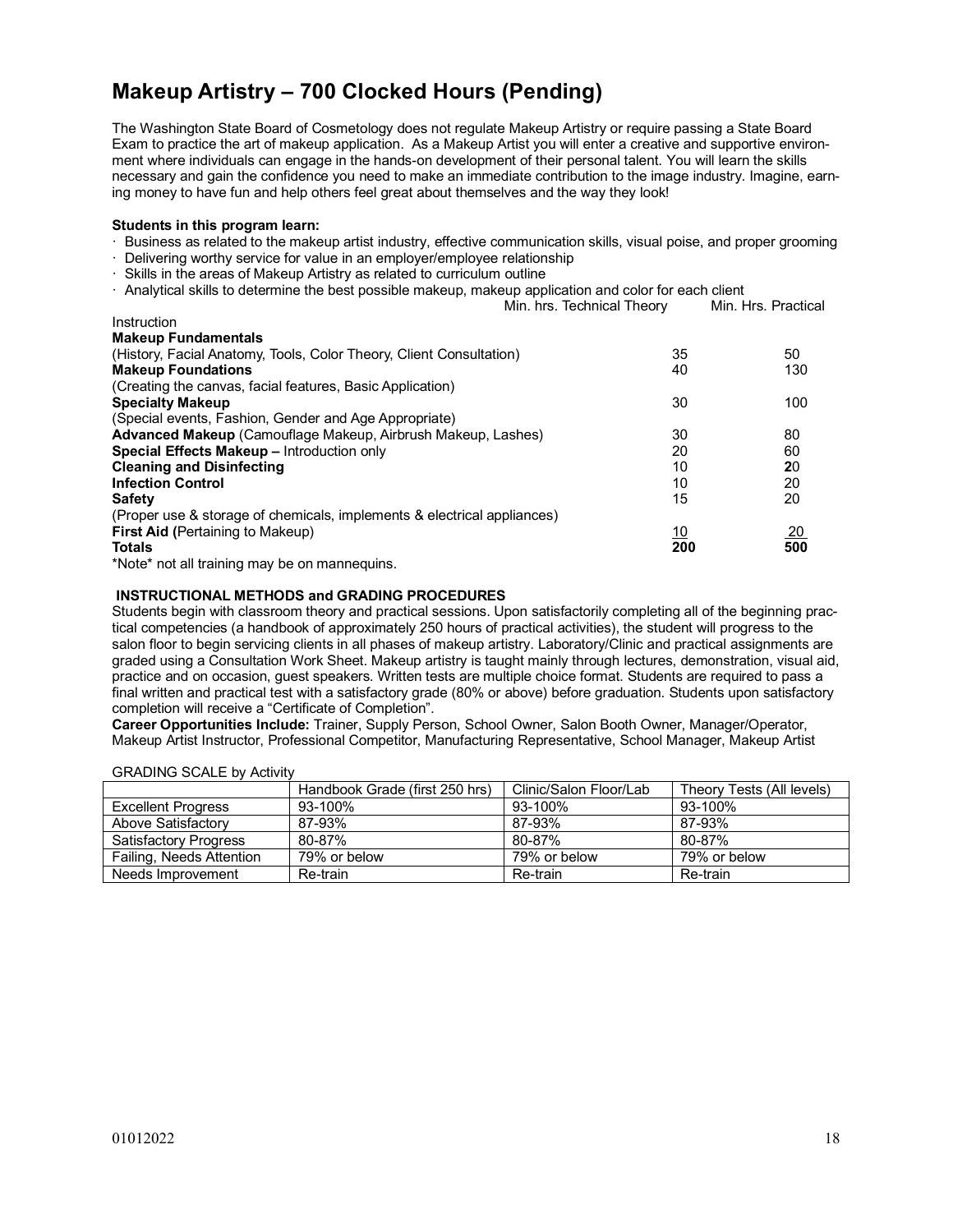# **Makeup Artistry – 700 Clocked Hours (Pending)**

The Washington State Board of Cosmetology does not regulate Makeup Artistry or require passing a State Board Exam to practice the art of makeup application. As a Makeup Artist you will enter a creative and supportive environment where individuals can engage in the hands-on development of their personal talent. You will learn the skills necessary and gain the confidence you need to make an immediate contribution to the image industry. Imagine, earning money to have fun and help others feel great about themselves and the way they look!

#### **Students in this program learn:**

- · Business as related to the makeup artist industry, effective communication skills, visual poise, and proper grooming
- · Delivering worthy service for value in an employer/employee relationship
- · Skills in the areas of Makeup Artistry as related to curriculum outline
- · Analytical skills to determine the best possible makeup, makeup application and color for each client

|                                                                         | Min. hrs. Technical Theory | Min. Hrs. Practical |
|-------------------------------------------------------------------------|----------------------------|---------------------|
| Instruction                                                             |                            |                     |
| <b>Makeup Fundamentals</b>                                              |                            |                     |
| (History, Facial Anatomy, Tools, Color Theory, Client Consultation)     | 35                         | 50                  |
| <b>Makeup Foundations</b>                                               | 40                         | 130                 |
| (Creating the canvas, facial features, Basic Application)               |                            |                     |
| <b>Specialty Makeup</b>                                                 | 30                         | 100                 |
| (Special events, Fashion, Gender and Age Appropriate)                   |                            |                     |
| Advanced Makeup (Camouflage Makeup, Airbrush Makeup, Lashes)            | 30                         | 80                  |
| Special Effects Makeup - Introduction only                              | 20                         | 60                  |
| <b>Cleaning and Disinfecting</b>                                        | 10                         | 20                  |
| <b>Infection Control</b>                                                | 10                         | 20                  |
| <b>Safety</b>                                                           | 15                         | 20                  |
| (Proper use & storage of chemicals, implements & electrical appliances) |                            |                     |
| <b>First Aid (Pertaining to Makeup)</b>                                 | <u>10</u>                  | <u>20</u>           |
| <b>Totals</b>                                                           | 200                        | 500                 |
| *Note* not all training may be on mannequing                            |                            |                     |

'Note\* not all training may be on mannequins.

#### **INSTRUCTIONAL METHODS and GRADING PROCEDURES**

Students begin with classroom theory and practical sessions. Upon satisfactorily completing all of the beginning practical competencies (a handbook of approximately 250 hours of practical activities), the student will progress to the salon floor to begin servicing clients in all phases of makeup artistry. Laboratory/Clinic and practical assignments are graded using a Consultation Work Sheet. Makeup artistry is taught mainly through lectures, demonstration, visual aid, practice and on occasion, guest speakers. Written tests are multiple choice format. Students are required to pass a final written and practical test with a satisfactory grade (80% or above) before graduation. Students upon satisfactory completion will receive a "Certificate of Completion".

**Career Opportunities Include:** Trainer, Supply Person, School Owner, Salon Booth Owner, Manager/Operator, Makeup Artist Instructor, Professional Competitor, Manufacturing Representative, School Manager, Makeup Artist

|                              | Handbook Grade (first 250 hrs) | Clinic/Salon Floor/Lab | Theory Tests (All levels) |
|------------------------------|--------------------------------|------------------------|---------------------------|
| <b>Excellent Progress</b>    | 93-100%                        | 93-100%                | 93-100%                   |
| Above Satisfactory           | 87-93%                         | 87-93%                 | 87-93%                    |
| <b>Satisfactory Progress</b> | 80-87%                         | 80-87%                 | 80-87%                    |
| Failing, Needs Attention     | 79% or below                   | 79% or below           | 79% or below              |
| Needs Improvement            | Re-train                       | Re-train               | Re-train                  |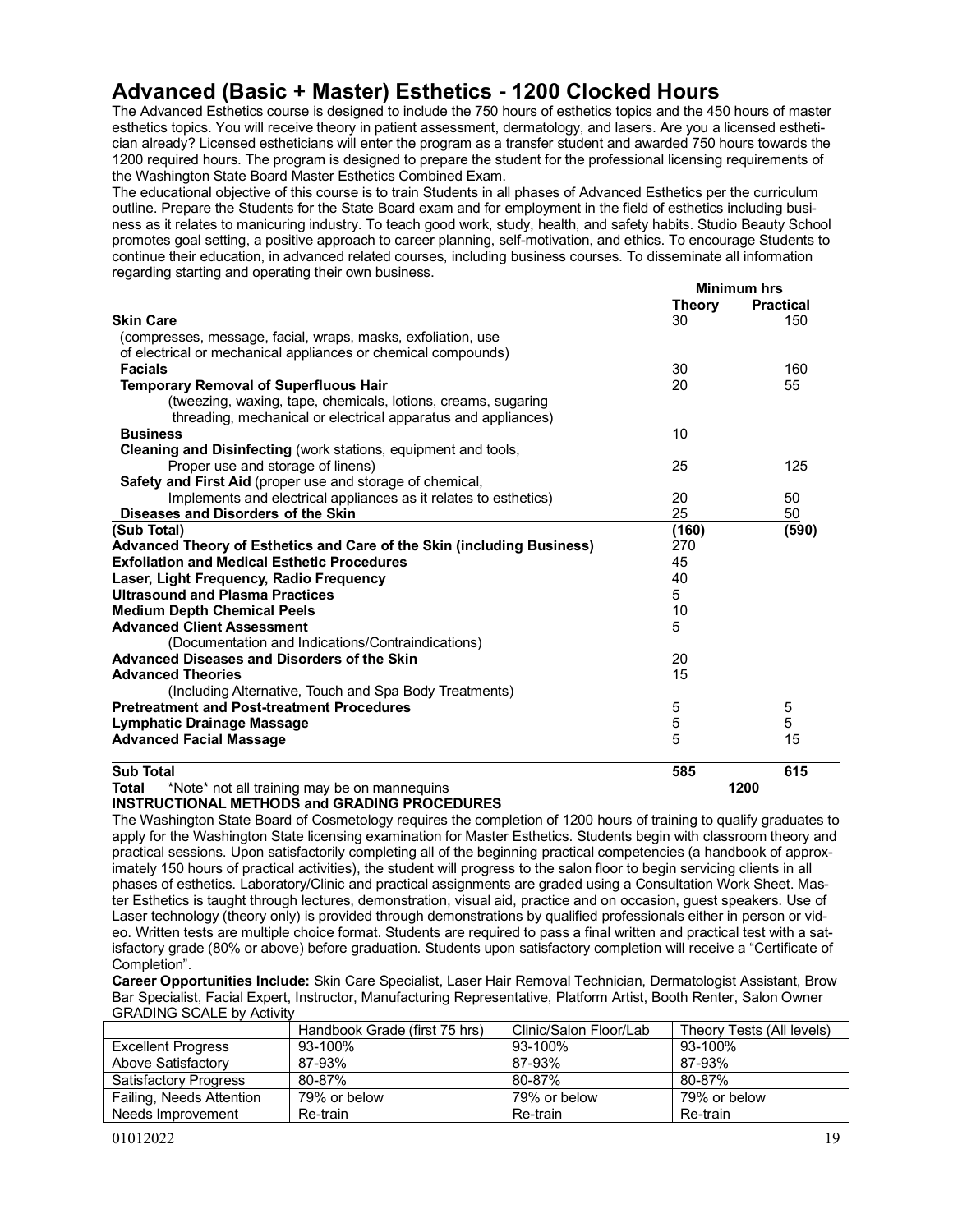# **Advanced (Basic + Master) Esthetics - 1200 Clocked Hours**

The Advanced Esthetics course is designed to include the 750 hours of esthetics topics and the 450 hours of master esthetics topics. You will receive theory in patient assessment, dermatology, and lasers. Are you a licensed esthetician already? Licensed estheticians will enter the program as a transfer student and awarded 750 hours towards the 1200 required hours. The program is designed to prepare the student for the professional licensing requirements of the Washington State Board Master Esthetics Combined Exam.

The educational objective of this course is to train Students in all phases of Advanced Esthetics per the curriculum outline. Prepare the Students for the State Board exam and for employment in the field of esthetics including business as it relates to manicuring industry. To teach good work, study, health, and safety habits. Studio Beauty School promotes goal setting, a positive approach to career planning, self-motivation, and ethics. To encourage Students to continue their education, in advanced related courses, including business courses. To disseminate all information regarding starting and operating their own business.

|                                                                                    | <b>Theory</b> | <b>Practical</b> |
|------------------------------------------------------------------------------------|---------------|------------------|
| <b>Skin Care</b>                                                                   | 30            | 150              |
| (compresses, message, facial, wraps, masks, exfoliation, use                       |               |                  |
| of electrical or mechanical appliances or chemical compounds)                      |               |                  |
| <b>Facials</b>                                                                     | 30            | 160              |
| <b>Temporary Removal of Superfluous Hair</b>                                       | 20            | 55               |
| (tweezing, waxing, tape, chemicals, lotions, creams, sugaring                      |               |                  |
| threading, mechanical or electrical apparatus and appliances)                      |               |                  |
| <b>Business</b>                                                                    | 10            |                  |
| Cleaning and Disinfecting (work stations, equipment and tools,                     |               |                  |
| Proper use and storage of linens)                                                  | 25            | 125              |
| Safety and First Aid (proper use and storage of chemical,                          |               |                  |
| Implements and electrical appliances as it relates to esthetics)                   | 20            | 50               |
| Diseases and Disorders of the Skin                                                 | 25            | 50               |
| (Sub Total)                                                                        | (160)         | (590)            |
| Advanced Theory of Esthetics and Care of the Skin (including Business)             | 270           |                  |
| <b>Exfoliation and Medical Esthetic Procedures</b>                                 | 45            |                  |
| Laser, Light Frequency, Radio Frequency                                            | 40            |                  |
| <b>Ultrasound and Plasma Practices</b>                                             | 5             |                  |
| <b>Medium Depth Chemical Peels</b>                                                 | 10            |                  |
| <b>Advanced Client Assessment</b>                                                  | 5             |                  |
| (Documentation and Indications/Contraindications)                                  |               |                  |
| <b>Advanced Diseases and Disorders of the Skin</b>                                 | 20            |                  |
| <b>Advanced Theories</b>                                                           | 15            |                  |
| (Including Alternative, Touch and Spa Body Treatments)                             |               |                  |
| <b>Pretreatment and Post-treatment Procedures</b>                                  | 5             | 5                |
| Lymphatic Drainage Massage                                                         | 5             | 5                |
| <b>Advanced Facial Massage</b>                                                     | 5             | 15               |
|                                                                                    |               |                  |
| <b>Sub Total</b>                                                                   | 585           | 615              |
| <b>WATER EXIT IN THE EXISTENCE IN THE REAL PROPERTY AND INTERNATIONAL PROPERTY</b> |               | ,,,,             |

**Total** \*Note\* not all training may be on mannequins **1200**

## **INSTRUCTIONAL METHODS and GRADING PROCEDURES**

The Washington State Board of Cosmetology requires the completion of 1200 hours of training to qualify graduates to apply for the Washington State licensing examination for Master Esthetics. Students begin with classroom theory and practical sessions. Upon satisfactorily completing all of the beginning practical competencies (a handbook of approximately 150 hours of practical activities), the student will progress to the salon floor to begin servicing clients in all phases of esthetics. Laboratory/Clinic and practical assignments are graded using a Consultation Work Sheet. Master Esthetics is taught through lectures, demonstration, visual aid, practice and on occasion, guest speakers. Use of Laser technology (theory only) is provided through demonstrations by qualified professionals either in person or video. Written tests are multiple choice format. Students are required to pass a final written and practical test with a satisfactory grade (80% or above) before graduation. Students upon satisfactory completion will receive a "Certificate of Completion".

**Career Opportunities Include:** Skin Care Specialist, Laser Hair Removal Technician, Dermatologist Assistant, Brow Bar Specialist, Facial Expert, Instructor, Manufacturing Representative, Platform Artist, Booth Renter, Salon Owner GRADING SCALE by Activity

|                              | Handbook Grade (first 75 hrs) | Clinic/Salon Floor/Lab | Theory Tests (All levels) |
|------------------------------|-------------------------------|------------------------|---------------------------|
| <b>Excellent Progress</b>    | 93-100%                       | 93-100%                | 93-100%                   |
| Above Satisfactory           | 87-93%                        | 87-93%                 | 87-93%                    |
| <b>Satisfactory Progress</b> | 80-87%                        | 80-87%                 | 80-87%                    |
| Failing, Needs Attention     | 79% or below                  | 79% or below           | 79% or below              |
| Needs Improvement            | Re-train                      | Re-train               | Re-train                  |

**Minimum hrs**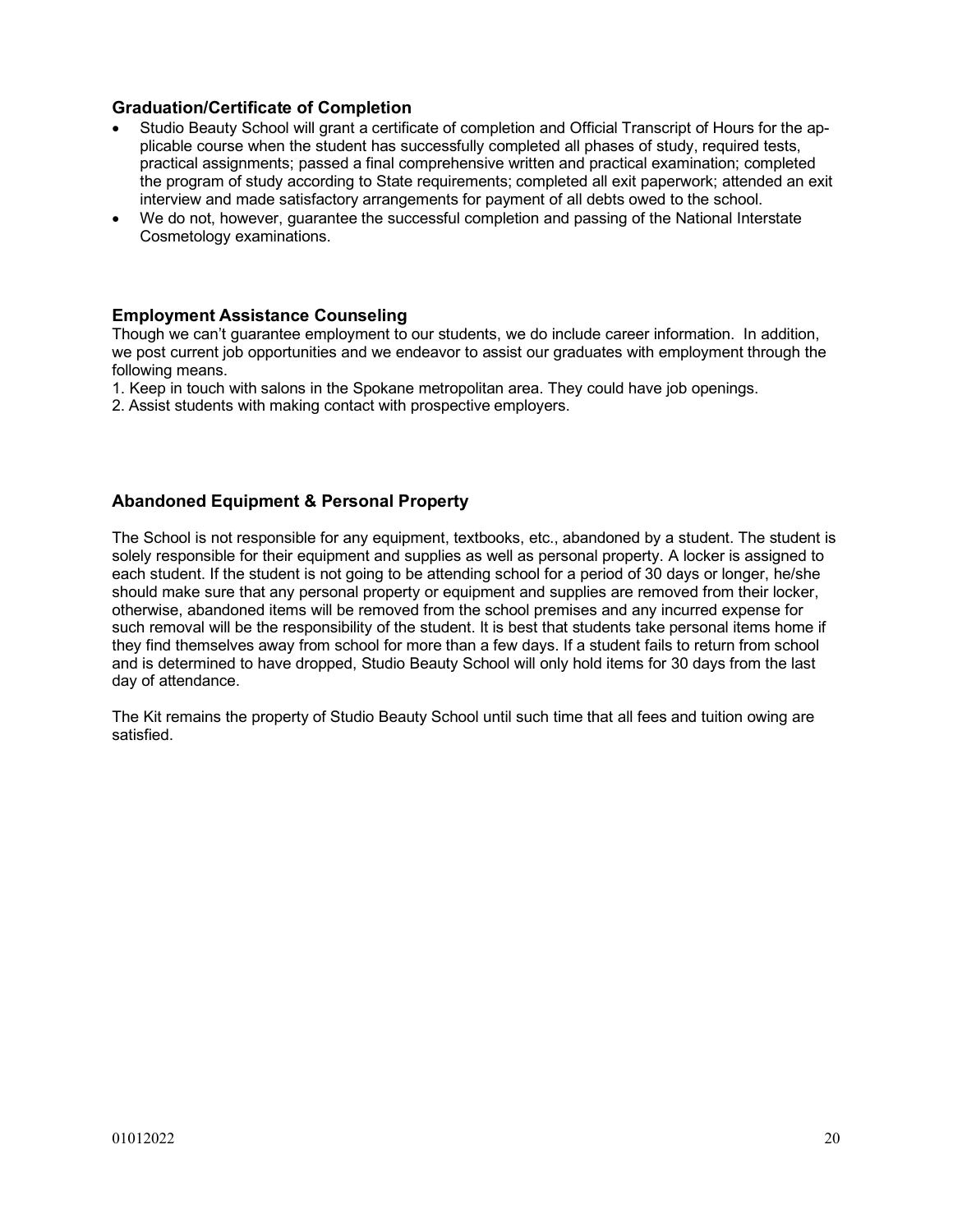# **Graduation/Certificate of Completion**

- Studio Beauty School will grant a certificate of completion and Official Transcript of Hours for the applicable course when the student has successfully completed all phases of study, required tests, practical assignments; passed a final comprehensive written and practical examination; completed the program of study according to State requirements; completed all exit paperwork; attended an exit interview and made satisfactory arrangements for payment of all debts owed to the school.
- We do not, however, guarantee the successful completion and passing of the National Interstate Cosmetology examinations.

# **Employment Assistance Counseling**

Though we can't guarantee employment to our students, we do include career information. In addition, we post current job opportunities and we endeavor to assist our graduates with employment through the following means.

- 1. Keep in touch with salons in the Spokane metropolitan area. They could have job openings.
- 2. Assist students with making contact with prospective employers.

# **Abandoned Equipment & Personal Property**

The School is not responsible for any equipment, textbooks, etc., abandoned by a student. The student is solely responsible for their equipment and supplies as well as personal property. A locker is assigned to each student. If the student is not going to be attending school for a period of 30 days or longer, he/she should make sure that any personal property or equipment and supplies are removed from their locker, otherwise, abandoned items will be removed from the school premises and any incurred expense for such removal will be the responsibility of the student. It is best that students take personal items home if they find themselves away from school for more than a few days. If a student fails to return from school and is determined to have dropped, Studio Beauty School will only hold items for 30 days from the last day of attendance.

The Kit remains the property of Studio Beauty School until such time that all fees and tuition owing are satisfied.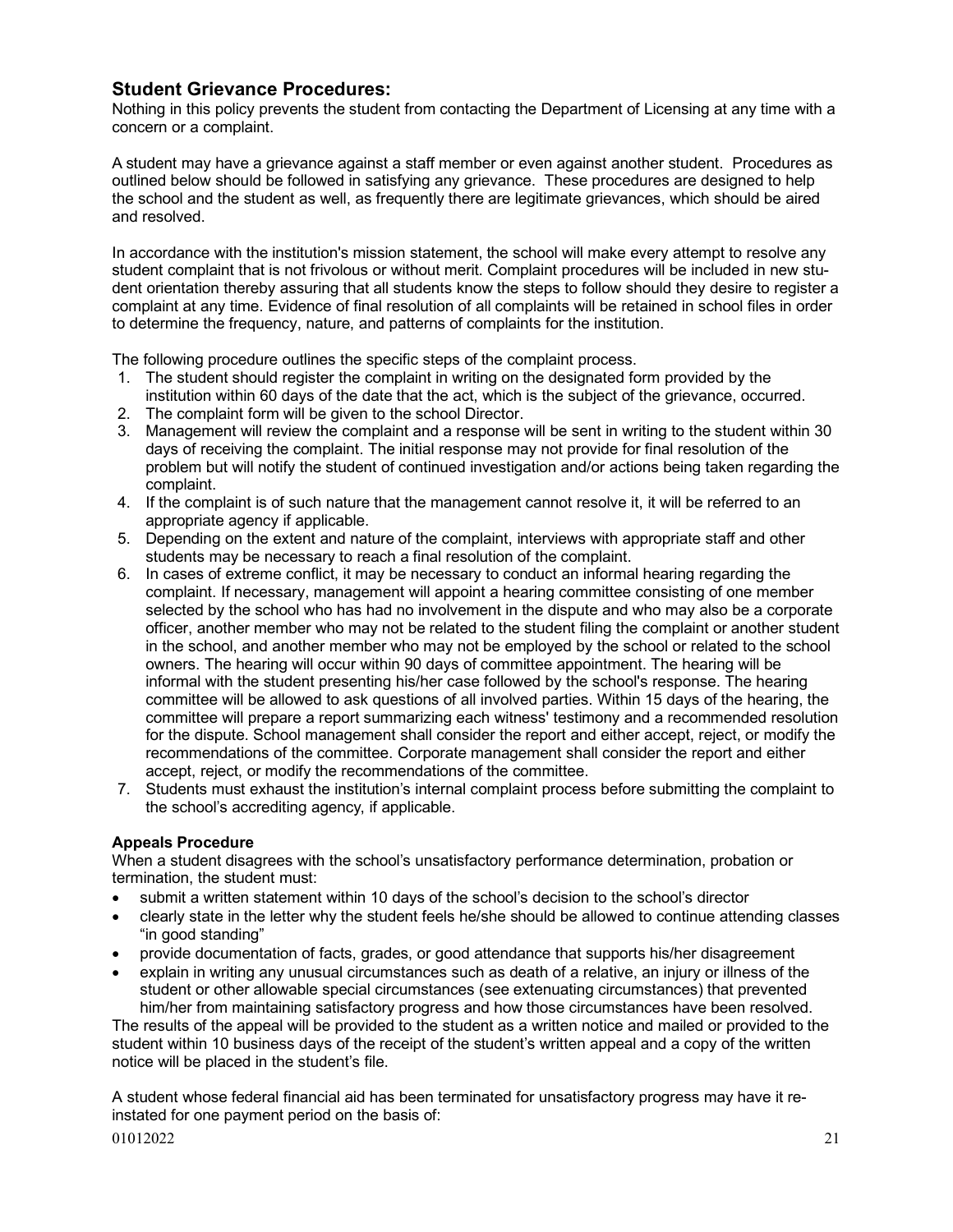# **Student Grievance Procedures:**

Nothing in this policy prevents the student from contacting the Department of Licensing at any time with a concern or a complaint.

A student may have a grievance against a staff member or even against another student. Procedures as outlined below should be followed in satisfying any grievance. These procedures are designed to help the school and the student as well, as frequently there are legitimate grievances, which should be aired and resolved.

In accordance with the institution's mission statement, the school will make every attempt to resolve any student complaint that is not frivolous or without merit. Complaint procedures will be included in new student orientation thereby assuring that all students know the steps to follow should they desire to register a complaint at any time. Evidence of final resolution of all complaints will be retained in school files in order to determine the frequency, nature, and patterns of complaints for the institution.

The following procedure outlines the specific steps of the complaint process.

- 1. The student should register the complaint in writing on the designated form provided by the institution within 60 days of the date that the act, which is the subject of the grievance, occurred.
- 2. The complaint form will be given to the school Director.
- 3. Management will review the complaint and a response will be sent in writing to the student within 30 days of receiving the complaint. The initial response may not provide for final resolution of the problem but will notify the student of continued investigation and/or actions being taken regarding the complaint.
- 4. If the complaint is of such nature that the management cannot resolve it, it will be referred to an appropriate agency if applicable.
- 5. Depending on the extent and nature of the complaint, interviews with appropriate staff and other students may be necessary to reach a final resolution of the complaint.
- 6. In cases of extreme conflict, it may be necessary to conduct an informal hearing regarding the complaint. If necessary, management will appoint a hearing committee consisting of one member selected by the school who has had no involvement in the dispute and who may also be a corporate officer, another member who may not be related to the student filing the complaint or another student in the school, and another member who may not be employed by the school or related to the school owners. The hearing will occur within 90 days of committee appointment. The hearing will be informal with the student presenting his/her case followed by the school's response. The hearing committee will be allowed to ask questions of all involved parties. Within 15 days of the hearing, the committee will prepare a report summarizing each witness' testimony and a recommended resolution for the dispute. School management shall consider the report and either accept, reject, or modify the recommendations of the committee. Corporate management shall consider the report and either accept, reject, or modify the recommendations of the committee.
- 7. Students must exhaust the institution's internal complaint process before submitting the complaint to the school's accrediting agency, if applicable.

# **Appeals Procedure**

When a student disagrees with the school's unsatisfactory performance determination, probation or termination, the student must:

- submit a written statement within 10 days of the school's decision to the school's director
- clearly state in the letter why the student feels he/she should be allowed to continue attending classes "in good standing"
- provide documentation of facts, grades, or good attendance that supports his/her disagreement
- explain in writing any unusual circumstances such as death of a relative, an injury or illness of the student or other allowable special circumstances (see extenuating circumstances) that prevented him/her from maintaining satisfactory progress and how those circumstances have been resolved.

The results of the appeal will be provided to the student as a written notice and mailed or provided to the student within 10 business days of the receipt of the student's written appeal and a copy of the written notice will be placed in the student's file.

 $01012022$  21 A student whose federal financial aid has been terminated for unsatisfactory progress may have it reinstated for one payment period on the basis of: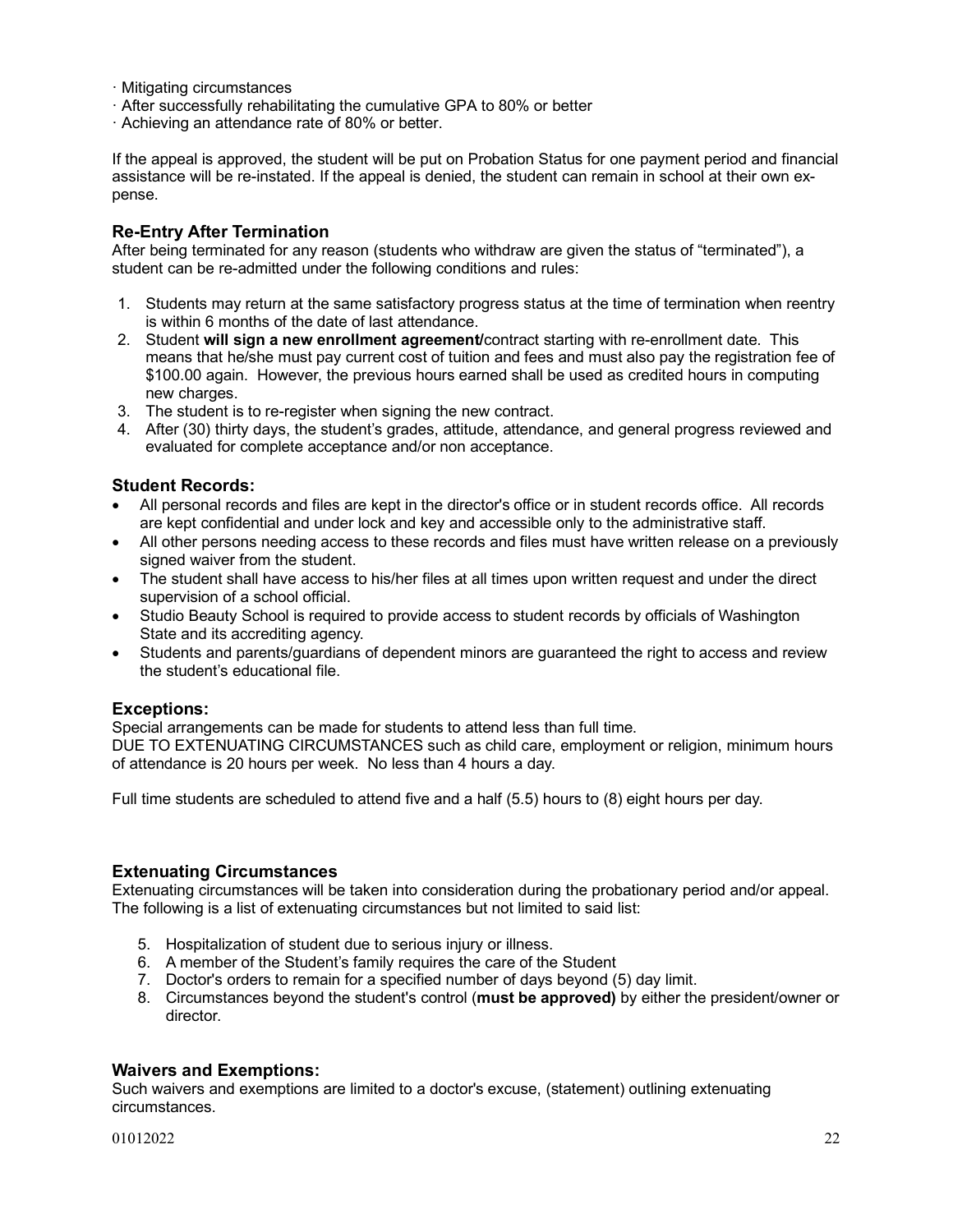- · Mitigating circumstances
- · After successfully rehabilitating the cumulative GPA to 80% or better
- · Achieving an attendance rate of 80% or better.

If the appeal is approved, the student will be put on Probation Status for one payment period and financial assistance will be re-instated. If the appeal is denied, the student can remain in school at their own expense.

# **Re-Entry After Termination**

After being terminated for any reason (students who withdraw are given the status of "terminated"), a student can be re-admitted under the following conditions and rules:

- 1. Students may return at the same satisfactory progress status at the time of termination when reentry is within 6 months of the date of last attendance.
- 2. Student **will sign a new enrollment agreement/**contract starting with re-enrollment date. This means that he/she must pay current cost of tuition and fees and must also pay the registration fee of \$100.00 again. However, the previous hours earned shall be used as credited hours in computing new charges.
- 3. The student is to re-register when signing the new contract.
- 4. After (30) thirty days, the student's grades, attitude, attendance, and general progress reviewed and evaluated for complete acceptance and/or non acceptance.

# **Student Records:**

- All personal records and files are kept in the director's office or in student records office. All records are kept confidential and under lock and key and accessible only to the administrative staff.
- All other persons needing access to these records and files must have written release on a previously signed waiver from the student.
- The student shall have access to his/her files at all times upon written request and under the direct supervision of a school official.
- Studio Beauty School is required to provide access to student records by officials of Washington State and its accrediting agency.
- Students and parents/guardians of dependent minors are guaranteed the right to access and review the student's educational file.

# **Exceptions:**

Special arrangements can be made for students to attend less than full time. DUE TO EXTENUATING CIRCUMSTANCES such as child care, employment or religion, minimum hours of attendance is 20 hours per week. No less than 4 hours a day.

Full time students are scheduled to attend five and a half (5.5) hours to (8) eight hours per day.

# **Extenuating Circumstances**

Extenuating circumstances will be taken into consideration during the probationary period and/or appeal. The following is a list of extenuating circumstances but not limited to said list:

- 5. Hospitalization of student due to serious injury or illness.
- 6. A member of the Student's family requires the care of the Student
- 7. Doctor's orders to remain for a specified number of days beyond (5) day limit.
- 8. Circumstances beyond the student's control (**must be approved)** by either the president/owner or director.

## **Waivers and Exemptions:**

Such waivers and exemptions are limited to a doctor's excuse, (statement) outlining extenuating circumstances.

 $01012022$  22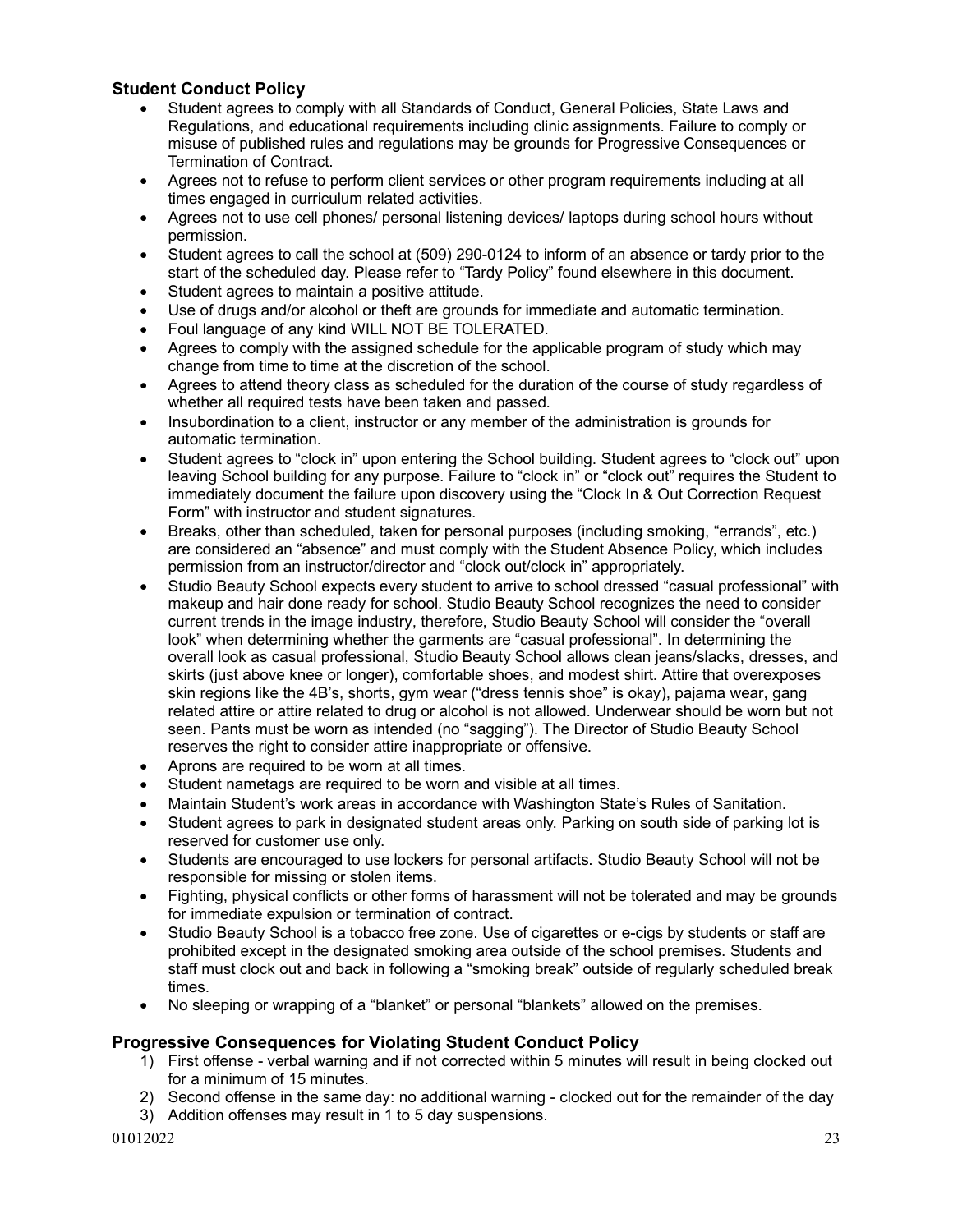# **Student Conduct Policy**

- Student agrees to comply with all Standards of Conduct, General Policies, State Laws and Regulations, and educational requirements including clinic assignments. Failure to comply or misuse of published rules and regulations may be grounds for Progressive Consequences or Termination of Contract.
- Agrees not to refuse to perform client services or other program requirements including at all times engaged in curriculum related activities.
- Agrees not to use cell phones/ personal listening devices/ laptops during school hours without permission.
- Student agrees to call the school at (509) 290-0124 to inform of an absence or tardy prior to the start of the scheduled day. Please refer to "Tardy Policy" found elsewhere in this document.
- Student agrees to maintain a positive attitude.
- Use of drugs and/or alcohol or theft are grounds for immediate and automatic termination.
- Foul language of any kind WILL NOT BE TOLERATED.
- Agrees to comply with the assigned schedule for the applicable program of study which may change from time to time at the discretion of the school.
- Agrees to attend theory class as scheduled for the duration of the course of study regardless of whether all required tests have been taken and passed.
- Insubordination to a client, instructor or any member of the administration is grounds for automatic termination.
- Student agrees to "clock in" upon entering the School building. Student agrees to "clock out" upon leaving School building for any purpose. Failure to "clock in" or "clock out" requires the Student to immediately document the failure upon discovery using the "Clock In & Out Correction Request Form" with instructor and student signatures.
- Breaks, other than scheduled, taken for personal purposes (including smoking, "errands", etc.) are considered an "absence" and must comply with the Student Absence Policy, which includes permission from an instructor/director and "clock out/clock in" appropriately.
- Studio Beauty School expects every student to arrive to school dressed "casual professional" with makeup and hair done ready for school. Studio Beauty School recognizes the need to consider current trends in the image industry, therefore, Studio Beauty School will consider the "overall look" when determining whether the garments are "casual professional". In determining the overall look as casual professional, Studio Beauty School allows clean jeans/slacks, dresses, and skirts (just above knee or longer), comfortable shoes, and modest shirt. Attire that overexposes skin regions like the 4B's, shorts, gym wear ("dress tennis shoe" is okay), pajama wear, gang related attire or attire related to drug or alcohol is not allowed. Underwear should be worn but not seen. Pants must be worn as intended (no "sagging"). The Director of Studio Beauty School reserves the right to consider attire inappropriate or offensive.
- Aprons are required to be worn at all times.
- Student nametags are required to be worn and visible at all times.
- Maintain Student's work areas in accordance with Washington State's Rules of Sanitation.
- Student agrees to park in designated student areas only. Parking on south side of parking lot is reserved for customer use only.
- Students are encouraged to use lockers for personal artifacts. Studio Beauty School will not be responsible for missing or stolen items.
- Fighting, physical conflicts or other forms of harassment will not be tolerated and may be grounds for immediate expulsion or termination of contract.
- Studio Beauty School is a tobacco free zone. Use of cigarettes or e-cigs by students or staff are prohibited except in the designated smoking area outside of the school premises. Students and staff must clock out and back in following a "smoking break" outside of regularly scheduled break times.
- No sleeping or wrapping of a "blanket" or personal "blankets" allowed on the premises.

# **Progressive Consequences for Violating Student Conduct Policy**

- 1) First offense verbal warning and if not corrected within 5 minutes will result in being clocked out for a minimum of 15 minutes.
- 2) Second offense in the same day: no additional warning clocked out for the remainder of the day
- 3) Addition offenses may result in 1 to 5 day suspensions.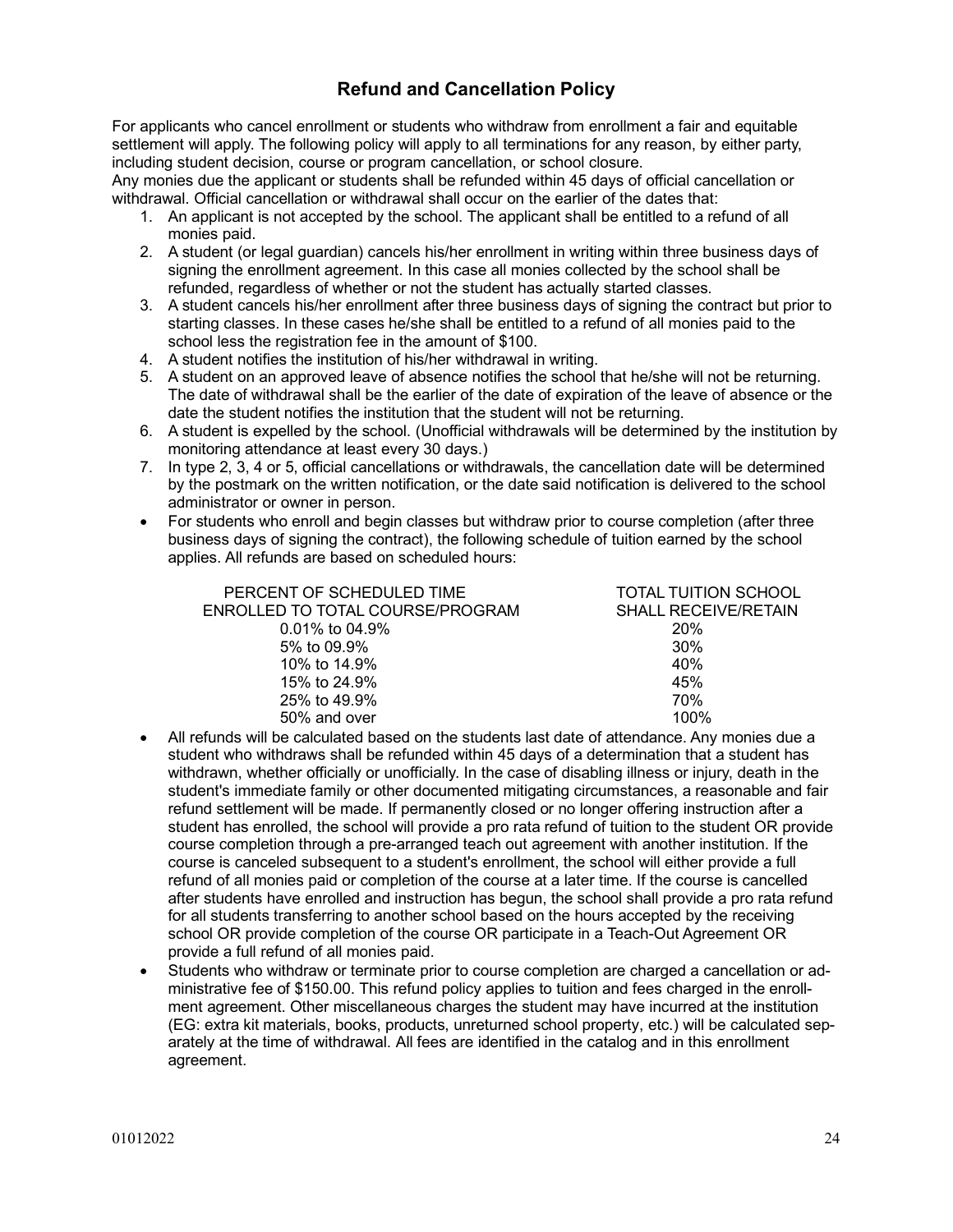# **Refund and Cancellation Policy**

For applicants who cancel enrollment or students who withdraw from enrollment a fair and equitable settlement will apply. The following policy will apply to all terminations for any reason, by either party, including student decision, course or program cancellation, or school closure.

Any monies due the applicant or students shall be refunded within 45 days of official cancellation or withdrawal. Official cancellation or withdrawal shall occur on the earlier of the dates that:

- 1. An applicant is not accepted by the school. The applicant shall be entitled to a refund of all monies paid.
- 2. A student (or legal guardian) cancels his/her enrollment in writing within three business days of signing the enrollment agreement. In this case all monies collected by the school shall be refunded, regardless of whether or not the student has actually started classes.
- 3. A student cancels his/her enrollment after three business days of signing the contract but prior to starting classes. In these cases he/she shall be entitled to a refund of all monies paid to the school less the registration fee in the amount of \$100.
- 4. A student notifies the institution of his/her withdrawal in writing.
- 5. A student on an approved leave of absence notifies the school that he/she will not be returning. The date of withdrawal shall be the earlier of the date of expiration of the leave of absence or the date the student notifies the institution that the student will not be returning.
- 6. A student is expelled by the school. (Unofficial withdrawals will be determined by the institution by monitoring attendance at least every 30 days.)
- 7. In type 2, 3, 4 or 5, official cancellations or withdrawals, the cancellation date will be determined by the postmark on the written notification, or the date said notification is delivered to the school administrator or owner in person.
- For students who enroll and begin classes but withdraw prior to course completion (after three business days of signing the contract), the following schedule of tuition earned by the school applies. All refunds are based on scheduled hours:

| PERCENT OF SCHEDULED TIME        | TOTAL TUITION SCHOOL        |
|----------------------------------|-----------------------------|
| ENROLLED TO TOTAL COURSE/PROGRAM | <b>SHALL RECEIVE/RETAIN</b> |
| $0.01\%$ to 04.9%                | <b>20%</b>                  |
| 5% to 09.9%                      | 30%                         |
| 10% to 14.9%                     | 40%                         |
| 15% to 24.9%                     | 45%                         |
| 25% to 49.9%                     | 70%                         |
| 50% and over                     | 100%                        |

- All refunds will be calculated based on the students last date of attendance. Any monies due a student who withdraws shall be refunded within 45 days of a determination that a student has withdrawn, whether officially or unofficially. In the case of disabling illness or injury, death in the student's immediate family or other documented mitigating circumstances, a reasonable and fair refund settlement will be made. If permanently closed or no longer offering instruction after a student has enrolled, the school will provide a pro rata refund of tuition to the student OR provide course completion through a pre-arranged teach out agreement with another institution. If the course is canceled subsequent to a student's enrollment, the school will either provide a full refund of all monies paid or completion of the course at a later time. If the course is cancelled after students have enrolled and instruction has begun, the school shall provide a pro rata refund for all students transferring to another school based on the hours accepted by the receiving school OR provide completion of the course OR participate in a Teach-Out Agreement OR provide a full refund of all monies paid.
- Students who withdraw or terminate prior to course completion are charged a cancellation or administrative fee of \$150.00. This refund policy applies to tuition and fees charged in the enrollment agreement. Other miscellaneous charges the student may have incurred at the institution (EG: extra kit materials, books, products, unreturned school property, etc.) will be calculated separately at the time of withdrawal. All fees are identified in the catalog and in this enrollment agreement.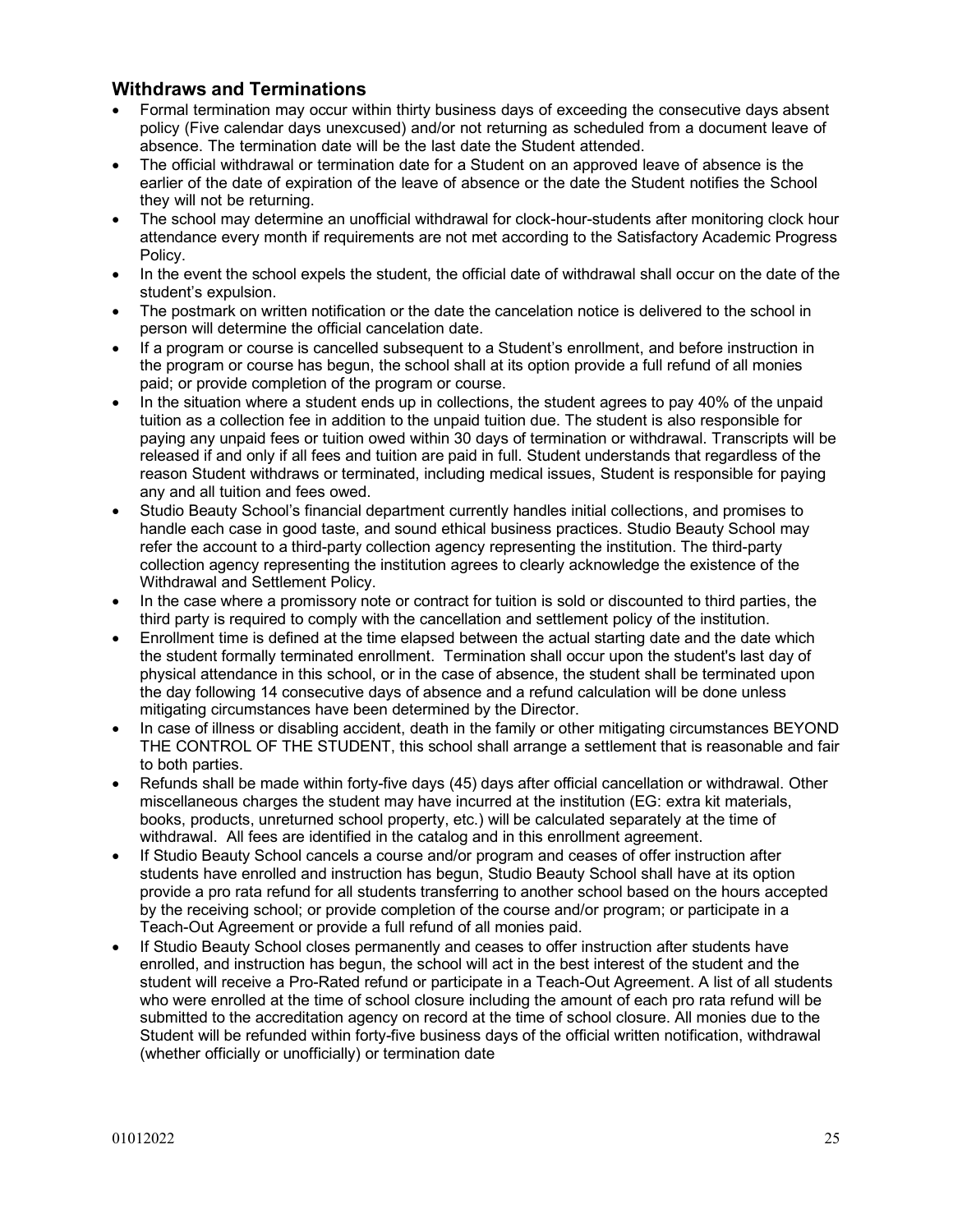# **Withdraws and Terminations**

- Formal termination may occur within thirty business days of exceeding the consecutive days absent policy (Five calendar days unexcused) and/or not returning as scheduled from a document leave of absence. The termination date will be the last date the Student attended.
- The official withdrawal or termination date for a Student on an approved leave of absence is the earlier of the date of expiration of the leave of absence or the date the Student notifies the School they will not be returning.
- The school may determine an unofficial withdrawal for clock-hour-students after monitoring clock hour attendance every month if requirements are not met according to the Satisfactory Academic Progress Policy.
- In the event the school expels the student, the official date of withdrawal shall occur on the date of the student's expulsion.
- The postmark on written notification or the date the cancelation notice is delivered to the school in person will determine the official cancelation date.
- If a program or course is cancelled subsequent to a Student's enrollment, and before instruction in the program or course has begun, the school shall at its option provide a full refund of all monies paid; or provide completion of the program or course.
- In the situation where a student ends up in collections, the student agrees to pay 40% of the unpaid tuition as a collection fee in addition to the unpaid tuition due. The student is also responsible for paying any unpaid fees or tuition owed within 30 days of termination or withdrawal. Transcripts will be released if and only if all fees and tuition are paid in full. Student understands that regardless of the reason Student withdraws or terminated, including medical issues, Student is responsible for paying any and all tuition and fees owed.
- Studio Beauty School's financial department currently handles initial collections, and promises to handle each case in good taste, and sound ethical business practices. Studio Beauty School may refer the account to a third-party collection agency representing the institution. The third-party collection agency representing the institution agrees to clearly acknowledge the existence of the Withdrawal and Settlement Policy.
- In the case where a promissory note or contract for tuition is sold or discounted to third parties, the third party is required to comply with the cancellation and settlement policy of the institution.
- Enrollment time is defined at the time elapsed between the actual starting date and the date which the student formally terminated enrollment. Termination shall occur upon the student's last day of physical attendance in this school, or in the case of absence, the student shall be terminated upon the day following 14 consecutive days of absence and a refund calculation will be done unless mitigating circumstances have been determined by the Director.
- In case of illness or disabling accident, death in the family or other mitigating circumstances BEYOND THE CONTROL OF THE STUDENT, this school shall arrange a settlement that is reasonable and fair to both parties.
- Refunds shall be made within forty-five days (45) days after official cancellation or withdrawal. Other miscellaneous charges the student may have incurred at the institution (EG: extra kit materials, books, products, unreturned school property, etc.) will be calculated separately at the time of withdrawal. All fees are identified in the catalog and in this enrollment agreement.
- If Studio Beauty School cancels a course and/or program and ceases of offer instruction after students have enrolled and instruction has begun, Studio Beauty School shall have at its option provide a pro rata refund for all students transferring to another school based on the hours accepted by the receiving school; or provide completion of the course and/or program; or participate in a Teach-Out Agreement or provide a full refund of all monies paid.
- If Studio Beauty School closes permanently and ceases to offer instruction after students have enrolled, and instruction has begun, the school will act in the best interest of the student and the student will receive a Pro-Rated refund or participate in a Teach-Out Agreement. A list of all students who were enrolled at the time of school closure including the amount of each pro rata refund will be submitted to the accreditation agency on record at the time of school closure. All monies due to the Student will be refunded within forty-five business days of the official written notification, withdrawal (whether officially or unofficially) or termination date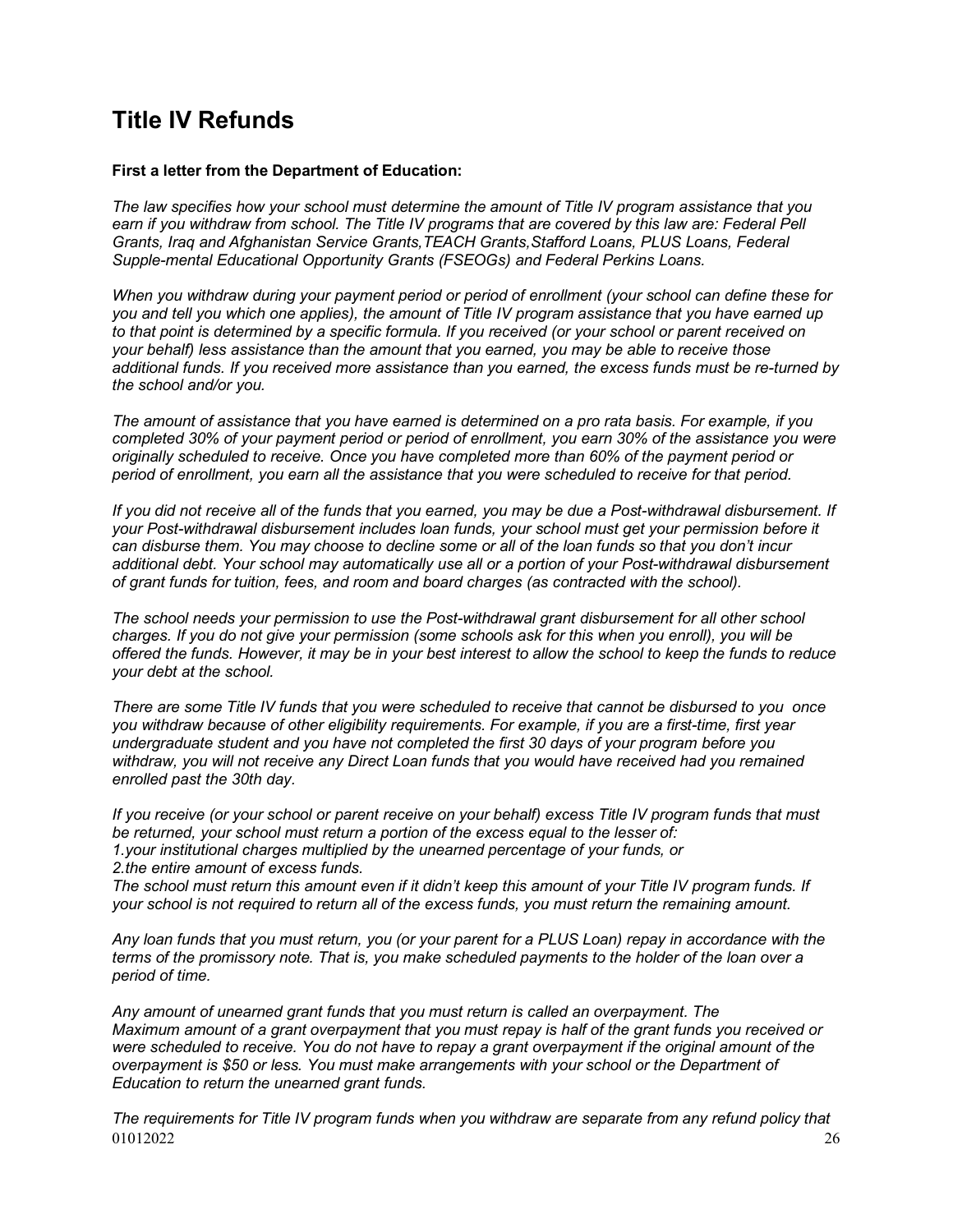# **Title IV Refunds**

# **First a letter from the Department of Education:**

*The law specifies how your school must determine the amount of Title IV program assistance that you*  earn if you withdraw from school. The Title IV programs that are covered by this law are: Federal Pell *Grants, Iraq and Afghanistan Service Grants,TEACH Grants,Stafford Loans, PLUS Loans, Federal Supple-mental Educational Opportunity Grants (FSEOGs) and Federal Perkins Loans.* 

*When you withdraw during your payment period or period of enrollment (your school can define these for you and tell you which one applies), the amount of Title IV program assistance that you have earned up to that point is determined by a specific formula. If you received (or your school or parent received on your behalf) less assistance than the amount that you earned, you may be able to receive those additional funds. If you received more assistance than you earned, the excess funds must be re-turned by the school and/or you.*

*The amount of assistance that you have earned is determined on a pro rata basis. For example, if you completed 30% of your payment period or period of enrollment, you earn 30% of the assistance you were originally scheduled to receive. Once you have completed more than 60% of the payment period or period of enrollment, you earn all the assistance that you were scheduled to receive for that period.*

*If you did not receive all of the funds that you earned, you may be due a Post-withdrawal disbursement. If your Post-withdrawal disbursement includes loan funds, your school must get your permission before it can disburse them. You may choose to decline some or all of the loan funds so that you don't incur additional debt. Your school may automatically use all or a portion of your Post-withdrawal disbursement of grant funds for tuition, fees, and room and board charges (as contracted with the school).* 

*The school needs your permission to use the Post-withdrawal grant disbursement for all other school charges. If you do not give your permission (some schools ask for this when you enroll), you will be offered the funds. However, it may be in your best interest to allow the school to keep the funds to reduce your debt at the school.* 

*There are some Title IV funds that you were scheduled to receive that cannot be disbursed to you once you withdraw because of other eligibility requirements. For example, if you are a first-time, first year undergraduate student and you have not completed the first 30 days of your program before you withdraw, you will not receive any Direct Loan funds that you would have received had you remained enrolled past the 30th day.*

*If you receive (or your school or parent receive on your behalf) excess Title IV program funds that must be returned, your school must return a portion of the excess equal to the lesser of: 1.your institutional charges multiplied by the unearned percentage of your funds, or 2.the entire amount of excess funds.*

*The school must return this amount even if it didn't keep this amount of your Title IV program funds. If your school is not required to return all of the excess funds, you must return the remaining amount.* 

*Any loan funds that you must return, you (or your parent for a PLUS Loan) repay in accordance with the terms of the promissory note. That is, you make scheduled payments to the holder of the loan over a period of time.*

*Any amount of unearned grant funds that you must return is called an overpayment. The Maximum amount of a grant overpayment that you must repay is half of the grant funds you received or were scheduled to receive. You do not have to repay a grant overpayment if the original amount of the overpayment is \$50 or less. You must make arrangements with your school or the Department of Education to return the unearned grant funds.*

 $01012022$  26 *The requirements for Title IV program funds when you withdraw are separate from any refund policy that*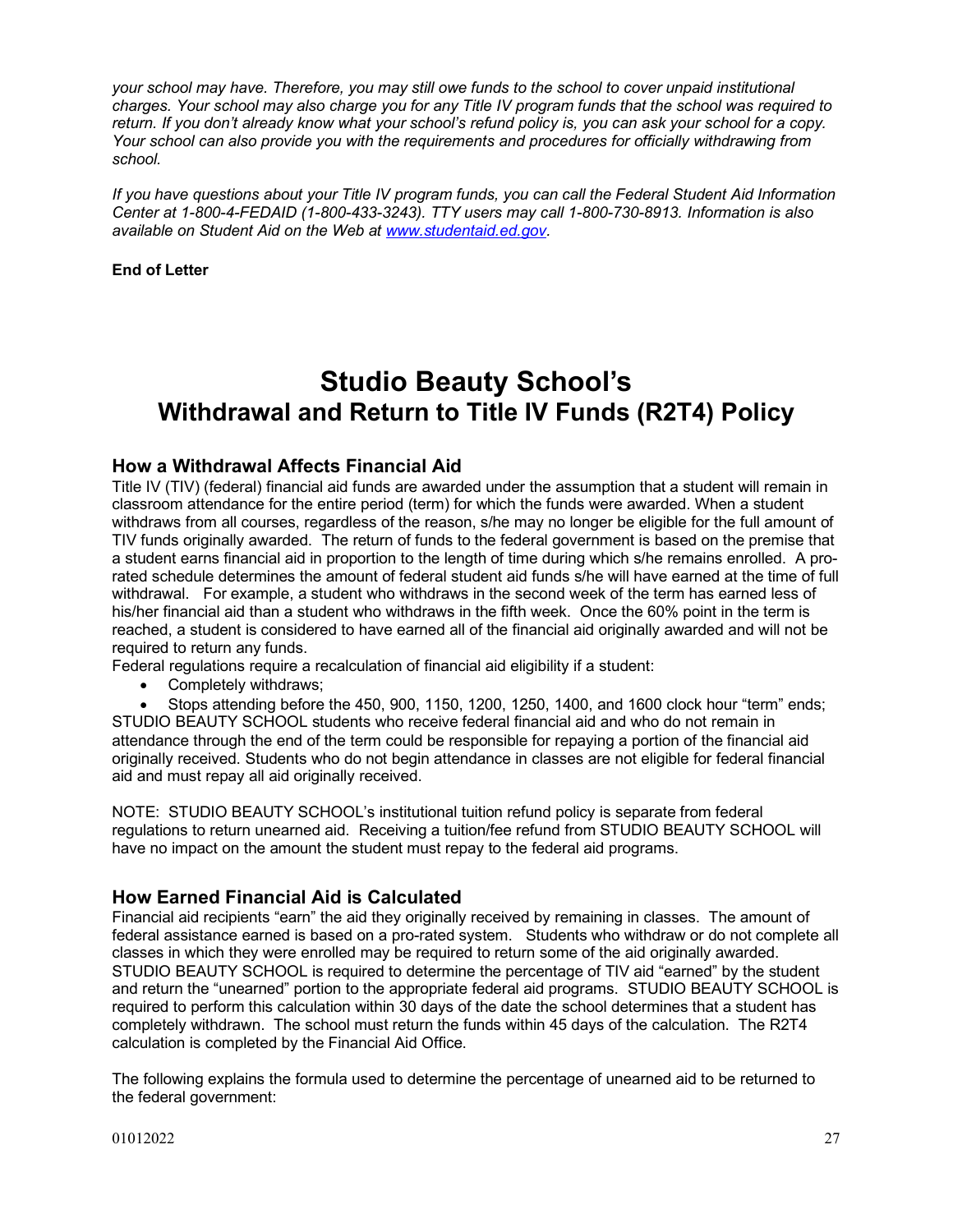*your school may have. Therefore, you may still owe funds to the school to cover unpaid institutional charges. Your school may also charge you for any Title IV program funds that the school was required to return. If you don't already know what your school's refund policy is, you can ask your school for a copy. Your school can also provide you with the requirements and procedures for officially withdrawing from school.*

*If you have questions about your Title IV program funds, you can call the Federal Student Aid Information Center at 1-800-4-FEDAID (1-800-433-3243). TTY users may call 1-800-730-8913. Information is also available on Student Aid on the Web at www.studentaid.ed.gov.*

**End of Letter**

# **Studio Beauty School's Withdrawal and Return to Title IV Funds (R2T4) Policy**

# **How a Withdrawal Affects Financial Aid**

Title IV (TIV) (federal) financial aid funds are awarded under the assumption that a student will remain in classroom attendance for the entire period (term) for which the funds were awarded. When a student withdraws from all courses, regardless of the reason, s/he may no longer be eligible for the full amount of TIV funds originally awarded. The return of funds to the federal government is based on the premise that a student earns financial aid in proportion to the length of time during which s/he remains enrolled. A prorated schedule determines the amount of federal student aid funds s/he will have earned at the time of full withdrawal. For example, a student who withdraws in the second week of the term has earned less of his/her financial aid than a student who withdraws in the fifth week. Once the 60% point in the term is reached, a student is considered to have earned all of the financial aid originally awarded and will not be required to return any funds.

Federal regulations require a recalculation of financial aid eligibility if a student:

• Completely withdraws;

• Stops attending before the 450, 900, 1150, 1200, 1250, 1400, and 1600 clock hour "term" ends; STUDIO BEAUTY SCHOOL students who receive federal financial aid and who do not remain in attendance through the end of the term could be responsible for repaying a portion of the financial aid originally received. Students who do not begin attendance in classes are not eligible for federal financial aid and must repay all aid originally received.

NOTE: STUDIO BEAUTY SCHOOL's institutional tuition refund policy is separate from federal regulations to return unearned aid. Receiving a tuition/fee refund from STUDIO BEAUTY SCHOOL will have no impact on the amount the student must repay to the federal aid programs.

# **How Earned Financial Aid is Calculated**

Financial aid recipients "earn" the aid they originally received by remaining in classes. The amount of federal assistance earned is based on a pro-rated system. Students who withdraw or do not complete all classes in which they were enrolled may be required to return some of the aid originally awarded. STUDIO BEAUTY SCHOOL is required to determine the percentage of TIV aid "earned" by the student and return the "unearned" portion to the appropriate federal aid programs. STUDIO BEAUTY SCHOOL is required to perform this calculation within 30 days of the date the school determines that a student has completely withdrawn. The school must return the funds within 45 days of the calculation. The R2T4 calculation is completed by the Financial Aid Office.

The following explains the formula used to determine the percentage of unearned aid to be returned to the federal government: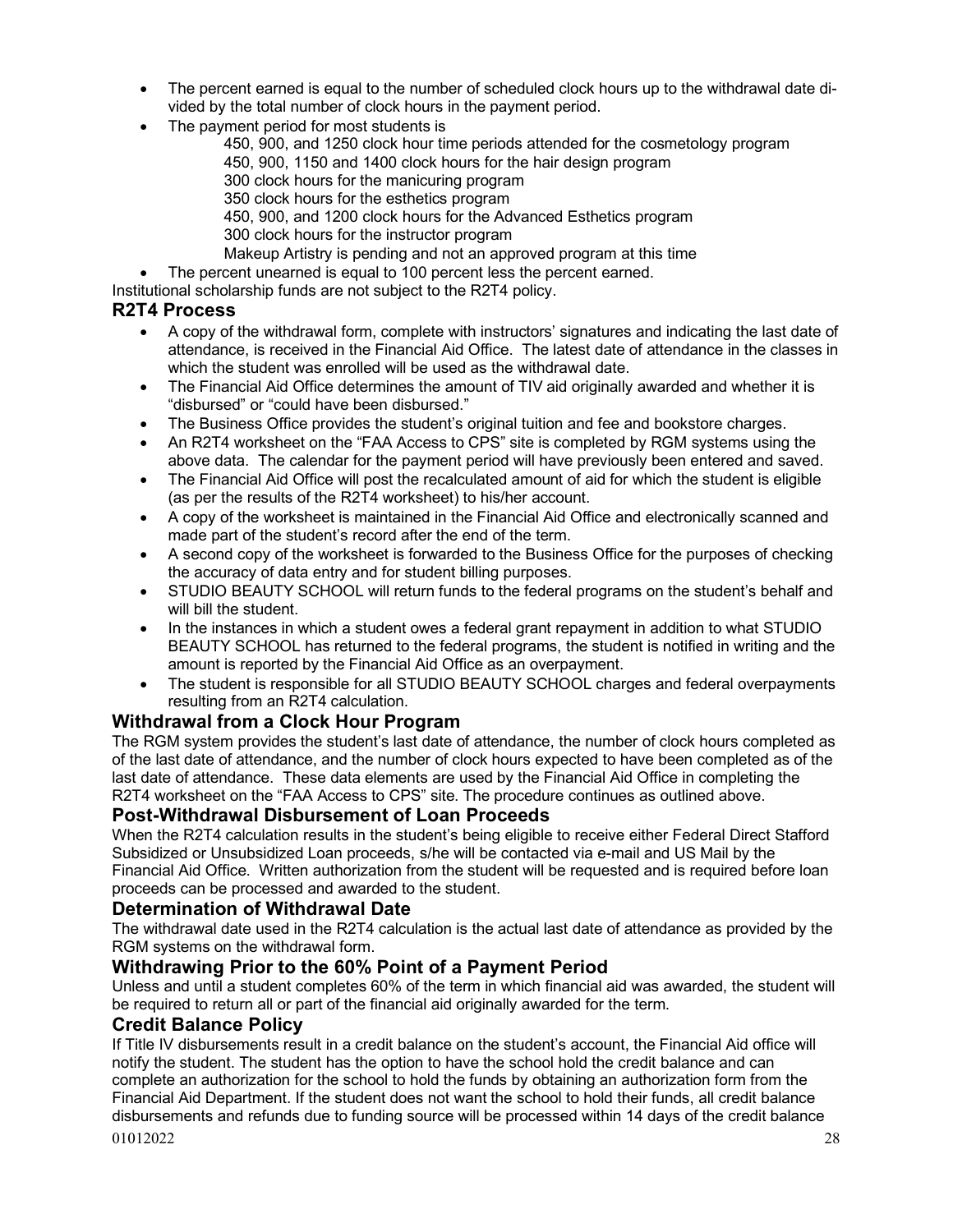- The percent earned is equal to the number of scheduled clock hours up to the withdrawal date divided by the total number of clock hours in the payment period.
- The payment period for most students is
	- 450, 900, and 1250 clock hour time periods attended for the cosmetology program
		- 450, 900, 1150 and 1400 clock hours for the hair design program
		- 300 clock hours for the manicuring program
	- 350 clock hours for the esthetics program
	- 450, 900, and 1200 clock hours for the Advanced Esthetics program
	- 300 clock hours for the instructor program
	- Makeup Artistry is pending and not an approved program at this time
- The percent unearned is equal to 100 percent less the percent earned.

Institutional scholarship funds are not subject to the R2T4 policy.

# **R2T4 Process**

- A copy of the withdrawal form, complete with instructors' signatures and indicating the last date of attendance, is received in the Financial Aid Office. The latest date of attendance in the classes in which the student was enrolled will be used as the withdrawal date.
- The Financial Aid Office determines the amount of TIV aid originally awarded and whether it is "disbursed" or "could have been disbursed."
- The Business Office provides the student's original tuition and fee and bookstore charges.
- An R2T4 worksheet on the "FAA Access to CPS" site is completed by RGM systems using the above data. The calendar for the payment period will have previously been entered and saved.
- The Financial Aid Office will post the recalculated amount of aid for which the student is eligible (as per the results of the R2T4 worksheet) to his/her account.
- A copy of the worksheet is maintained in the Financial Aid Office and electronically scanned and made part of the student's record after the end of the term.
- A second copy of the worksheet is forwarded to the Business Office for the purposes of checking the accuracy of data entry and for student billing purposes.
- STUDIO BEAUTY SCHOOL will return funds to the federal programs on the student's behalf and will bill the student.
- In the instances in which a student owes a federal grant repayment in addition to what STUDIO BEAUTY SCHOOL has returned to the federal programs, the student is notified in writing and the amount is reported by the Financial Aid Office as an overpayment.
- The student is responsible for all STUDIO BEAUTY SCHOOL charges and federal overpayments resulting from an R2T4 calculation.

# **Withdrawal from a Clock Hour Program**

The RGM system provides the student's last date of attendance, the number of clock hours completed as of the last date of attendance, and the number of clock hours expected to have been completed as of the last date of attendance. These data elements are used by the Financial Aid Office in completing the R2T4 worksheet on the "FAA Access to CPS" site. The procedure continues as outlined above.

# **Post-Withdrawal Disbursement of Loan Proceeds**

When the R2T4 calculation results in the student's being eligible to receive either Federal Direct Stafford Subsidized or Unsubsidized Loan proceeds, s/he will be contacted via e-mail and US Mail by the Financial Aid Office. Written authorization from the student will be requested and is required before loan proceeds can be processed and awarded to the student.

# **Determination of Withdrawal Date**

The withdrawal date used in the R2T4 calculation is the actual last date of attendance as provided by the RGM systems on the withdrawal form.

# **Withdrawing Prior to the 60% Point of a Payment Period**

Unless and until a student completes 60% of the term in which financial aid was awarded, the student will be required to return all or part of the financial aid originally awarded for the term.

# **Credit Balance Policy**

 $01012022$  28 If Title IV disbursements result in a credit balance on the student's account, the Financial Aid office will notify the student. The student has the option to have the school hold the credit balance and can complete an authorization for the school to hold the funds by obtaining an authorization form from the Financial Aid Department. If the student does not want the school to hold their funds, all credit balance disbursements and refunds due to funding source will be processed within 14 days of the credit balance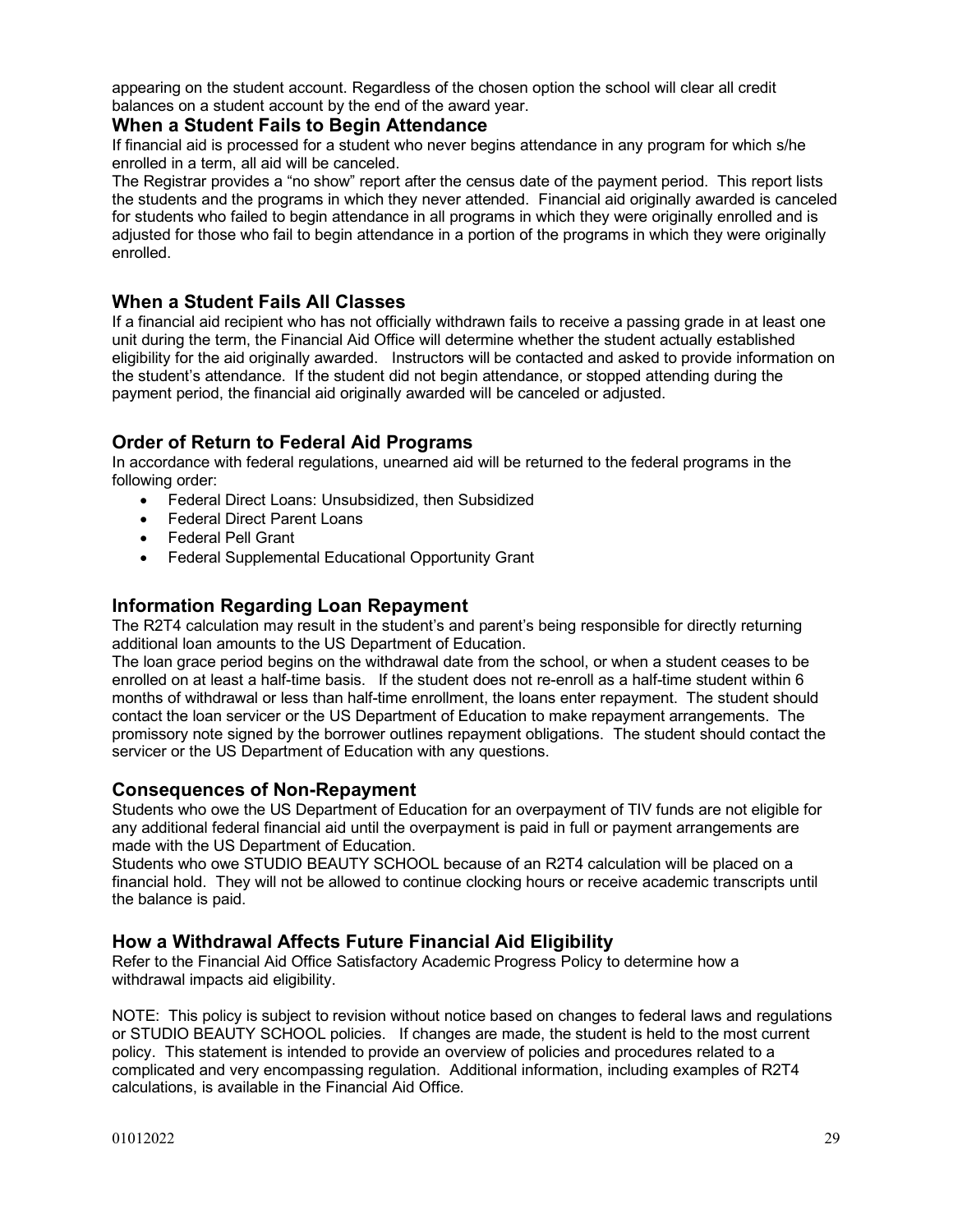appearing on the student account. Regardless of the chosen option the school will clear all credit balances on a student account by the end of the award year.

# **When a Student Fails to Begin Attendance**

If financial aid is processed for a student who never begins attendance in any program for which s/he enrolled in a term, all aid will be canceled.

The Registrar provides a "no show" report after the census date of the payment period. This report lists the students and the programs in which they never attended. Financial aid originally awarded is canceled for students who failed to begin attendance in all programs in which they were originally enrolled and is adjusted for those who fail to begin attendance in a portion of the programs in which they were originally enrolled.

# **When a Student Fails All Classes**

If a financial aid recipient who has not officially withdrawn fails to receive a passing grade in at least one unit during the term, the Financial Aid Office will determine whether the student actually established eligibility for the aid originally awarded. Instructors will be contacted and asked to provide information on the student's attendance. If the student did not begin attendance, or stopped attending during the payment period, the financial aid originally awarded will be canceled or adjusted.

# **Order of Return to Federal Aid Programs**

In accordance with federal regulations, unearned aid will be returned to the federal programs in the following order:

- Federal Direct Loans: Unsubsidized, then Subsidized
- Federal Direct Parent Loans
- Federal Pell Grant
- Federal Supplemental Educational Opportunity Grant

# **Information Regarding Loan Repayment**

The R2T4 calculation may result in the student's and parent's being responsible for directly returning additional loan amounts to the US Department of Education.

The loan grace period begins on the withdrawal date from the school, or when a student ceases to be enrolled on at least a half-time basis. If the student does not re-enroll as a half-time student within 6 months of withdrawal or less than half-time enrollment, the loans enter repayment. The student should contact the loan servicer or the US Department of Education to make repayment arrangements. The promissory note signed by the borrower outlines repayment obligations. The student should contact the servicer or the US Department of Education with any questions.

# **Consequences of Non-Repayment**

Students who owe the US Department of Education for an overpayment of TIV funds are not eligible for any additional federal financial aid until the overpayment is paid in full or payment arrangements are made with the US Department of Education.

Students who owe STUDIO BEAUTY SCHOOL because of an R2T4 calculation will be placed on a financial hold. They will not be allowed to continue clocking hours or receive academic transcripts until the balance is paid.

# **How a Withdrawal Affects Future Financial Aid Eligibility**

Refer to the Financial Aid Office Satisfactory Academic Progress Policy to determine how a withdrawal impacts aid eligibility.

NOTE: This policy is subject to revision without notice based on changes to federal laws and regulations or STUDIO BEAUTY SCHOOL policies. If changes are made, the student is held to the most current policy. This statement is intended to provide an overview of policies and procedures related to a complicated and very encompassing regulation. Additional information, including examples of R2T4 calculations, is available in the Financial Aid Office.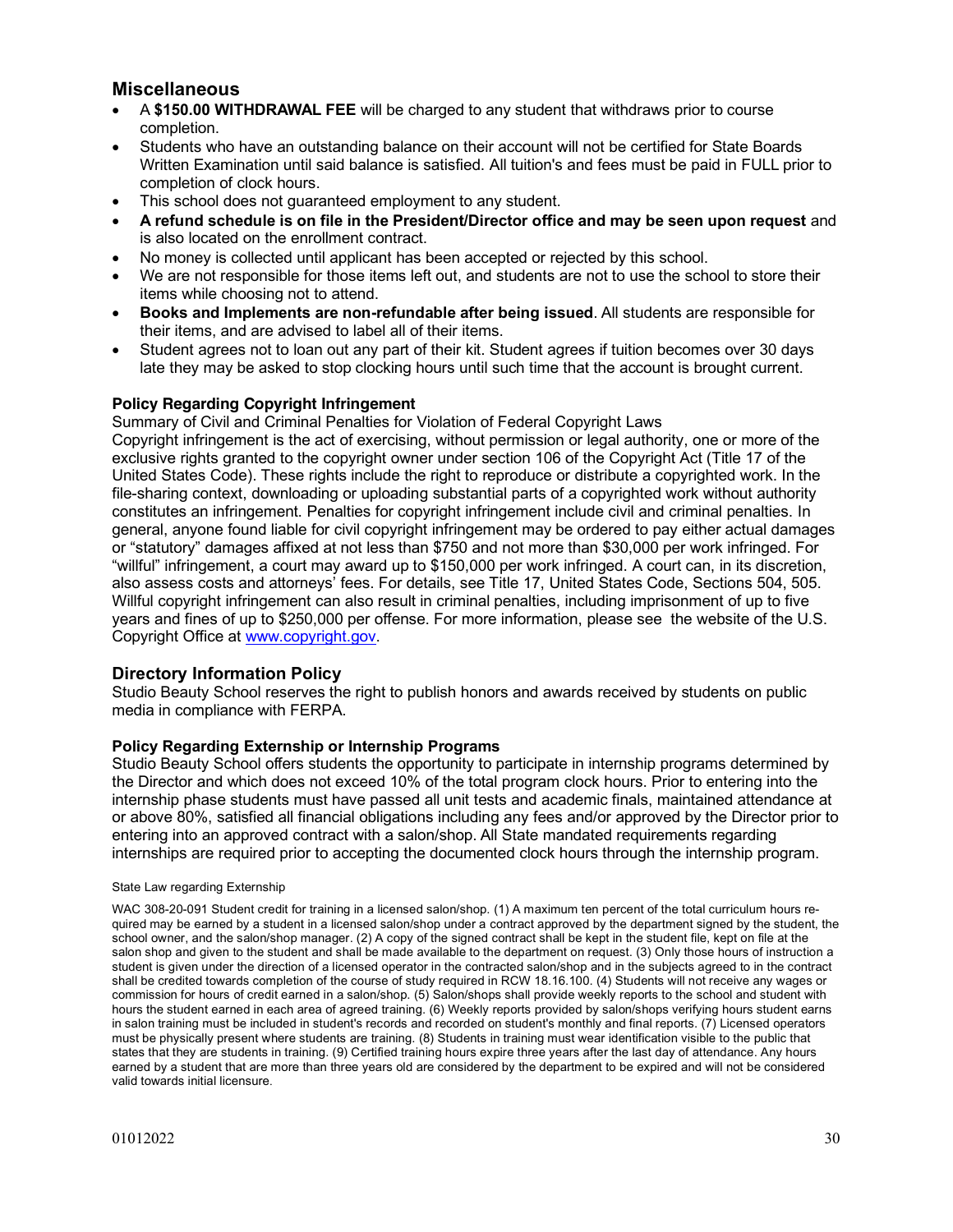# **Miscellaneous**

- A **\$150.00 WITHDRAWAL FEE** will be charged to any student that withdraws prior to course completion.
- Students who have an outstanding balance on their account will not be certified for State Boards Written Examination until said balance is satisfied. All tuition's and fees must be paid in FULL prior to completion of clock hours.
- This school does not quaranteed employment to any student.
- **A refund schedule is on file in the President/Director office and may be seen upon request** and is also located on the enrollment contract.
- No money is collected until applicant has been accepted or rejected by this school.
- We are not responsible for those items left out, and students are not to use the school to store their items while choosing not to attend.
- **Books and Implements are non-refundable after being issued**. All students are responsible for their items, and are advised to label all of their items.
- Student agrees not to loan out any part of their kit. Student agrees if tuition becomes over 30 days late they may be asked to stop clocking hours until such time that the account is brought current.

## **Policy Regarding Copyright Infringement**

Summary of Civil and Criminal Penalties for Violation of Federal Copyright Laws

Copyright infringement is the act of exercising, without permission or legal authority, one or more of the exclusive rights granted to the copyright owner under section 106 of the Copyright Act (Title 17 of the United States Code). These rights include the right to reproduce or distribute a copyrighted work. In the file-sharing context, downloading or uploading substantial parts of a copyrighted work without authority constitutes an infringement. Penalties for copyright infringement include civil and criminal penalties. In general, anyone found liable for civil copyright infringement may be ordered to pay either actual damages or "statutory" damages affixed at not less than \$750 and not more than \$30,000 per work infringed. For "willful" infringement, a court may award up to \$150,000 per work infringed. A court can, in its discretion, also assess costs and attorneys' fees. For details, see Title 17, United States Code, Sections 504, 505. Willful copyright infringement can also result in criminal penalties, including imprisonment of up to five years and fines of up to \$250,000 per offense. For more information, please see the website of the U.S. Copyright Office at www.copyright.gov.

# **Directory Information Policy**

Studio Beauty School reserves the right to publish honors and awards received by students on public media in compliance with FERPA.

## **Policy Regarding Externship or Internship Programs**

Studio Beauty School offers students the opportunity to participate in internship programs determined by the Director and which does not exceed 10% of the total program clock hours. Prior to entering into the internship phase students must have passed all unit tests and academic finals, maintained attendance at or above 80%, satisfied all financial obligations including any fees and/or approved by the Director prior to entering into an approved contract with a salon/shop. All State mandated requirements regarding internships are required prior to accepting the documented clock hours through the internship program.

#### State Law regarding Externship

WAC 308-20-091 Student credit for training in a licensed salon/shop. (1) A maximum ten percent of the total curriculum hours required may be earned by a student in a licensed salon/shop under a contract approved by the department signed by the student, the school owner, and the salon/shop manager. (2) A copy of the signed contract shall be kept in the student file, kept on file at the salon shop and given to the student and shall be made available to the department on request. (3) Only those hours of instruction a student is given under the direction of a licensed operator in the contracted salon/shop and in the subjects agreed to in the contract shall be credited towards completion of the course of study required in RCW 18.16.100. (4) Students will not receive any wages or commission for hours of credit earned in a salon/shop. (5) Salon/shops shall provide weekly reports to the school and student with hours the student earned in each area of agreed training. (6) Weekly reports provided by salon/shops verifying hours student earns in salon training must be included in student's records and recorded on student's monthly and final reports. (7) Licensed operators must be physically present where students are training. (8) Students in training must wear identification visible to the public that states that they are students in training. (9) Certified training hours expire three years after the last day of attendance. Any hours earned by a student that are more than three years old are considered by the department to be expired and will not be considered valid towards initial licensure.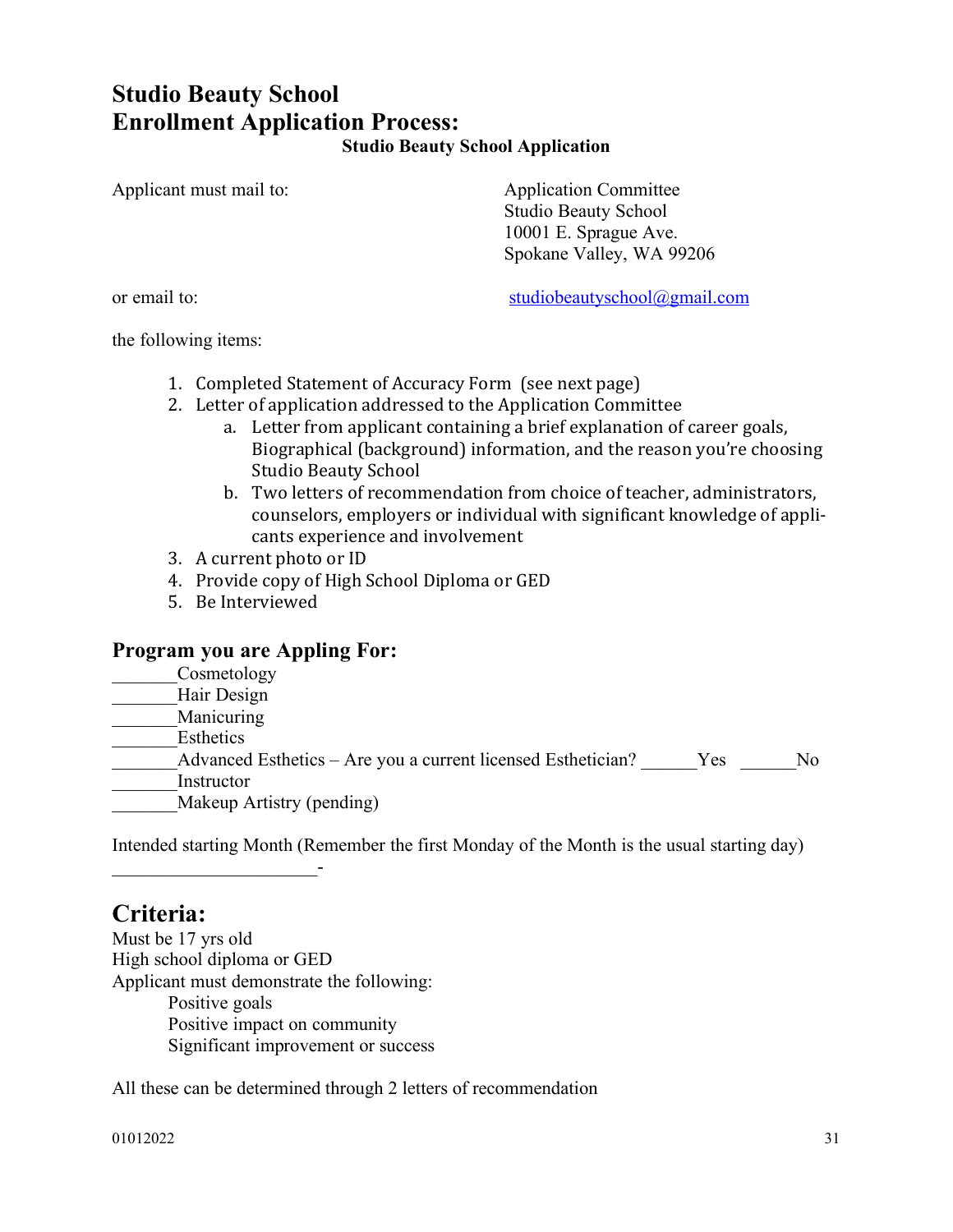# **Studio Beauty School Enrollment Application Process: Studio Beauty School Application**

Applicant must mail to: Application Committee

Studio Beauty School 10001 E. Sprague Ave. Spokane Valley, WA 99206

or email to: studiobeautyschool@gmail.com

the following items:

- 1. Completed Statement of Accuracy Form (see next page)
- 2. Letter of application addressed to the Application Committee
	- a. Letter from applicant containing a brief explanation of career goals, Biographical (background) information, and the reason you're choosing Studio Beauty School
	- b. Two letters of recommendation from choice of teacher, administrators, counselors, employers or individual with significant knowledge of applicants experience and involvement
- 3. A current photo or ID
- 4. Provide copy of High School Diploma or GED
- 5. Be Interviewed

# **Program you are Appling For:**

Cosmetology \_\_\_\_\_\_\_Hair Design \_\_\_\_\_\_\_Manicuring \_\_\_\_\_\_\_Esthetics Advanced Esthetics – Are you a current licensed Esthetician? Yes No \_\_\_\_\_\_\_Instructor Makeup Artistry (pending)

Intended starting Month (Remember the first Monday of the Month is the usual starting day)

# **Criteria:**

 $\frac{1}{2}$  ,  $\frac{1}{2}$  ,  $\frac{1}{2}$  ,  $\frac{1}{2}$  ,  $\frac{1}{2}$  ,  $\frac{1}{2}$  ,  $\frac{1}{2}$  ,  $\frac{1}{2}$  ,  $\frac{1}{2}$  ,  $\frac{1}{2}$  ,  $\frac{1}{2}$ 

Must be 17 yrs old High school diploma or GED Applicant must demonstrate the following: Positive goals Positive impact on community Significant improvement or success

All these can be determined through 2 letters of recommendation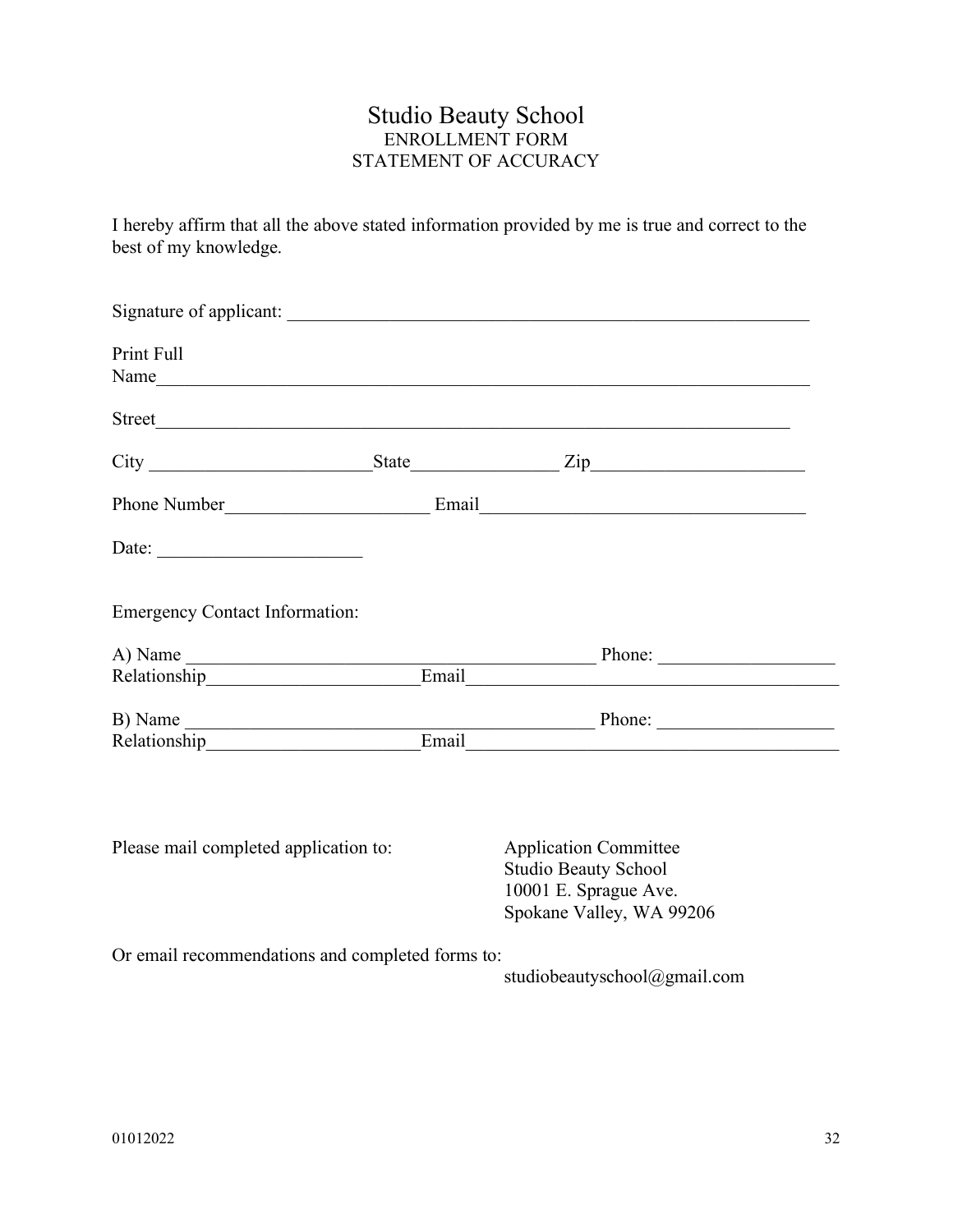# Studio Beauty School ENROLLMENT FORM STATEMENT OF ACCURACY

I hereby affirm that all the above stated information provided by me is true and correct to the best of my knowledge.

| Print Full                                               | Name                                                                                                                                                                                                                           |  |
|----------------------------------------------------------|--------------------------------------------------------------------------------------------------------------------------------------------------------------------------------------------------------------------------------|--|
|                                                          |                                                                                                                                                                                                                                |  |
|                                                          |                                                                                                                                                                                                                                |  |
|                                                          |                                                                                                                                                                                                                                |  |
| Date: $\frac{1}{\sqrt{1-\frac{1}{2}} \cdot \frac{1}{2}}$ |                                                                                                                                                                                                                                |  |
| <b>Emergency Contact Information:</b>                    |                                                                                                                                                                                                                                |  |
|                                                          |                                                                                                                                                                                                                                |  |
|                                                          | A) Name Phone: Phone: Phone: Phone: Phone: Phone: Phone: Phone: Phone: Phone: Phone: Phone: Phone: Phone: Phone: Phone: Phone: Phone: Phone: Phone: Phone: Phone: Phone: Phone: Phone: Phone: Phone: Phone: Phone: Phone: Phon |  |
|                                                          |                                                                                                                                                                                                                                |  |
|                                                          | B) Name Phone: Phone: Phone: Phone: Phone: Phone: Phone: Phone: Phone: Phone: Phone: Phone: Phone: Phone: Phone: Phone: Phone: Phone: Phone: Phone: Phone: Phone: Phone: Phone: Phone: Phone: Phone: Phone: Phone: Phone: Phon |  |
| Please mail completed application to:                    | <b>Application Committee</b><br><b>Studio Beauty School</b><br>10001 E. Sprague Ave.<br>Spokane Valley, WA 99206                                                                                                               |  |
| Or email recommendations and completed forms to:         |                                                                                                                                                                                                                                |  |

studiobeautyschool@gmail.com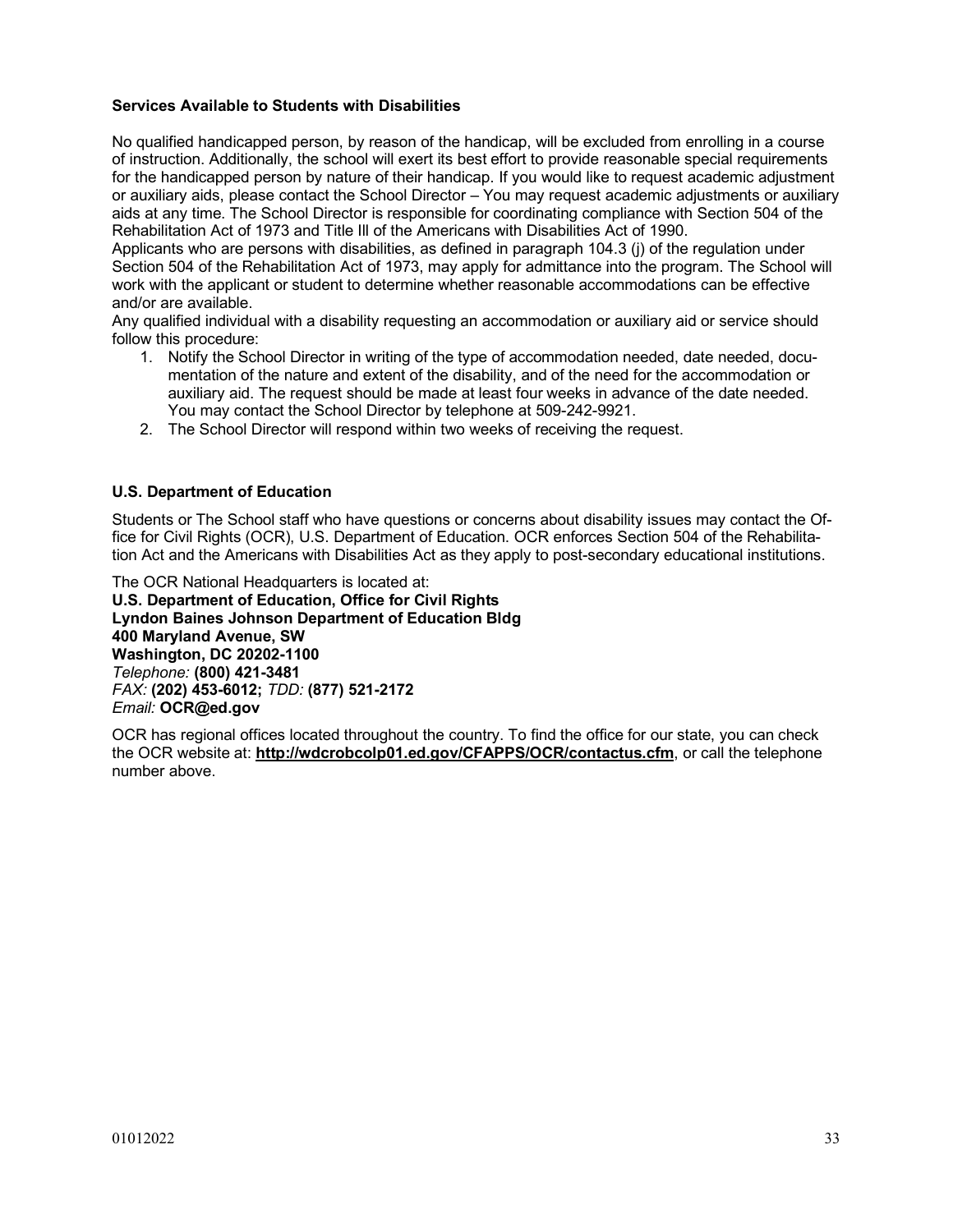# **Services Available to Students with Disabilities**

No qualified handicapped person, by reason of the handicap, will be excluded from enrolling in a course of instruction. Additionally, the school will exert its best effort to provide reasonable special requirements for the handicapped person by nature of their handicap. If you would like to request academic adjustment or auxiliary aids, please contact the School Director – You may request academic adjustments or auxiliary aids at any time. The School Director is responsible for coordinating compliance with Section 504 of the Rehabilitation Act of 1973 and Title Ill of the Americans with Disabilities Act of 1990.

Applicants who are persons with disabilities, as defined in paragraph 104.3 (j) of the regulation under Section 504 of the Rehabilitation Act of 1973, may apply for admittance into the program. The School will work with the applicant or student to determine whether reasonable accommodations can be effective and/or are available.

Any qualified individual with a disability requesting an accommodation or auxiliary aid or service should follow this procedure:

- 1. Notify the School Director in writing of the type of accommodation needed, date needed, documentation of the nature and extent of the disability, and of the need for the accommodation or auxiliary aid. The request should be made at least four weeks in advance of the date needed. You may contact the School Director by telephone at 509-242-9921.
- 2. The School Director will respond within two weeks of receiving the request.

# **U.S. Department of Education**

Students or The School staff who have questions or concerns about disability issues may contact the Office for Civil Rights (OCR), U.S. Department of Education. OCR enforces Section 504 of the Rehabilitation Act and the Americans with Disabilities Act as they apply to post-secondary educational institutions.

The OCR National Headquarters is located at: **U.S. Department of Education, Office for Civil Rights Lyndon Baines Johnson Department of Education Bldg 400 Maryland Avenue, SW Washington, DC 20202-1100**  *Telephone:* **(800) 421-3481** *FAX:* **(202) 453-6012;** *TDD:* **(877) 521-2172** *Email:* **OCR@ed.gov** 

OCR has regional offices located throughout the country. To find the office for our state, you can check the OCR website at: **http://wdcrobcolp01.ed.gov/CFAPPS/OCR/contactus.cfm**, or call the telephone number above.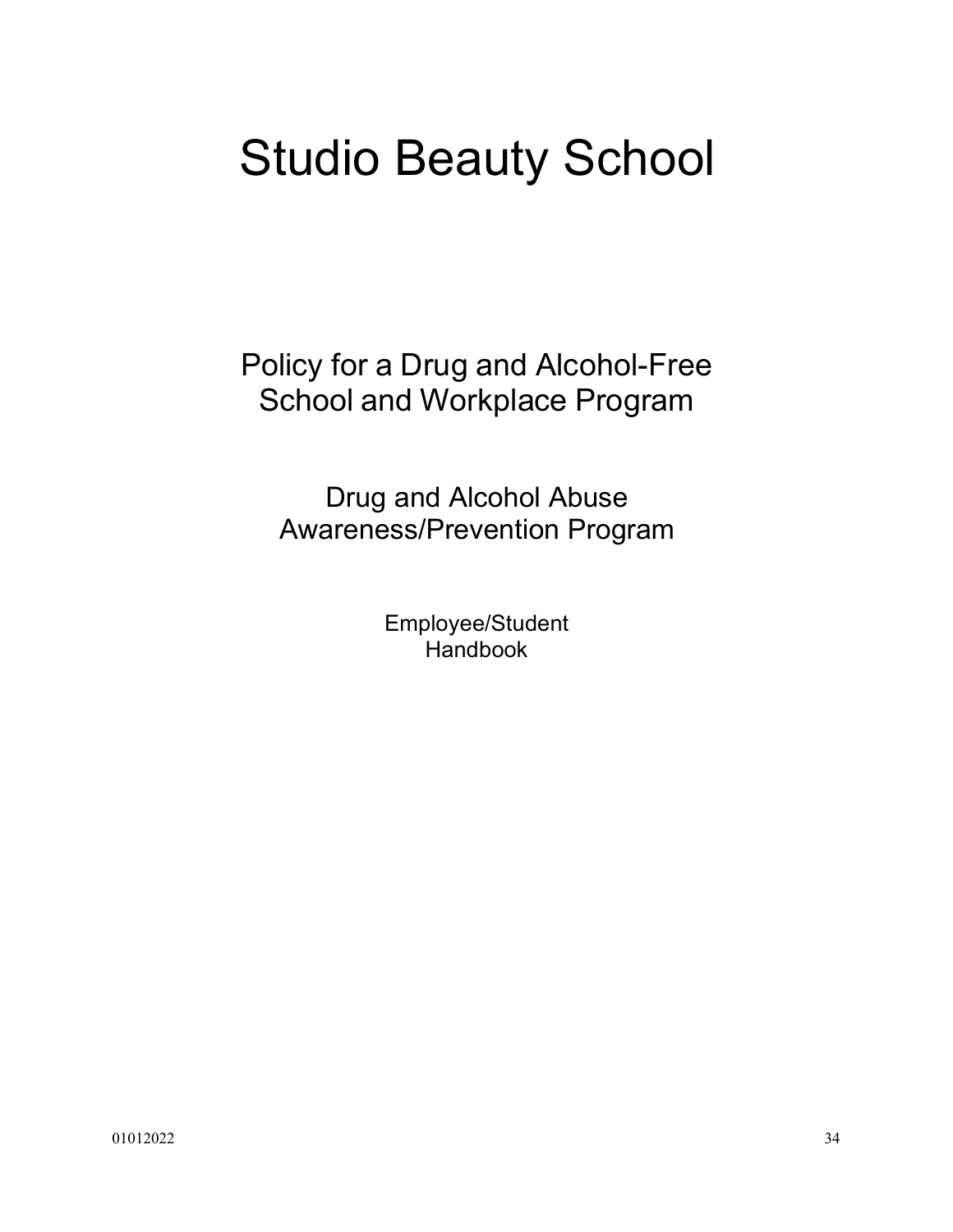# Studio Beauty School

Policy for a Drug and Alcohol-Free School and Workplace Program

Drug and Alcohol Abuse Awareness/Prevention Program

> Employee/Student Handbook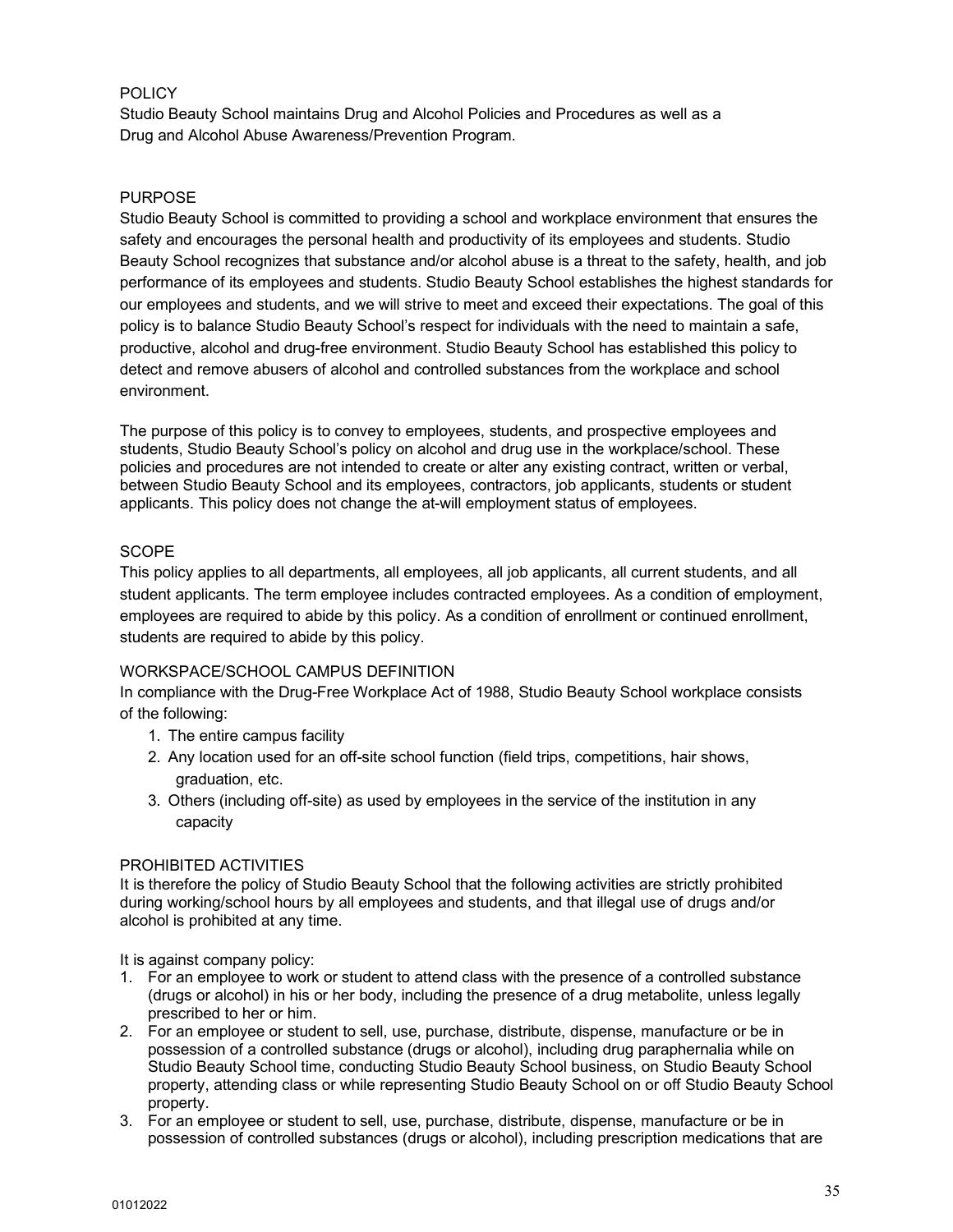# **POLICY**

Studio Beauty School maintains Drug and Alcohol Policies and Procedures as well as a Drug and Alcohol Abuse Awareness/Prevention Program.

# PURPOSE

Studio Beauty School is committed to providing a school and workplace environment that ensures the safety and encourages the personal health and productivity of its employees and students. Studio Beauty School recognizes that substance and/or alcohol abuse is a threat to the safety, health, and job performance of its employees and students. Studio Beauty School establishes the highest standards for our employees and students, and we will strive to meet and exceed their expectations. The goal of this policy is to balance Studio Beauty School's respect for individuals with the need to maintain a safe, productive, alcohol and drug-free environment. Studio Beauty School has established this policy to detect and remove abusers of alcohol and controlled substances from the workplace and school environment.

The purpose of this policy is to convey to employees, students, and prospective employees and students, Studio Beauty School's policy on alcohol and drug use in the workplace/school. These policies and procedures are not intended to create or alter any existing contract, written or verbal, between Studio Beauty School and its employees, contractors, job applicants, students or student applicants. This policy does not change the at-will employment status of employees.

# **SCOPE**

This policy applies to all departments, all employees, all job applicants, all current students, and all student applicants. The term employee includes contracted employees. As a condition of employment, employees are required to abide by this policy. As a condition of enrollment or continued enrollment, students are required to abide by this policy.

# WORKSPACE/SCHOOL CAMPUS DEFINITION

In compliance with the Drug-Free Workplace Act of 1988, Studio Beauty School workplace consists of the following:

- 1. The entire campus facility
- 2. Any location used for an off-site school function (field trips, competitions, hair shows, graduation, etc.
- 3. Others (including off-site) as used by employees in the service of the institution in any capacity

# PROHIBITED ACTIVITIES

It is therefore the policy of Studio Beauty School that the following activities are strictly prohibited during working/school hours by all employees and students, and that illegal use of drugs and/or alcohol is prohibited at any time.

It is against company policy:

- 1. For an employee to work or student to attend class with the presence of a controlled substance (drugs or alcohol) in his or her body, including the presence of a drug metabolite, unless legally prescribed to her or him.
- 2. For an employee or student to sell, use, purchase, distribute, dispense, manufacture or be in possession of a controlled substance (drugs or alcohol), including drug paraphernalia while on Studio Beauty School time, conducting Studio Beauty School business, on Studio Beauty School property, attending class or while representing Studio Beauty School on or off Studio Beauty School property.
- 3. For an employee or student to sell, use, purchase, distribute, dispense, manufacture or be in possession of controlled substances (drugs or alcohol), including prescription medications that are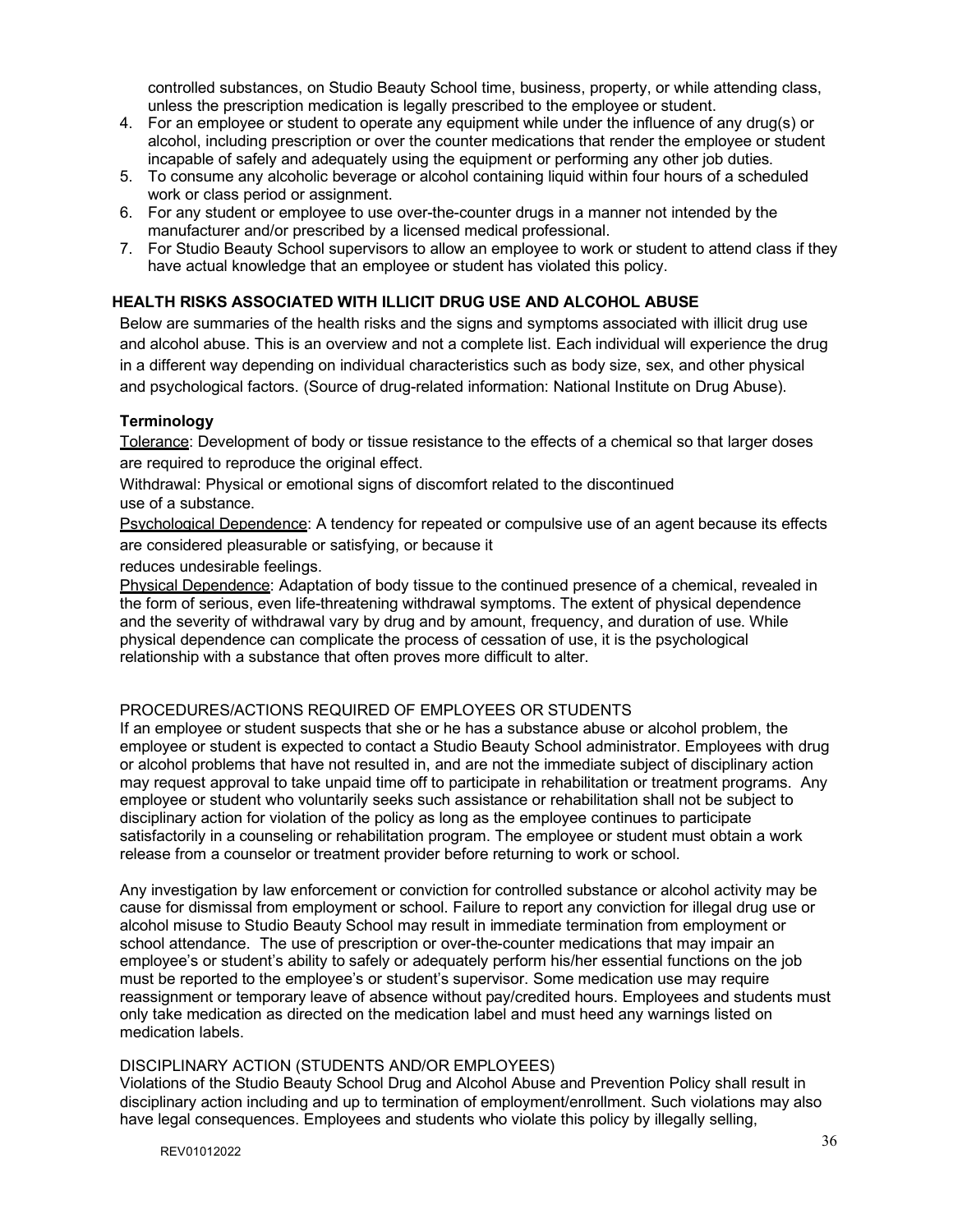controlled substances, on Studio Beauty School time, business, property, or while attending class, unless the prescription medication is legally prescribed to the employee or student.

- 4. For an employee or student to operate any equipment while under the influence of any drug(s) or alcohol, including prescription or over the counter medications that render the employee or student incapable of safely and adequately using the equipment or performing any other job duties.
- 5. To consume any alcoholic beverage or alcohol containing liquid within four hours of a scheduled work or class period or assignment.
- 6. For any student or employee to use over-the-counter drugs in a manner not intended by the manufacturer and/or prescribed by a licensed medical professional.
- 7. For Studio Beauty School supervisors to allow an employee to work or student to attend class if they have actual knowledge that an employee or student has violated this policy.

# **HEALTH RISKS ASSOCIATED WITH ILLICIT DRUG USE AND ALCOHOL ABUSE**

Below are summaries of the health risks and the signs and symptoms associated with illicit drug use and alcohol abuse. This is an overview and not a complete list. Each individual will experience the drug in a different way depending on individual characteristics such as body size, sex, and other physical and psychological factors. (Source of drug-related information: National Institute on Drug Abuse).

# **Terminology**

Tolerance: Development of body or tissue resistance to the effects of a chemical so that larger doses are required to reproduce the original effect.

Withdrawal: Physical or emotional signs of discomfort related to the discontinued use of a substance.

Psychological Dependence: A tendency for repeated or compulsive use of an agent because its effects are considered pleasurable or satisfying, or because it

reduces undesirable feelings.

Physical Dependence: Adaptation of body tissue to the continued presence of a chemical, revealed in the form of serious, even life-threatening withdrawal symptoms. The extent of physical dependence and the severity of withdrawal vary by drug and by amount, frequency, and duration of use. While physical dependence can complicate the process of cessation of use, it is the psychological relationship with a substance that often proves more difficult to alter.

# PROCEDURES/ACTIONS REQUIRED OF EMPLOYEES OR STUDENTS

If an employee or student suspects that she or he has a substance abuse or alcohol problem, the employee or student is expected to contact a Studio Beauty School administrator. Employees with drug or alcohol problems that have not resulted in, and are not the immediate subject of disciplinary action may request approval to take unpaid time off to participate in rehabilitation or treatment programs. Any employee or student who voluntarily seeks such assistance or rehabilitation shall not be subject to disciplinary action for violation of the policy as long as the employee continues to participate satisfactorily in a counseling or rehabilitation program. The employee or student must obtain a work release from a counselor or treatment provider before returning to work or school.

Any investigation by law enforcement or conviction for controlled substance or alcohol activity may be cause for dismissal from employment or school. Failure to report any conviction for illegal drug use or alcohol misuse to Studio Beauty School may result in immediate termination from employment or school attendance. The use of prescription or over-the-counter medications that may impair an employee's or student's ability to safely or adequately perform his/her essential functions on the job must be reported to the employee's or student's supervisor. Some medication use may require reassignment or temporary leave of absence without pay/credited hours. Employees and students must only take medication as directed on the medication label and must heed any warnings listed on medication labels.

## DISCIPLINARY ACTION (STUDENTS AND/OR EMPLOYEES)

Violations of the Studio Beauty School Drug and Alcohol Abuse and Prevention Policy shall result in disciplinary action including and up to termination of employment/enrollment. Such violations may also have legal consequences. Employees and students who violate this policy by illegally selling,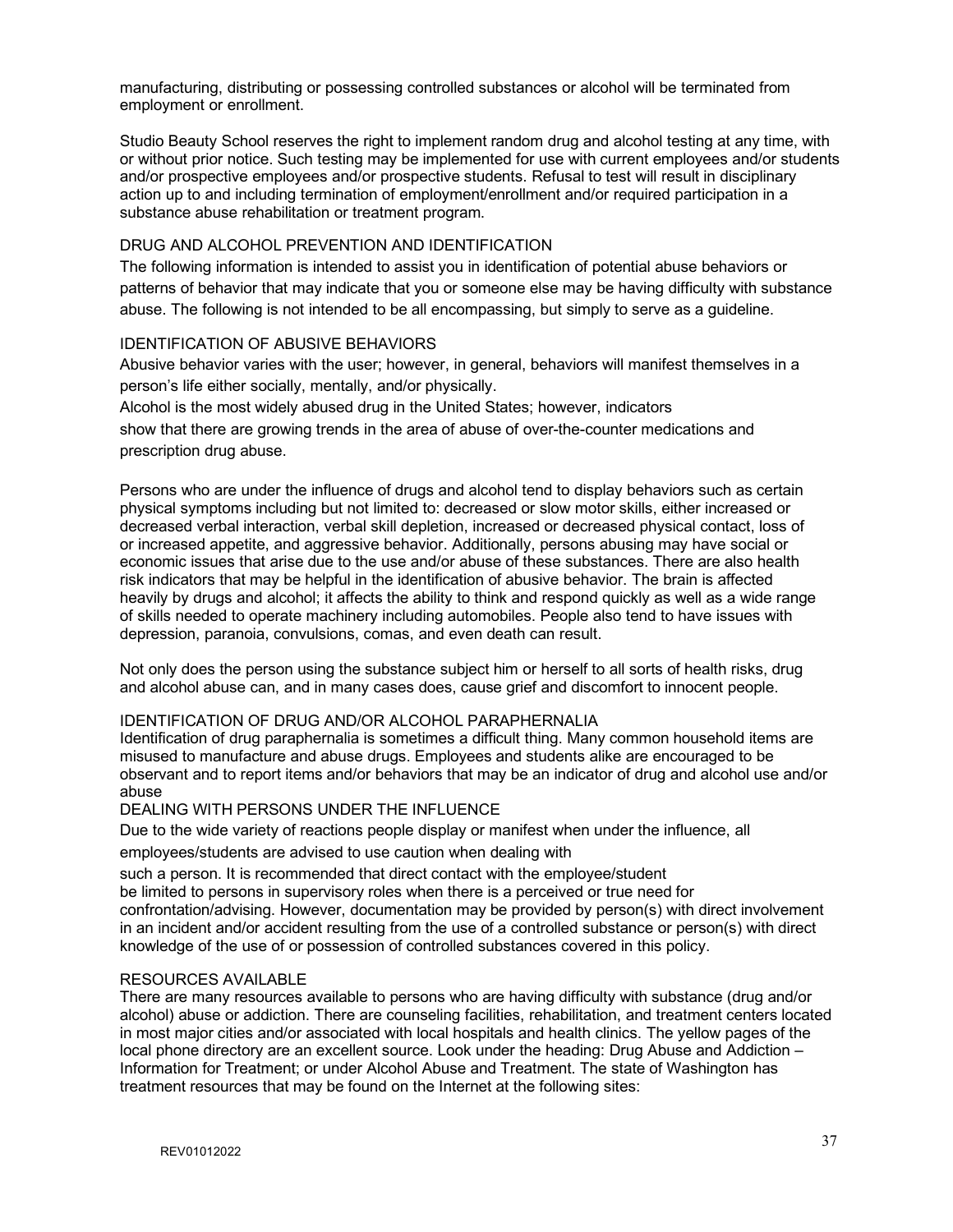manufacturing, distributing or possessing controlled substances or alcohol will be terminated from employment or enrollment.

Studio Beauty School reserves the right to implement random drug and alcohol testing at any time, with or without prior notice. Such testing may be implemented for use with current employees and/or students and/or prospective employees and/or prospective students. Refusal to test will result in disciplinary action up to and including termination of employment/enrollment and/or required participation in a substance abuse rehabilitation or treatment program.

# DRUG AND ALCOHOL PREVENTION AND IDENTIFICATION

The following information is intended to assist you in identification of potential abuse behaviors or patterns of behavior that may indicate that you or someone else may be having difficulty with substance abuse. The following is not intended to be all encompassing, but simply to serve as a guideline.

# IDENTIFICATION OF ABUSIVE BEHAVIORS

Abusive behavior varies with the user; however, in general, behaviors will manifest themselves in a person's life either socially, mentally, and/or physically.

Alcohol is the most widely abused drug in the United States; however, indicators show that there are growing trends in the area of abuse of over-the-counter medications and prescription drug abuse.

Persons who are under the influence of drugs and alcohol tend to display behaviors such as certain physical symptoms including but not limited to: decreased or slow motor skills, either increased or decreased verbal interaction, verbal skill depletion, increased or decreased physical contact, loss of or increased appetite, and aggressive behavior. Additionally, persons abusing may have social or economic issues that arise due to the use and/or abuse of these substances. There are also health risk indicators that may be helpful in the identification of abusive behavior. The brain is affected heavily by drugs and alcohol; it affects the ability to think and respond quickly as well as a wide range of skills needed to operate machinery including automobiles. People also tend to have issues with depression, paranoia, convulsions, comas, and even death can result.

Not only does the person using the substance subject him or herself to all sorts of health risks, drug and alcohol abuse can, and in many cases does, cause grief and discomfort to innocent people.

# IDENTIFICATION OF DRUG AND/OR ALCOHOL PARAPHERNALIA

Identification of drug paraphernalia is sometimes a difficult thing. Many common household items are misused to manufacture and abuse drugs. Employees and students alike are encouraged to be observant and to report items and/or behaviors that may be an indicator of drug and alcohol use and/or abuse

## DEALING WITH PERSONS UNDER THE INFLUENCE

Due to the wide variety of reactions people display or manifest when under the influence, all

employees/students are advised to use caution when dealing with

such a person. It is recommended that direct contact with the employee/student

be limited to persons in supervisory roles when there is a perceived or true need for

confrontation/advising. However, documentation may be provided by person(s) with direct involvement in an incident and/or accident resulting from the use of a controlled substance or person(s) with direct knowledge of the use of or possession of controlled substances covered in this policy.

## RESOURCES AVAILABLE

There are many resources available to persons who are having difficulty with substance (drug and/or alcohol) abuse or addiction. There are counseling facilities, rehabilitation, and treatment centers located in most major cities and/or associated with local hospitals and health clinics. The yellow pages of the local phone directory are an excellent source. Look under the heading: Drug Abuse and Addiction – Information for Treatment; or under Alcohol Abuse and Treatment. The state of Washington has treatment resources that may be found on the Internet at the following sites: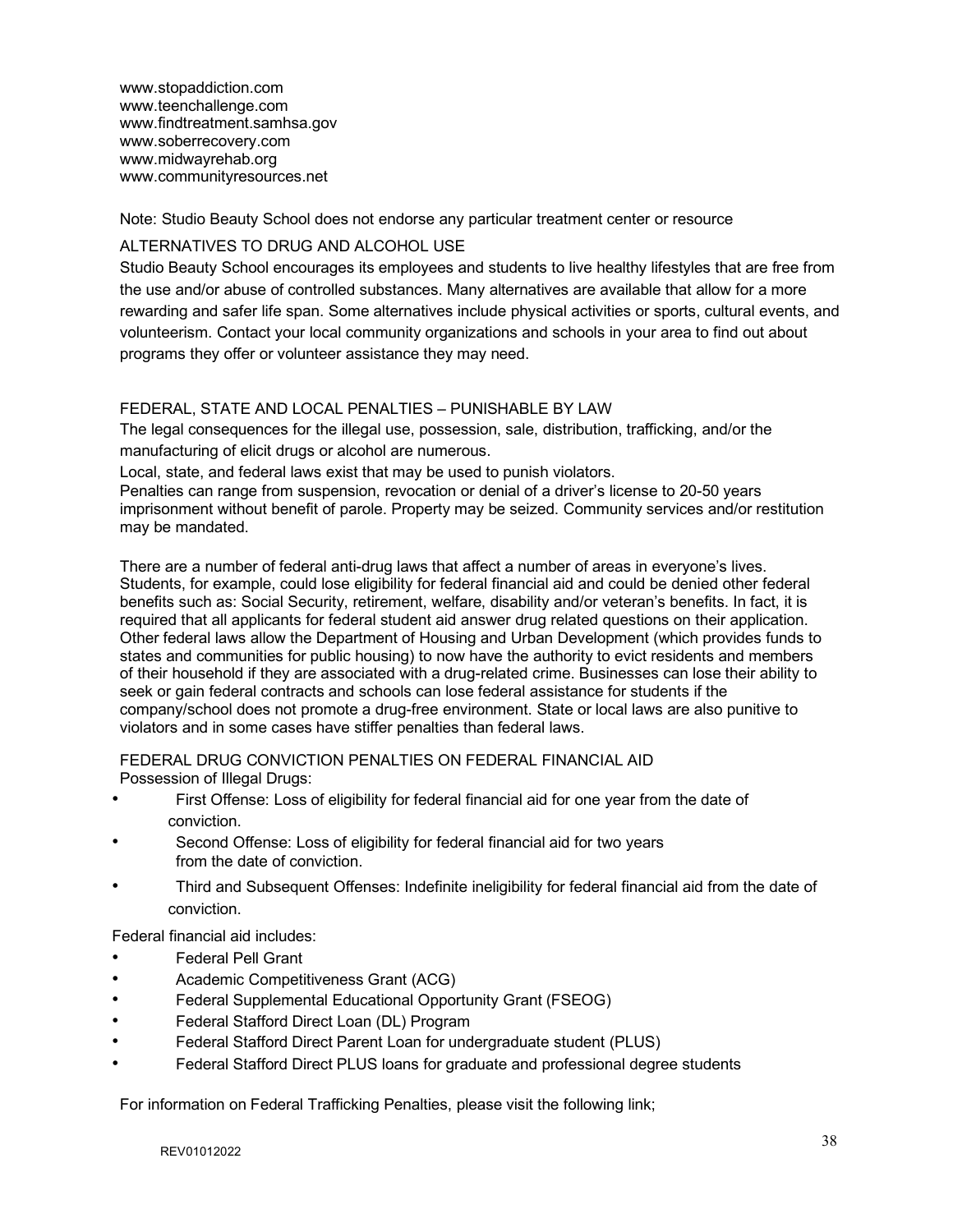www.stopaddiction.com www.teenchallenge.com www.findtreatment.samhsa.gov www.soberrecovery.com www.midwayrehab.org www.communityresources.net

Note: Studio Beauty School does not endorse any particular treatment center or resource

# ALTERNATIVES TO DRUG AND ALCOHOL USE

Studio Beauty School encourages its employees and students to live healthy lifestyles that are free from the use and/or abuse of controlled substances. Many alternatives are available that allow for a more rewarding and safer life span. Some alternatives include physical activities or sports, cultural events, and volunteerism. Contact your local community organizations and schools in your area to find out about programs they offer or volunteer assistance they may need.

# FEDERAL, STATE AND LOCAL PENALTIES – PUNISHABLE BY LAW

The legal consequences for the illegal use, possession, sale, distribution, trafficking, and/or the manufacturing of elicit drugs or alcohol are numerous.

Local, state, and federal laws exist that may be used to punish violators.

Penalties can range from suspension, revocation or denial of a driver's license to 20-50 years imprisonment without benefit of parole. Property may be seized. Community services and/or restitution may be mandated.

There are a number of federal anti-drug laws that affect a number of areas in everyone's lives. Students, for example, could lose eligibility for federal financial aid and could be denied other federal benefits such as: Social Security, retirement, welfare, disability and/or veteran's benefits. In fact, it is required that all applicants for federal student aid answer drug related questions on their application. Other federal laws allow the Department of Housing and Urban Development (which provides funds to states and communities for public housing) to now have the authority to evict residents and members of their household if they are associated with a drug-related crime. Businesses can lose their ability to seek or gain federal contracts and schools can lose federal assistance for students if the company/school does not promote a drug-free environment. State or local laws are also punitive to violators and in some cases have stiffer penalties than federal laws.

FEDERAL DRUG CONVICTION PENALTIES ON FEDERAL FINANCIAL AID Possession of Illegal Drugs:

- First Offense: Loss of eligibility for federal financial aid for one year from the date of conviction.
- Second Offense: Loss of eligibility for federal financial aid for two years from the date of conviction.
- Third and Subsequent Offenses: Indefinite ineligibility for federal financial aid from the date of conviction.

Federal financial aid includes:

- Federal Pell Grant
- Academic Competitiveness Grant (ACG)
- Federal Supplemental Educational Opportunity Grant (FSEOG)
- Federal Stafford Direct Loan (DL) Program
- Federal Stafford Direct Parent Loan for undergraduate student (PLUS)
- Federal Stafford Direct PLUS loans for graduate and professional degree students

For information on Federal Trafficking Penalties, please visit the following link;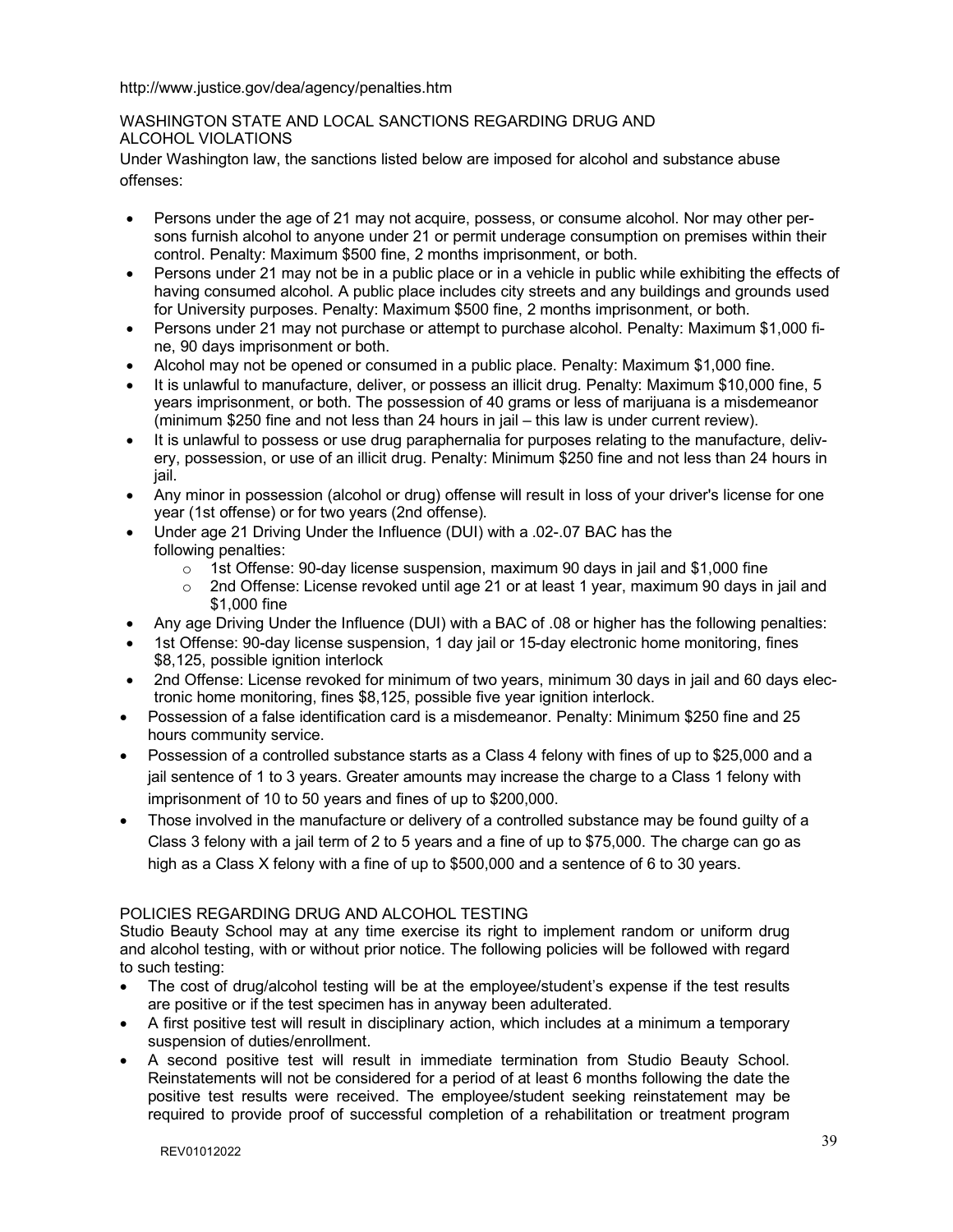http://www.justice.gov/dea/agency/penalties.htm

# WASHINGTON STATE AND LOCAL SANCTIONS REGARDING DRUG AND ALCOHOL VIOLATIONS

Under Washington law, the sanctions listed below are imposed for alcohol and substance abuse offenses:

- Persons under the age of 21 may not acquire, possess, or consume alcohol. Nor may other persons furnish alcohol to anyone under 21 or permit underage consumption on premises within their control. Penalty: Maximum \$500 fine, 2 months imprisonment, or both.
- Persons under 21 may not be in a public place or in a vehicle in public while exhibiting the effects of having consumed alcohol. A public place includes city streets and any buildings and grounds used for University purposes. Penalty: Maximum \$500 fine, 2 months imprisonment, or both.
- Persons under 21 may not purchase or attempt to purchase alcohol. Penalty: Maximum \$1,000 fine, 90 days imprisonment or both.
- Alcohol may not be opened or consumed in a public place. Penalty: Maximum \$1,000 fine.
- It is unlawful to manufacture, deliver, or possess an illicit drug. Penalty: Maximum \$10,000 fine, 5 years imprisonment, or both. The possession of 40 grams or less of marijuana is a misdemeanor (minimum \$250 fine and not less than 24 hours in jail – this law is under current review).
- It is unlawful to possess or use drug paraphernalia for purposes relating to the manufacture, delivery, possession, or use of an illicit drug. Penalty: Minimum \$250 fine and not less than 24 hours in jail.
- Any minor in possession (alcohol or drug) offense will result in loss of your driver's license for one year (1st offense) or for two years (2nd offense).
- Under age 21 Driving Under the Influence (DUI) with a .02-.07 BAC has the following penalties:
	- $\circ$  1st Offense: 90-day license suspension, maximum 90 days in jail and \$1,000 fine
	- $\circ$  2nd Offense: License revoked until age 21 or at least 1 year, maximum 90 days in jail and \$1,000 fine
- Any age Driving Under the Influence (DUI) with a BAC of .08 or higher has the following penalties:
- 1st Offense: 90-day license suspension, 1 day jail or 15-day electronic home monitoring, fines \$8,125, possible ignition interlock
- 2nd Offense: License revoked for minimum of two years, minimum 30 days in jail and 60 days electronic home monitoring, fines \$8,125, possible five year ignition interlock.
- Possession of a false identification card is a misdemeanor. Penalty: Minimum \$250 fine and 25 hours community service.
- Possession of a controlled substance starts as a Class 4 felony with fines of up to \$25,000 and a jail sentence of 1 to 3 years. Greater amounts may increase the charge to a Class 1 felony with imprisonment of 10 to 50 years and fines of up to \$200,000.
- Those involved in the manufacture or delivery of a controlled substance may be found guilty of a Class 3 felony with a jail term of 2 to 5 years and a fine of up to \$75,000. The charge can go as high as a Class X felony with a fine of up to \$500,000 and a sentence of 6 to 30 years.

# POLICIES REGARDING DRUG AND ALCOHOL TESTING

Studio Beauty School may at any time exercise its right to implement random or uniform drug and alcohol testing, with or without prior notice. The following policies will be followed with regard to such testing:

- The cost of drug/alcohol testing will be at the employee/student's expense if the test results are positive or if the test specimen has in anyway been adulterated.
- A first positive test will result in disciplinary action, which includes at a minimum a temporary suspension of duties/enrollment.
- A second positive test will result in immediate termination from Studio Beauty School. Reinstatements will not be considered for a period of at least 6 months following the date the positive test results were received. The employee/student seeking reinstatement may be required to provide proof of successful completion of a rehabilitation or treatment program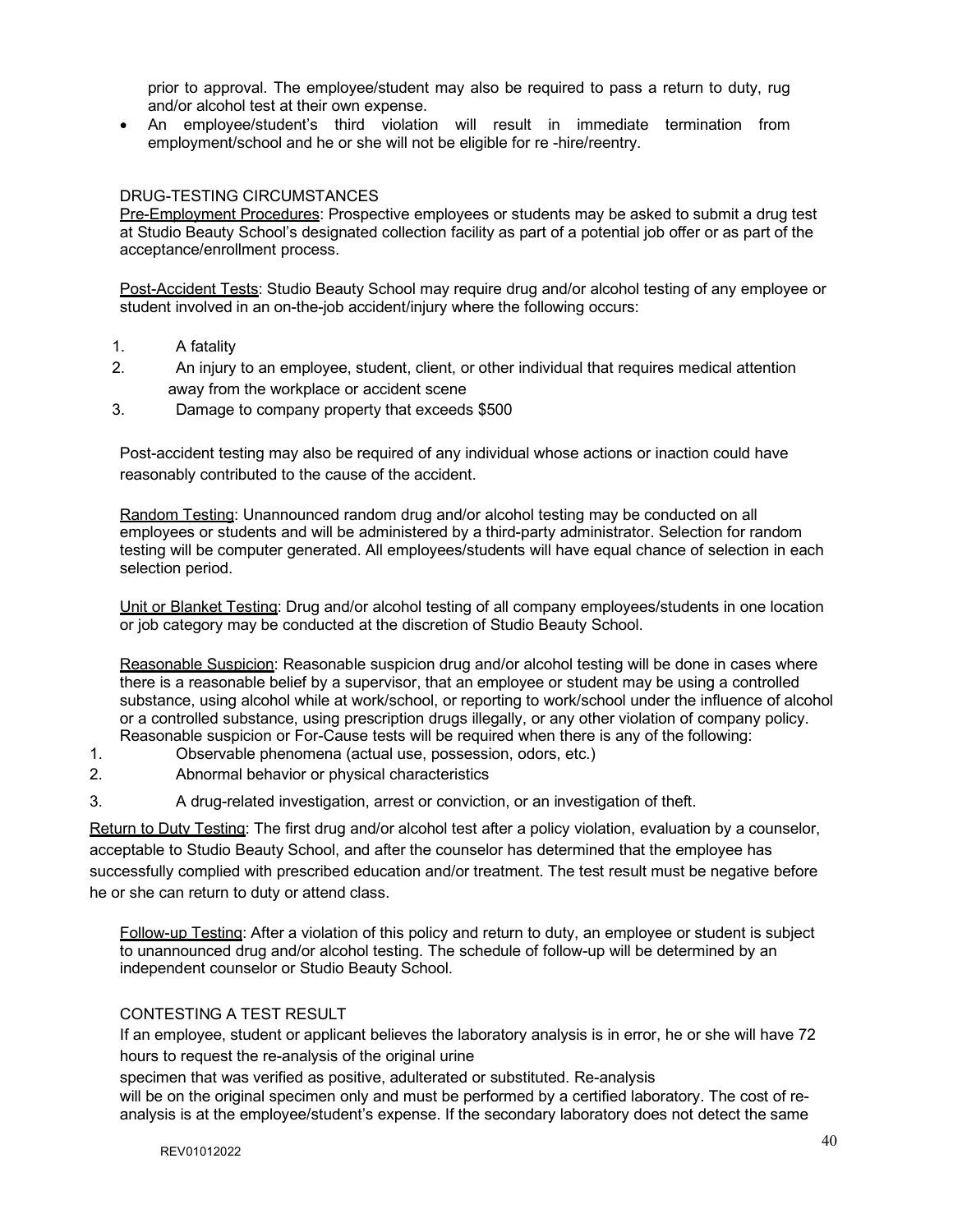prior to approval. The employee/student may also be required to pass a return to duty, rug and/or alcohol test at their own expense.

• An employee/student's third violation will result in immediate termination from employment/school and he or she will not be eligible for re -hire/reentry.

# DRUG-TESTING CIRCUMSTANCES

Pre-Employment Procedures: Prospective employees or students may be asked to submit a drug test at Studio Beauty School's designated collection facility as part of a potential job offer or as part of the acceptance/enrollment process.

Post-Accident Tests: Studio Beauty School may require drug and/or alcohol testing of any employee or student involved in an on-the-job accident/injury where the following occurs:

- 1. A fatality
- 2. An injury to an employee, student, client, or other individual that requires medical attention away from the workplace or accident scene
- 3. Damage to company property that exceeds \$500

Post-accident testing may also be required of any individual whose actions or inaction could have reasonably contributed to the cause of the accident.

Random Testing: Unannounced random drug and/or alcohol testing may be conducted on all employees or students and will be administered by a third-party administrator. Selection for random testing will be computer generated. All employees/students will have equal chance of selection in each selection period.

Unit or Blanket Testing: Drug and/or alcohol testing of all company employees/students in one location or job category may be conducted at the discretion of Studio Beauty School.

Reasonable Suspicion: Reasonable suspicion drug and/or alcohol testing will be done in cases where there is a reasonable belief by a supervisor, that an employee or student may be using a controlled substance, using alcohol while at work/school, or reporting to work/school under the influence of alcohol or a controlled substance, using prescription drugs illegally, or any other violation of company policy. Reasonable suspicion or For-Cause tests will be required when there is any of the following:

- 1. Observable phenomena (actual use, possession, odors, etc.)
- 2. Abnormal behavior or physical characteristics
- 3. A drug-related investigation, arrest or conviction, or an investigation of theft.

Return to Duty Testing: The first drug and/or alcohol test after a policy violation, evaluation by a counselor, acceptable to Studio Beauty School, and after the counselor has determined that the employee has successfully complied with prescribed education and/or treatment. The test result must be negative before he or she can return to duty or attend class.

Follow-up Testing: After a violation of this policy and return to duty, an employee or student is subject to unannounced drug and/or alcohol testing. The schedule of follow-up will be determined by an independent counselor or Studio Beauty School.

## CONTESTING A TEST RESULT

If an employee, student or applicant believes the laboratory analysis is in error, he or she will have 72 hours to request the re-analysis of the original urine

specimen that was verified as positive, adulterated or substituted. Re-analysis will be on the original specimen only and must be performed by a certified laboratory. The cost of reanalysis is at the employee/student's expense. If the secondary laboratory does not detect the same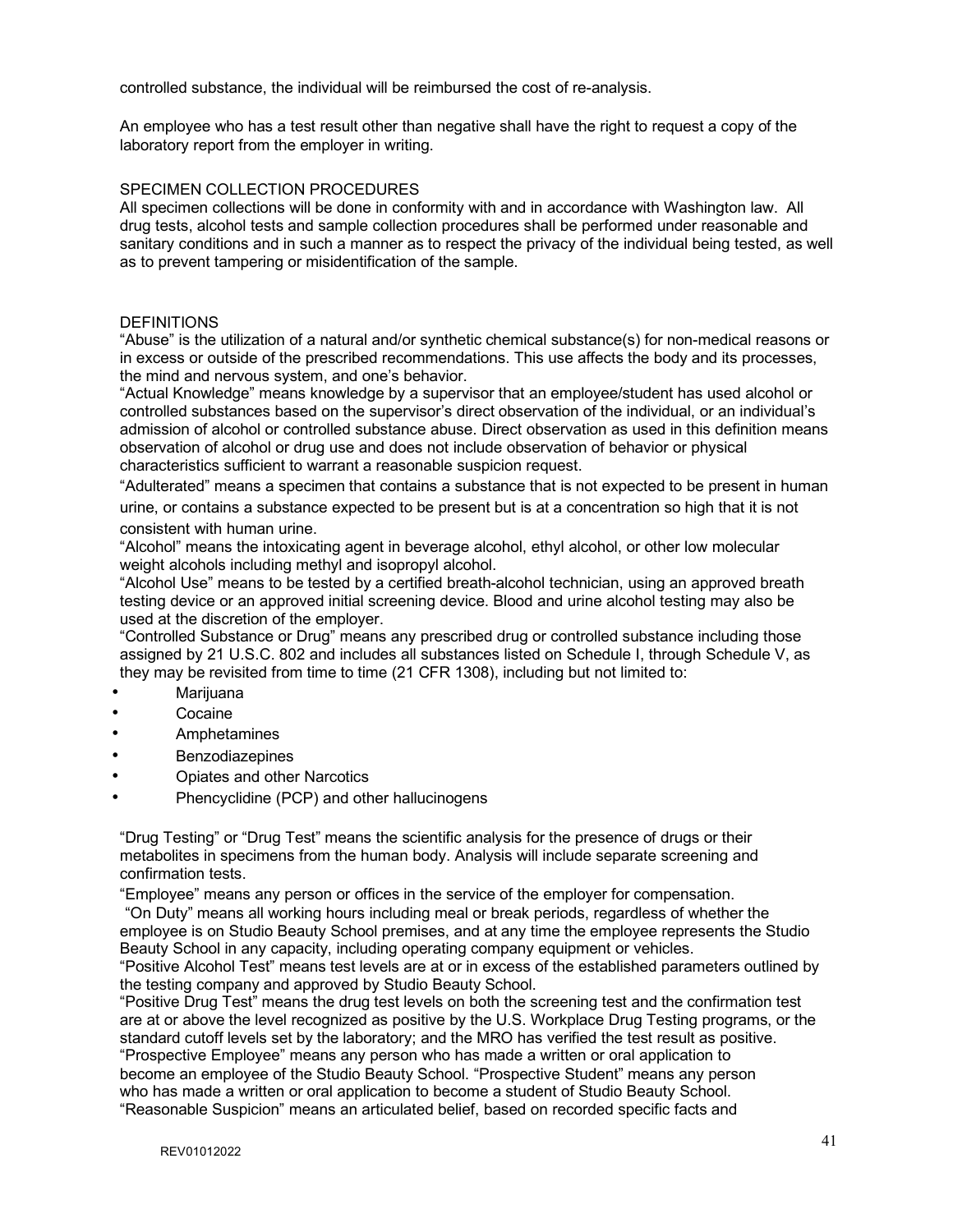controlled substance, the individual will be reimbursed the cost of re-analysis.

An employee who has a test result other than negative shall have the right to request a copy of the laboratory report from the employer in writing.

#### SPECIMEN COLLECTION PROCEDURES

All specimen collections will be done in conformity with and in accordance with Washington law. All drug tests, alcohol tests and sample collection procedures shall be performed under reasonable and sanitary conditions and in such a manner as to respect the privacy of the individual being tested, as well as to prevent tampering or misidentification of the sample.

#### **DEFINITIONS**

"Abuse" is the utilization of a natural and/or synthetic chemical substance(s) for non-medical reasons or in excess or outside of the prescribed recommendations. This use affects the body and its processes, the mind and nervous system, and one's behavior.

"Actual Knowledge" means knowledge by a supervisor that an employee/student has used alcohol or controlled substances based on the supervisor's direct observation of the individual, or an individual's admission of alcohol or controlled substance abuse. Direct observation as used in this definition means observation of alcohol or drug use and does not include observation of behavior or physical characteristics sufficient to warrant a reasonable suspicion request.

"Adulterated" means a specimen that contains a substance that is not expected to be present in human urine, or contains a substance expected to be present but is at a concentration so high that it is not

#### consistent with human urine.

"Alcohol" means the intoxicating agent in beverage alcohol, ethyl alcohol, or other low molecular weight alcohols including methyl and isopropyl alcohol.

"Alcohol Use" means to be tested by a certified breath-alcohol technician, using an approved breath testing device or an approved initial screening device. Blood and urine alcohol testing may also be used at the discretion of the employer.

"Controlled Substance or Drug" means any prescribed drug or controlled substance including those assigned by 21 U.S.C. 802 and includes all substances listed on Schedule I, through Schedule V, as they may be revisited from time to time (21 CFR 1308), including but not limited to:

- Marijuana
- **Cocaine**
- Amphetamines
- **Benzodiazepines**
- Opiates and other Narcotics
- Phencyclidine (PCP) and other hallucinogens

"Drug Testing" or "Drug Test" means the scientific analysis for the presence of drugs or their metabolites in specimens from the human body. Analysis will include separate screening and confirmation tests.

"Employee" means any person or offices in the service of the employer for compensation.

"On Duty" means all working hours including meal or break periods, regardless of whether the employee is on Studio Beauty School premises, and at any time the employee represents the Studio Beauty School in any capacity, including operating company equipment or vehicles.

"Positive Alcohol Test" means test levels are at or in excess of the established parameters outlined by the testing company and approved by Studio Beauty School.

"Positive Drug Test" means the drug test levels on both the screening test and the confirmation test are at or above the level recognized as positive by the U.S. Workplace Drug Testing programs, or the standard cutoff levels set by the laboratory; and the MRO has verified the test result as positive. "Prospective Employee" means any person who has made a written or oral application to become an employee of the Studio Beauty School. "Prospective Student" means any person who has made a written or oral application to become a student of Studio Beauty School. "Reasonable Suspicion" means an articulated belief, based on recorded specific facts and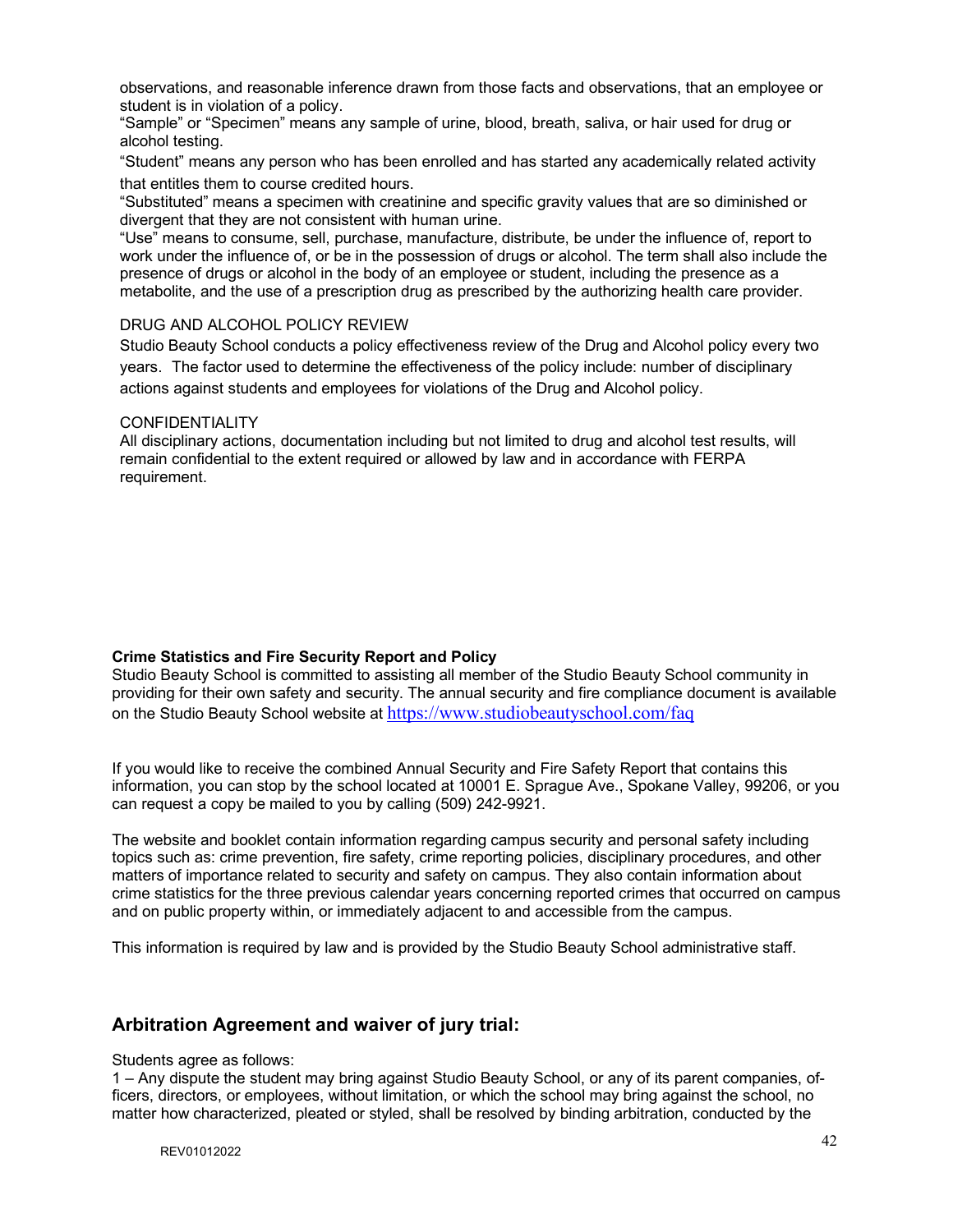observations, and reasonable inference drawn from those facts and observations, that an employee or student is in violation of a policy.

"Sample" or "Specimen" means any sample of urine, blood, breath, saliva, or hair used for drug or alcohol testing.

"Student" means any person who has been enrolled and has started any academically related activity that entitles them to course credited hours.

"Substituted" means a specimen with creatinine and specific gravity values that are so diminished or divergent that they are not consistent with human urine.

"Use" means to consume, sell, purchase, manufacture, distribute, be under the influence of, report to work under the influence of, or be in the possession of drugs or alcohol. The term shall also include the presence of drugs or alcohol in the body of an employee or student, including the presence as a metabolite, and the use of a prescription drug as prescribed by the authorizing health care provider.

# DRUG AND ALCOHOL POLICY REVIEW

Studio Beauty School conducts a policy effectiveness review of the Drug and Alcohol policy every two years. The factor used to determine the effectiveness of the policy include: number of disciplinary actions against students and employees for violations of the Drug and Alcohol policy.

#### **CONFIDENTIALITY**

All disciplinary actions, documentation including but not limited to drug and alcohol test results, will remain confidential to the extent required or allowed by law and in accordance with FERPA requirement.

## **Crime Statistics and Fire Security Report and Policy**

Studio Beauty School is committed to assisting all member of the Studio Beauty School community in providing for their own safety and security. The annual security and fire compliance document is available on the Studio Beauty School website at https://www.studiobeautyschool.com/faq

If you would like to receive the combined Annual Security and Fire Safety Report that contains this information, you can stop by the school located at 10001 E. Sprague Ave., Spokane Valley, 99206, or you can request a copy be mailed to you by calling (509) 242-9921.

The website and booklet contain information regarding campus security and personal safety including topics such as: crime prevention, fire safety, crime reporting policies, disciplinary procedures, and other matters of importance related to security and safety on campus. They also contain information about crime statistics for the three previous calendar years concerning reported crimes that occurred on campus and on public property within, or immediately adjacent to and accessible from the campus.

This information is required by law and is provided by the Studio Beauty School administrative staff.

# **Arbitration Agreement and waiver of jury trial:**

#### Students agree as follows:

1 – Any dispute the student may bring against Studio Beauty School, or any of its parent companies, officers, directors, or employees, without limitation, or which the school may bring against the school, no matter how characterized, pleated or styled, shall be resolved by binding arbitration, conducted by the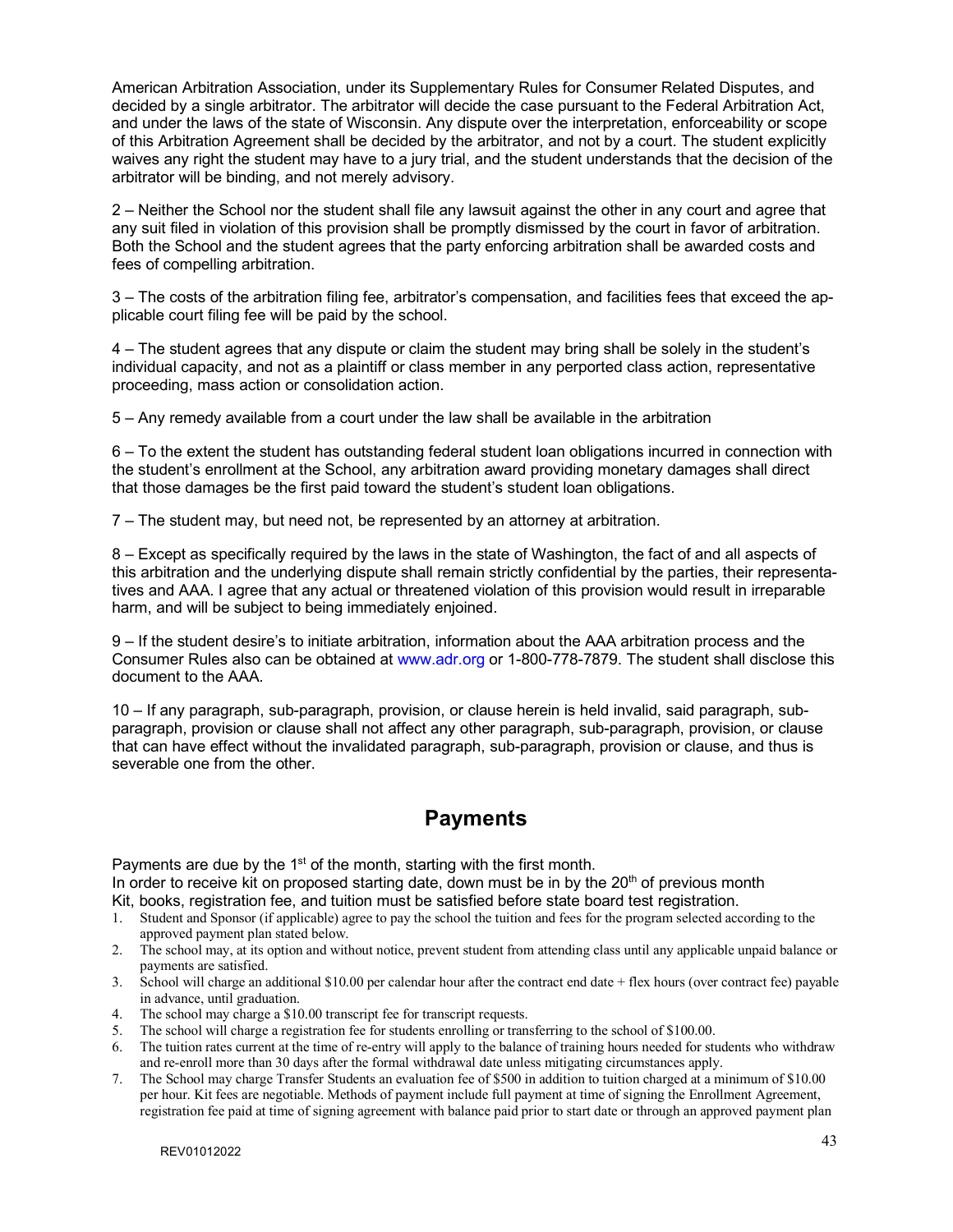American Arbitration Association, under its Supplementary Rules for Consumer Related Disputes, and decided by a single arbitrator. The arbitrator will decide the case pursuant to the Federal Arbitration Act, and under the laws of the state of Wisconsin. Any dispute over the interpretation, enforceability or scope of this Arbitration Agreement shall be decided by the arbitrator, and not by a court. The student explicitly waives any right the student may have to a jury trial, and the student understands that the decision of the arbitrator will be binding, and not merely advisory.

2 – Neither the School nor the student shall file any lawsuit against the other in any court and agree that any suit filed in violation of this provision shall be promptly dismissed by the court in favor of arbitration. Both the School and the student agrees that the party enforcing arbitration shall be awarded costs and fees of compelling arbitration.

3 – The costs of the arbitration filing fee, arbitrator's compensation, and facilities fees that exceed the applicable court filing fee will be paid by the school.

4 – The student agrees that any dispute or claim the student may bring shall be solely in the student's individual capacity, and not as a plaintiff or class member in any perported class action, representative proceeding, mass action or consolidation action.

5 – Any remedy available from a court under the law shall be available in the arbitration

6 – To the extent the student has outstanding federal student loan obligations incurred in connection with the student's enrollment at the School, any arbitration award providing monetary damages shall direct that those damages be the first paid toward the student's student loan obligations.

7 – The student may, but need not, be represented by an attorney at arbitration.

8 – Except as specifically required by the laws in the state of Washington, the fact of and all aspects of this arbitration and the underlying dispute shall remain strictly confidential by the parties, their representatives and AAA. I agree that any actual or threatened violation of this provision would result in irreparable harm, and will be subject to being immediately enjoined.

9 – If the student desire's to initiate arbitration, information about the AAA arbitration process and the Consumer Rules also can be obtained at www.adr.org or 1-800-778-7879. The student shall disclose this document to the AAA.

10 – If any paragraph, sub-paragraph, provision, or clause herein is held invalid, said paragraph, subparagraph, provision or clause shall not affect any other paragraph, sub-paragraph, provision, or clause that can have effect without the invalidated paragraph, sub-paragraph, provision or clause, and thus is severable one from the other.

# **Payments**

Payments are due by the  $1<sup>st</sup>$  of the month, starting with the first month.

In order to receive kit on proposed starting date, down must be in by the  $20<sup>th</sup>$  of previous month Kit, books, registration fee, and tuition must be satisfied before state board test registration.

- 1. Student and Sponsor (if applicable) agree to pay the school the tuition and fees for the program selected according to the approved payment plan stated below.
- 2. The school may, at its option and without notice, prevent student from attending class until any applicable unpaid balance or payments are satisfied.
- 3. School will charge an additional \$10.00 per calendar hour after the contract end date + flex hours (over contract fee) payable in advance, until graduation.
- 4. The school may charge a \$10.00 transcript fee for transcript requests.
- 5. The school will charge a registration fee for students enrolling or transferring to the school of \$100.00.
- 6. The tuition rates current at the time of re-entry will apply to the balance of training hours needed for students who withdraw and re-enroll more than 30 days after the formal withdrawal date unless mitigating circumstances apply.
- 7. The School may charge Transfer Students an evaluation fee of \$500 in addition to tuition charged at a minimum of \$10.00 per hour. Kit fees are negotiable. Methods of payment include full payment at time of signing the Enrollment Agreement, registration fee paid at time of signing agreement with balance paid prior to start date or through an approved payment plan